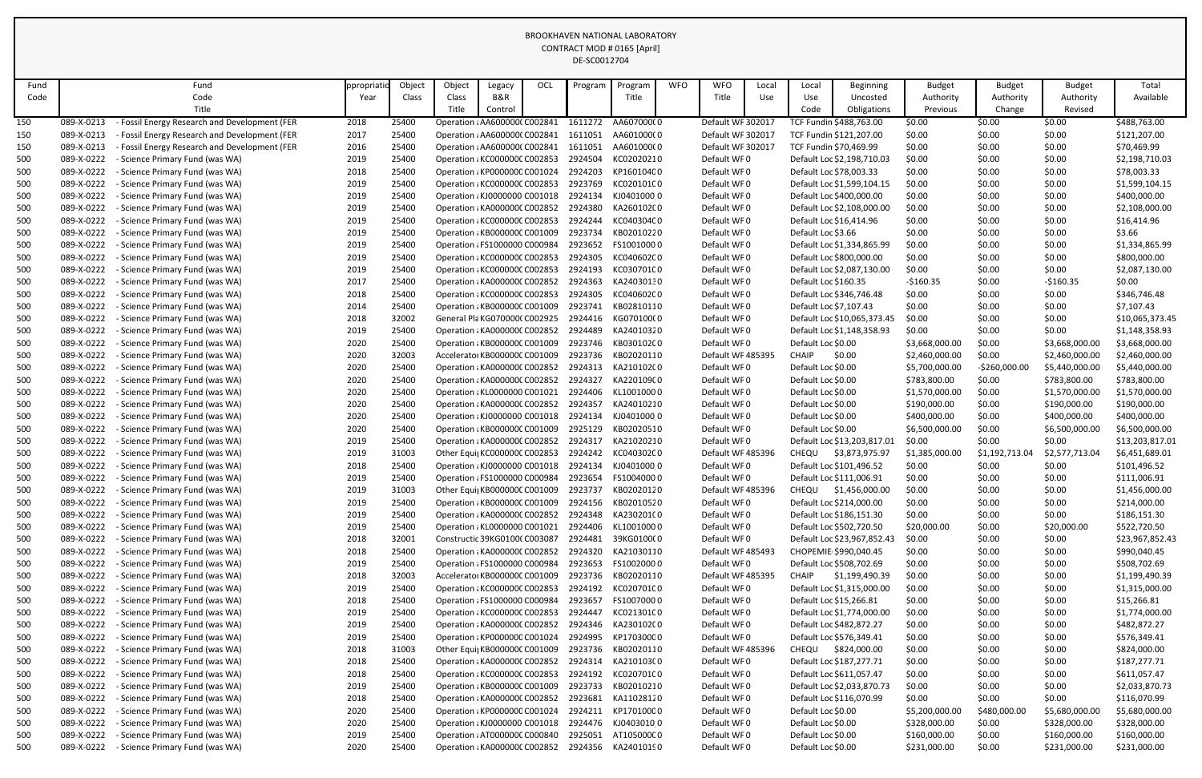| Fund       |                          | Fund                                                                                           | ppropriat    | Object         | Object                                                         | Legacy  | OCL | Program            | Program                                           | <b>WFO</b> | <b>WFO</b>                             | Local             | Local                   | Beginning                                         | <b>Budget</b>    | <b>Budget</b>    | <b>Budget</b>    | Total                        |
|------------|--------------------------|------------------------------------------------------------------------------------------------|--------------|----------------|----------------------------------------------------------------|---------|-----|--------------------|---------------------------------------------------|------------|----------------------------------------|-------------------|-------------------------|---------------------------------------------------|------------------|------------------|------------------|------------------------------|
| Code       |                          | Code<br>Title                                                                                  | Year         | Class          | Class                                                          | B&R     |     |                    | Title                                             |            | Title                                  | Use               | Use                     | Uncosted                                          | Authority        | Authority        | Authority        | Available                    |
|            |                          |                                                                                                |              |                | Title                                                          | Control |     |                    |                                                   |            |                                        |                   | Code                    | Obligations                                       | Previous         | Change           | Revised          |                              |
| 150        | 089-X-0213               | Fossil Energy Research and Development (FER                                                    | 2018         | 25400          | Operation : AA6000000 C002841                                  |         |     | 1611272            | AA60700000                                        |            | Default WF 302017<br>Default WF 302017 |                   |                         | TCF Fundin \$488,763.00                           | \$0.00           | \$0.00           | \$0.00           | \$488,763.00                 |
| 150<br>150 | 089-X-0213<br>089-X-0213 | - Fossil Energy Research and Development (FER<br>- Fossil Energy Research and Development (FER | 2017<br>2016 | 25400<br>25400 | Operation : AA6000000 C002841<br>Operation : AA6000000 C002841 |         |     | 1611051<br>1611051 | AA601000(0<br>AA601000(0                          |            | Default WF 302017                      |                   |                         | TCF Fundin \$121,207.00<br>TCF Fundin \$70,469.99 | \$0.00<br>\$0.00 | \$0.00<br>\$0.00 | \$0.00<br>\$0.00 | \$121,207.00<br>\$70,469.99  |
| 500        | 089-X-0222               | - Science Primary Fund (was WA)                                                                | 2019         | 25400          | Operation : KC000000C C002853                                  |         |     | 2924504            | KC02020210                                        |            | Default WF0                            |                   |                         | Default Loc \$2,198,710.03                        | \$0.00           | \$0.00           | \$0.00           | \$2,198,710.03               |
| 500        | 089-X-0222               | - Science Primary Fund (was WA)                                                                | 2018         | 25400          | Operation : KP0000000 C001024                                  |         |     | 2924203            | KP16010400                                        |            | Default WF0                            |                   |                         | Default Loc \$78,003.33                           | \$0.00           | \$0.00           | \$0.00           | \$78,003.33                  |
| 500        | 089-X-0222               | - Science Primary Fund (was WA)                                                                | 2019         | 25400          | Operation : KC000000C C002853                                  |         |     | 2923769            | KC020101C0                                        |            | Default WF0                            |                   |                         | Default Loc \$1,599,104.15                        | \$0.00           | \$0.00           | \$0.00           | \$1,599,104.15               |
| 500        | 089-X-0222               | - Science Primary Fund (was WA)                                                                | 2019         | 25400          | Operation : KJ0000000 C001018                                  |         |     | 2924134            | KJ04010000                                        |            | Default WF0                            |                   |                         | Default Loc \$400,000.00                          | \$0.00           | \$0.00           | \$0.00           | \$400,000.00                 |
| 500        | 089-X-0222               | - Science Primary Fund (was WA)                                                                | 2019         | 25400          | Operation : KA000000C C002852                                  |         |     | 2924380            | KA260102C0                                        |            | Default WF0                            |                   |                         | Default Loc \$2,108,000.00                        | \$0.00           | \$0.00           | \$0.00           | \$2,108,000.00               |
| 500        | 089-X-0222               | - Science Primary Fund (was WA)                                                                | 2019         | 25400          | Operation : KC000000C C002853                                  |         |     | 2924244            | KC040304C0                                        |            | Default WF0                            |                   |                         | Default Loc \$16,414.96                           | \$0.00           | \$0.00           | \$0.00           | \$16,414.96                  |
| 500        | 089-X-0222               | - Science Primary Fund (was WA)                                                                | 2019         | 25400          | Operation : KB000000C C001009                                  |         |     | 2923734            | KB02010220                                        |            | Default WF0                            |                   | Default Loc \$3.66      |                                                   | \$0.00           | \$0.00           | \$0.00           | \$3.66                       |
| 500        | 089-X-0222               | - Science Primary Fund (was WA)                                                                | 2019         | 25400          | Operation : FS1000000 C000984                                  |         |     | 2923652            | FS10010000                                        |            | Default WF0                            |                   |                         | Default Loc \$1,334,865.99                        | \$0.00           | \$0.00           | \$0.00           | \$1,334,865.99               |
| 500        | 089-X-0222               | - Science Primary Fund (was WA)                                                                | 2019         | 25400          | Operation : KC000000C C002853                                  |         |     | 2924305            | KC040602C0                                        |            | Default WF0                            |                   |                         | Default Loc \$800,000.00                          | \$0.00           | \$0.00           | \$0.00           | \$800,000.00                 |
| 500        | 089-X-0222               | - Science Primary Fund (was WA)                                                                | 2019         | 25400          | Operation : KC000000C C002853                                  |         |     | 2924193            | KC030701C0                                        |            | Default WF0                            |                   |                         | Default Loc \$2,087,130.00                        | \$0.00           | \$0.00           | \$0.00           | \$2,087,130.00               |
| 500        | 089-X-0222               | - Science Primary Fund (was WA)                                                                | 2017         | 25400          | Operation : KA000000C C002852                                  |         |     | 2924363            | KA24030130                                        |            | Default WF0                            |                   | Default Loc \$160.35    |                                                   | $-5160.35$       | \$0.00           | $-$160.35$       | \$0.00                       |
| 500        | 089-X-0222               | - Science Primary Fund (was WA)                                                                | 2018         | 25400          | Operation : KC000000C C002853                                  |         |     | 2924305            | KC040602C0                                        |            | Default WF0                            |                   |                         | Default Loc \$346,746.48                          | \$0.00           | \$0.00           | \$0.00           | \$346,746.48                 |
| 500        | 089-X-0222               | - Science Primary Fund (was WA)                                                                | 2014         | 25400          | Operation : KB000000C C001009                                  |         |     | 2923741            | KB02810110                                        |            | Default WF0                            |                   | Default Loc \$7,107.43  |                                                   | \$0.00           | \$0.00           | \$0.00           | \$7,107.43                   |
| 500        | 089-X-0222               | - Science Primary Fund (was WA)                                                                | 2018         | 32002          | General Pla KG0700000 C002925                                  |         |     | 2924416            | KG070100(0                                        |            | Default WF0                            |                   |                         | Default Loc \$10,065,373.45                       | \$0.00           | \$0.00           | \$0.00           | \$10,065,373.45              |
| 500        | 089-X-0222               | - Science Primary Fund (was WA)                                                                | 2019         | 25400          | Operation : KA000000C C002852                                  |         |     | 2924489            | KA24010320                                        |            | Default WF0                            |                   |                         | Default Loc \$1,148,358.93                        | \$0.00           | \$0.00           | \$0.00           | \$1,148,358.93               |
| 500        | 089-X-0222               | - Science Primary Fund (was WA)                                                                | 2020         | 25400          | Operation : KB000000C C001009                                  |         |     | 2923746            | KB030102C0                                        |            | Default WF0                            |                   | Default Loc \$0.00      |                                                   | \$3,668,000.00   | \$0.00           | \$3,668,000.00   | \$3,668,000.00               |
| 500        | 089-X-0222               | - Science Primary Fund (was WA)                                                                | 2020         | 32003          | Accelerator KB000000C C001009                                  |         |     | 2923736            | KB02020110                                        |            | Default WF 485395                      |                   | <b>CHAIP</b>            | \$0.00                                            | \$2,460,000.00   | \$0.00           | \$2,460,000.00   | \$2,460,000.00               |
| 500        | 089-X-0222               | - Science Primary Fund (was WA)                                                                | 2020         | 25400          | Operation : KA000000C C002852                                  |         |     | 2924313            | KA210102C0                                        |            | Default WF0                            |                   | Default Loc \$0.00      |                                                   | \$5,700,000.00   | $-$260,000.00$   | \$5,440,000.00   | \$5,440,000.00               |
| 500        | 089-X-0222               | - Science Primary Fund (was WA)                                                                | 2020         | 25400          | Operation : KA000000C C002852                                  |         |     | 2924327            | KA220109C0                                        |            | Default WF0                            |                   | Default Loc \$0.00      |                                                   | \$783,800.00     | \$0.00           | \$783,800.00     | \$783,800.00                 |
| 500        | 089-X-0222               | - Science Primary Fund (was WA)                                                                | 2020         | 25400          | Operation : KL0000000 C001021                                  |         |     | 2924406            | KL10010000                                        |            | Default WF0                            |                   | Default Loc \$0.00      |                                                   | \$1,570,000.00   | \$0.00           | \$1,570,000.00   | \$1,570,000.00               |
| 500        | 089-X-0222               | - Science Primary Fund (was WA)                                                                | 2020         | 25400          | Operation : KA000000C C002852                                  |         |     | 2924357            | KA24010210                                        |            | Default WF0                            |                   | Default Loc \$0.00      |                                                   | \$190,000.00     | \$0.00           | \$190,000.00     | \$190,000.00                 |
| 500        | 089-X-0222               | - Science Primary Fund (was WA)                                                                | 2020         | 25400          | Operation : KJ0000000 C001018                                  |         |     | 2924134            | KJ04010000                                        |            | Default WF0                            |                   | Default Loc \$0.00      |                                                   | \$400,000.00     | \$0.00           | \$400,000.00     | \$400,000.00                 |
| 500        | 089-X-0222               | - Science Primary Fund (was WA)                                                                | 2020         | 25400          | Operation : KB000000C C001009                                  |         |     | 2925129            | KB02020510                                        |            | Default WF0                            |                   | Default Loc \$0.00      |                                                   | \$6,500,000.00   | \$0.00           | \$6,500,000.00   | \$6,500,000.00               |
| 500        | 089-X-0222               | - Science Primary Fund (was WA)                                                                | 2019         | 25400          | Operation : KA000000C C002852                                  |         |     | 2924317            | KA21020210                                        |            | Default WF0                            |                   |                         | Default Loc \$13,203,817.01                       | \$0.00           | \$0.00           | \$0.00           | \$13,203,817.01              |
| 500        | 089-X-0222               | - Science Primary Fund (was WA)                                                                | 2019         | 31003          |                                                                |         |     |                    | Other Equi  KC000000C C002853 2924242 KC040302C 0 |            |                                        | Default WF 485396 |                         | CHEQU \$3,873,975.97                              | \$1,385,000.00   | \$1,192,713.04   | \$2,577,713.04   | \$6,451,689.01               |
| 500        | 089-X-0222               | - Science Primary Fund (was WA)                                                                | 2018         | 25400          | Operation : KJ0000000 C001018                                  |         |     | 2924134            | KJ0401000 0                                       |            | Default WF0                            |                   |                         | Default Loc \$101,496.52                          | \$0.00           | \$0.00           | \$0.00           | \$101,496.52                 |
| 500        | 089-X-0222               | - Science Primary Fund (was WA)                                                                | 2019         | 25400          | Operation : FS1000000 C000984                                  |         |     | 2923654            | FS10040000                                        |            | Default WF0                            |                   |                         | Default Loc \$111,006.91                          | \$0.00           | \$0.00           | \$0.00           | \$111,006.91                 |
| 500        | 089-X-0222               | - Science Primary Fund (was WA)                                                                | 2019         | 31003          | Other Equi  KB000000C C001009                                  |         |     | 2923737            | KB02020120                                        |            | Default WF 485396                      |                   | CHEQU                   | \$1,456,000.00                                    | \$0.00           | \$0.00           | \$0.00           | \$1,456,000.00               |
| 500        | 089-X-0222               | - Science Primary Fund (was WA)                                                                | 2019         | 25400          | Operation : KB000000C C001009                                  |         |     |                    | 2924156 KB02010520                                |            | Default WF0                            |                   |                         | Default Loc \$214,000.00                          | \$0.00           | \$0.00           | \$0.00           | \$214,000.00                 |
| 500        | 089-X-0222               | - Science Primary Fund (was WA)                                                                | 2019         | 25400          | Operation : KA000000C C002852                                  |         |     | 2924348            | KA230201(0                                        |            | Default WF0                            |                   |                         | Default Loc \$186,151.30                          | \$0.00           | \$0.00           | \$0.00           | \$186,151.30                 |
| 500        | 089-X-0222               | - Science Primary Fund (was WA)                                                                | 2019         | 25400          | Operation : KL0000000 C001021                                  |         |     |                    | 2924406 KL10010000                                |            | Default WF0                            |                   |                         | Default Loc \$502,720.50                          | \$20,000.00      | \$0.00           | \$20,000.00      | \$522,720.50                 |
| 500        | 089-X-0222               | - Science Primary Fund (was WA)                                                                | 2018         | 32001          | Constructic 39KG01000 C003087                                  |         |     | 2924481            | 39KG0100(0                                        |            | Default WF0                            |                   |                         | Default Loc \$23,967,852.43                       | \$0.00           | \$0.00           | \$0.00           | \$23,967,852.43              |
| 500        | 089-X-0222<br>089-X-0222 | - Science Primary Fund (was WA)<br>- Science Primary Fund (was WA)                             | 2018         | 25400<br>25400 | Operation : KA000000C C002852<br>Operation : FS1000000 C000984 |         |     | 2924320<br>2923653 | KA21030110<br>FS10020000                          |            | Default WF 485493<br>Default WF0       |                   |                         | CHOPEMIE \$990,040.45<br>Default Loc \$508,702.69 | \$0.00<br>\$0.00 | \$0.00           | \$0.00           | \$990,040.45<br>\$508,702.69 |
| 500<br>500 | 089-X-0222               | - Science Primary Fund (was WA)                                                                | 2019<br>2018 | 32003          | Accelerator KB000000C C001009                                  |         |     | 2923736            | KB02020110                                        |            | Default WF 485395                      |                   | <b>CHAIP</b>            | \$1,199,490.39                                    | \$0.00           | \$0.00<br>\$0.00 | \$0.00<br>\$0.00 | \$1,199,490.39               |
| 500        | 089-X-0222               | - Science Primary Fund (was WA)                                                                | 2019         | 25400          | Operation : KC000000C C002853                                  |         |     | 2924192            | KC020701C0                                        |            | Default WF0                            |                   |                         | Default Loc \$1,315,000.00                        | \$0.00           | \$0.00           | \$0.00           | \$1,315,000.00               |
| 500        | 089-X-0222               | - Science Primary Fund (was WA)                                                                | 2018         | 25400          | Operation : FS1000000 C000984                                  |         |     | 2923657            | FS10070000                                        |            | Default WF0                            |                   | Default Loc \$15,266.81 |                                                   | \$0.00           | \$0.00           | \$0.00           | \$15,266.81                  |
| 500        | 089-X-0222               | - Science Primary Fund (was WA)                                                                | 2019         | 25400          | Operation : KC000000C C002853                                  |         |     | 2924447            | KC021301C0                                        |            | Default WF0                            |                   |                         | Default Loc \$1,774,000.00                        | \$0.00           | \$0.00           | \$0.00           | \$1,774,000.00               |
| 500        | 089-X-0222               | - Science Primary Fund (was WA)                                                                | 2019         | 25400          | Operation : KA000000C C002852                                  |         |     |                    | 2924346 KA230102C0                                |            | Default WF0                            |                   |                         | Default Loc \$482,872.27                          | \$0.00           | \$0.00           | \$0.00           | \$482,872.27                 |
| 500        | 089-X-0222               | - Science Primary Fund (was WA)                                                                | 2019         | 25400          | Operation : KP0000000 C001024                                  |         |     | 2924995            | KP17030000                                        |            | Default WF0                            |                   |                         | Default Loc \$576,349.41                          | \$0.00           | \$0.00           | \$0.00           | \$576,349.41                 |
| 500        | 089-X-0222               | - Science Primary Fund (was WA)                                                                | 2018         | 31003          | Other Equi  KB000000C C001009                                  |         |     |                    | 2923736 KB02020110                                |            | Default WF 485396                      |                   | CHEQU                   | \$824,000.00                                      | \$0.00           | \$0.00           | \$0.00           | \$824,000.00                 |
| 500        | 089-X-0222               | - Science Primary Fund (was WA)                                                                | 2018         | 25400          | Operation : KA000000C C002852                                  |         |     |                    | 2924314 KA210103C0                                |            | Default WF0                            |                   |                         | Default Loc \$187,277.71                          | \$0.00           | \$0.00           | \$0.00           | \$187,277.71                 |
| 500        | 089-X-0222               | - Science Primary Fund (was WA)                                                                | 2018         | 25400          | Operation : KC000000C C002853                                  |         |     | 2924192            | KC020701C0                                        |            | Default WF0                            |                   |                         | Default Loc \$611,057.47                          | \$0.00           | \$0.00           | \$0.00           | \$611,057.47                 |
| 500        | 089-X-0222               | - Science Primary Fund (was WA)                                                                | 2019         | 25400          | Operation : KB000000C C001009                                  |         |     | 2923733            | KB02010210                                        |            | Default WF0                            |                   |                         | Default Loc \$2,033,870.73                        | \$0.00           | \$0.00           | \$0.00           | \$2,033,870.73               |
| 500        | 089-X-0222               | - Science Primary Fund (was WA)                                                                | 2018         | 25400          | Operation : KA000000C C002852                                  |         |     | 2923681            | KA11028120                                        |            | Default WF0                            |                   |                         | Default Loc \$116,070.99                          | \$0.00           | \$0.00           | \$0.00           | \$116,070.99                 |
| 500        | 089-X-0222               | - Science Primary Fund (was WA)                                                                | 2020         | 25400          | Operation : KP0000000 C001024                                  |         |     |                    | 2924211 KP17010000                                |            | Default WF0                            |                   | Default Loc \$0.00      |                                                   | \$5,200,000.00   | \$480,000.00     | \$5,680,000.00   | \$5,680,000.00               |
| 500        | 089-X-0222               | - Science Primary Fund (was WA)                                                                | 2020         | 25400          | Operation : KJ0000000 C001018                                  |         |     |                    | 2924476 KJ04030100                                |            | Default WF0                            |                   | Default Loc \$0.00      |                                                   | \$328,000.00     | \$0.00           | \$328,000.00     | \$328,000.00                 |
| 500        | 089-X-0222               | - Science Primary Fund (was WA)                                                                | 2019         | 25400          | Operation : AT000000C C000840                                  |         |     | 2925051            | AT105000C0                                        |            | Default WF0                            |                   | Default Loc \$0.00      |                                                   | \$160,000.00     | \$0.00           | \$160,000.00     | \$160,000.00                 |
| 500        | 089-X-0222               | - Science Primary Fund (was WA)                                                                | 2020         | 25400          |                                                                |         |     |                    | Operation : KA000000C C002852 2924356 KA24010190  |            | Default WF0                            |                   | Default Loc \$0.00      |                                                   | \$231,000.00     | \$0.00           | \$231,000.00     | \$231,000.00                 |
|            |                          |                                                                                                |              |                |                                                                |         |     |                    |                                                   |            |                                        |                   |                         |                                                   |                  |                  |                  |                              |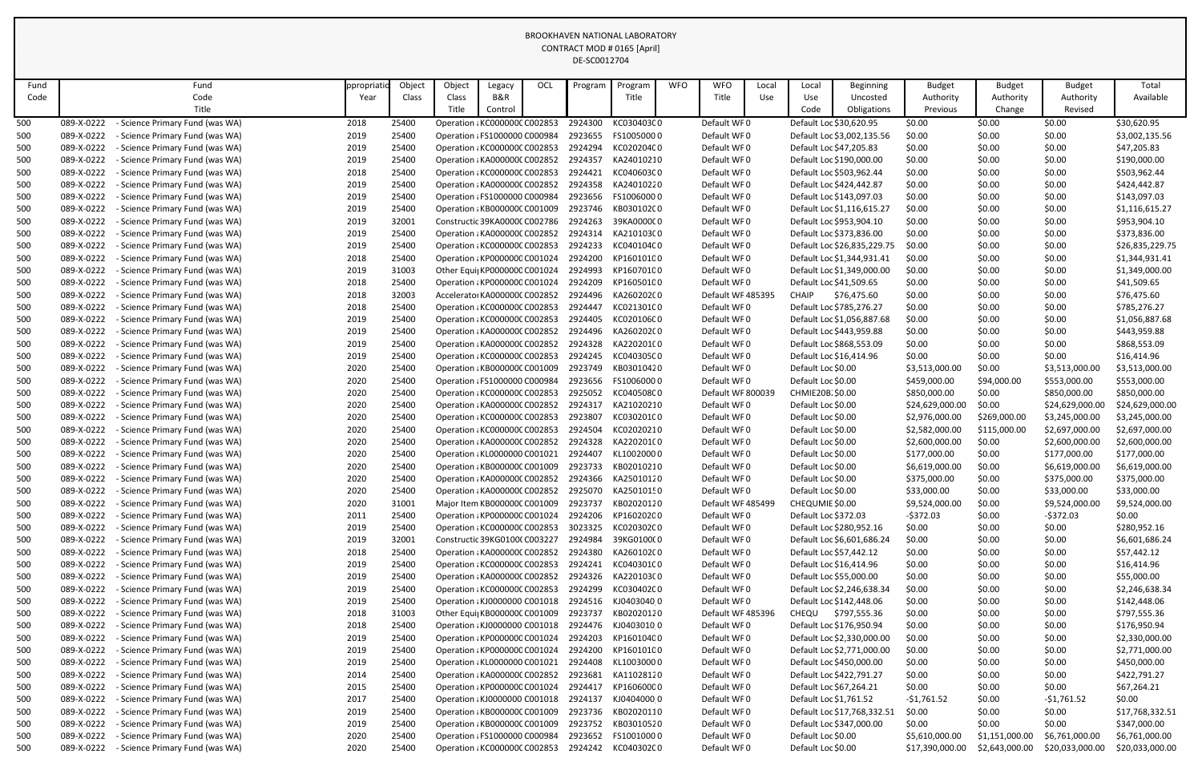| Fund |                          | Fund                                                                  | ppropriatio  | Object | Object                        | Legacy  | OCL | Program            | Program                  | <b>WFO</b> | <b>WFO</b>                 | Local | Local                  | <b>Beginning</b>            | <b>Budget</b>   | <b>Budget</b>  | <b>Budget</b>            | Total           |
|------|--------------------------|-----------------------------------------------------------------------|--------------|--------|-------------------------------|---------|-----|--------------------|--------------------------|------------|----------------------------|-------|------------------------|-----------------------------|-----------------|----------------|--------------------------|-----------------|
| Code |                          | Code                                                                  | Year         | Class  | Class                         | B&R     |     |                    | Title                    |            | Title                      | Use   | Use                    | Uncosted                    | Authority       | Authority      | Authority                | Available       |
|      |                          | Title                                                                 |              |        | Title                         | Control |     |                    |                          |            |                            |       | Code                   | Obligations                 | Previous        | Change         | Revised                  |                 |
| 500  | 089-X-0222               | Science Primary Fund (was WA)                                         | 2018         | 25400  | Operation : KC000000C C002853 |         |     | 2924300            | KC030403C0               |            | Default WF0                |       |                        | Default Loc \$30,620.95     | \$0.00          | \$0.00         | \$0.00                   | \$30,620.95     |
| 500  | 089-X-0222               | <b>Science Primary Fund (was WA)</b>                                  | 2019         | 25400  | Operation : FS1000000 C000984 |         |     | 2923655            | FS10050000               |            | Default WF0                |       |                        | Default Loc \$3,002,135.56  | \$0.00          | \$0.00         | \$0.00                   | \$3,002,135.56  |
| 500  | 089-X-0222               | - Science Primary Fund (was WA)                                       | 2019         | 25400  | Operation : KC000000C C002853 |         |     | 2924294            | KC020204C0               |            | Default WF0                |       |                        | Default Loc \$47,205.83     | \$0.00          | \$0.00         | \$0.00                   | \$47,205.83     |
| 500  | 089-X-0222               | Science Primary Fund (was WA)                                         | 2019         | 25400  | Operation : KA000000C C002852 |         |     | 2924357            | KA24010210               |            | Default WF0                |       |                        | Default Loc \$190,000.00    | \$0.00          | \$0.00         | \$0.00                   | \$190,000.00    |
| 500  | 089-X-0222               | Science Primary Fund (was WA)                                         | 2018         | 25400  | Operation : KC000000C C002853 |         |     | 2924421            | KC040603C0               |            | Default WF0                |       |                        | Default Loc \$503,962.44    | \$0.00          | \$0.00         | \$0.00                   | \$503,962.44    |
| 500  | 089-X-0222               | Science Primary Fund (was WA)                                         | 2019         | 25400  | Operation : KA000000C C002852 |         |     | 2924358            | KA24010220               |            | Default WF0                |       |                        | Default Loc \$424,442.87    | \$0.00          | \$0.00         | \$0.00                   | \$424,442.87    |
| 500  | 089-X-0222               | <b>Science Primary Fund (was WA)</b>                                  | 2019         | 25400  | Operation : FS1000000 C000984 |         |     | 2923656            | FS10060000               |            | Default WF0                |       |                        | Default Loc \$143,097.03    | \$0.00          | \$0.00         | \$0.00                   | \$143,097.03    |
| 500  | 089-X-0222               | <b>Science Primary Fund (was WA)</b>                                  | 2019         | 25400  | Operation : KB000000C C001009 |         |     | 2923746            | KB030102C0               |            | Default WF0                |       |                        | Default Loc \$1,116,615.27  | \$0.00          | \$0.00         | \$0.00                   | \$1,116,615.27  |
| 500  | 089-X-0222               | Science Primary Fund (was WA)                                         | 2019         | 32001  | Constructic 39KA0000C C002786 |         |     | 2924263            | 39KA0000C0               |            | Default WF0                |       |                        | Default Loc \$953,904.10    | \$0.00          | \$0.00         | \$0.00                   | \$953,904.10    |
| 500  | 089-X-0222               | Science Primary Fund (was WA)                                         | 2019         | 25400  | Operation : KA000000C C002852 |         |     | 2924314            | KA210103C0               |            | Default WF0                |       |                        | Default Loc \$373,836.00    | \$0.00          | \$0.00         | \$0.00                   | \$373,836.00    |
| 500  | 089-X-0222               | <b>Science Primary Fund (was WA)</b>                                  | 2019         | 25400  | Operation : KC000000C C002853 |         |     | 2924233            | KC040104C0               |            | Default WF0                |       |                        | Default Loc \$26,835,229.75 | \$0.00          | \$0.00         | \$0.00                   | \$26,835,229.75 |
| 500  | 089-X-0222               | Science Primary Fund (was WA)                                         | 2018         | 25400  | Operation : KP0000000 C001024 |         |     | 2924200            | KP16010100               |            | Default WF0                |       |                        | Default Loc \$1,344,931.41  | \$0.00          | \$0.00         | \$0.00                   | \$1,344,931.41  |
| 500  | 089-X-0222               | - Science Primary Fund (was WA)                                       | 2019         | 31003  | Other Equi  KP0000000 C001024 |         |     | 2924993            | KP16070100               |            | Default WF0                |       |                        | Default Loc \$1,349,000.00  | \$0.00          | \$0.00         | \$0.00                   | \$1,349,000.00  |
| 500  | 089-X-0222               | Science Primary Fund (was WA)                                         | 2018         | 25400  | Operation : KP0000000 C001024 |         |     | 2924209            | KP16050100               |            | Default WF0                |       |                        | Default Loc \$41,509.65     | \$0.00          | \$0.00         | \$0.00                   | \$41,509.65     |
| 500  | 089-X-0222               | Science Primary Fund (was WA)                                         | 2018         | 32003  | Accelerator KA000000C C002852 |         |     | 2924496            | KA260202C0               |            | Default WF 485395          |       | <b>CHAIP</b>           | \$76,475.60                 | \$0.00          | \$0.00         | \$0.00                   | \$76,475.60     |
| 500  | 089-X-0222               | <b>Science Primary Fund (was WA)</b>                                  | 2018         | 25400  | Operation : KC000000C C002853 |         |     | 2924447            | KC021301C0               |            | Default WF0                |       |                        | Default Loc \$785,276.27    | \$0.00          | \$0.00         | \$0.00                   | \$785,276.27    |
| 500  | 089-X-0222               | <b>Science Primary Fund (was WA)</b>                                  | 2019         | 25400  | Operation : KC000000C C002853 |         |     | 2924405            | KC020106C0               |            | Default WF0                |       |                        | Default Loc \$1,056,887.68  | \$0.00          | \$0.00         | \$0.00                   | \$1,056,887.68  |
| 500  | 089-X-0222               | - Science Primary Fund (was WA)                                       | 2019         | 25400  | Operation : KA000000C C002852 |         |     | 2924496            | KA260202C0               |            | Default WF0                |       |                        | Default Loc \$443,959.88    | \$0.00          | \$0.00         | \$0.00                   | \$443,959.88    |
| 500  | 089-X-0222               | <b>Science Primary Fund (was WA)</b>                                  | 2019         | 25400  | Operation : KA000000C C002852 |         |     | 2924328            | KA220201(0               |            | Default WF0                |       |                        | Default Loc \$868,553.09    | \$0.00          | \$0.00         | \$0.00                   | \$868,553.09    |
| 500  | 089-X-0222               | Science Primary Fund (was WA)                                         | 2019         | 25400  | Operation : KC000000C C002853 |         |     | 2924245            | KC040305C0               |            | Default WF0                |       |                        | Default Loc \$16,414.96     | \$0.00          | \$0.00         | \$0.00                   | \$16,414.96     |
| 500  | 089-X-0222               | <b>Science Primary Fund (was WA)</b>                                  | 2020         | 25400  | Operation : KB000000C C001009 |         |     | 2923749            | KB03010420               |            | Default WF0                |       | Default Loc \$0.00     |                             | \$3,513,000.00  | \$0.00         | \$3,513,000.00           | \$3,513,000.00  |
| 500  | 089-X-0222               | <b>Science Primary Fund (was WA)</b>                                  | 2020         | 25400  | Operation : FS1000000 C000984 |         |     | 2923656            | FS10060000               |            | Default WF0                |       | Default Loc \$0.00     |                             | \$459,000.00    | \$94,000.00    | \$553,000.00             | \$553,000.00    |
| 500  | 089-X-0222               | <b>Science Primary Fund (was WA)</b>                                  | 2020         | 25400  | Operation : KC000000C C002853 |         |     | 2925052            | KC040508C0               |            | Default WF 800039          |       | CHMIE20B \$0.00        |                             | \$850,000.00    | \$0.00         | \$850,000.00             | \$850,000.00    |
| 500  | 089-X-0222               | <b>Science Primary Fund (was WA)</b>                                  | 2020         | 25400  | Operation : KA000000C C002852 |         |     | 2924317            | KA21020210               |            | Default WF0                |       | Default Loc \$0.00     |                             | \$24,629,000.00 | \$0.00         | \$24,629,000.00          | \$24,629,000.00 |
| 500  | 089-X-0222               | Science Primary Fund (was WA)                                         | 2020         | 25400  | Operation : KC000000C C002853 |         |     | 2923807            | KC030201C0               |            | Default WF0                |       | Default Loc \$0.00     |                             | \$2,976,000.00  | \$269,000.00   | \$3,245,000.00           | \$3,245,000.00  |
| 500  | 089-X-0222               | - Science Primary Fund (was WA)                                       | 2020         | 25400  | Operation : KC000000C C002853 |         |     | 2924504            | KC02020210               |            | Default WF0                |       | Default Loc \$0.00     |                             | \$2,582,000.00  | \$115,000.00   | \$2,697,000.00           | \$2,697,000.00  |
| 500  | 089-X-0222               | - Science Primary Fund (was WA)                                       | 2020         | 25400  | Operation : KA000000C C002852 |         |     |                    | 2924328 KA220201(0       |            | Default WF0                |       | Default Loc \$0.00     |                             | \$2,600,000.00  | \$0.00         | \$2,600,000.00           | \$2,600,000.00  |
| 500  | 089-X-0222               | - Science Primary Fund (was WA)                                       | 2020         | 25400  | Operation ¿KL0000000 C001021  |         |     | 2924407            | KL10020000               |            | Default WF0                |       | Default Loc \$0.00     |                             | \$177,000.00    | \$0.00         | \$177,000.00             | \$177,000.00    |
| 500  | 089-X-0222               | <b>Science Primary Fund (was WA)</b>                                  | 2020         | 25400  | Operation : KB000000C C001009 |         |     | 2923733            | KB02010210               |            | Default WF0                |       | Default Loc \$0.00     |                             | \$6,619,000.00  | \$0.00         | \$6,619,000.00           | \$6,619,000.00  |
| 500  | 089-X-0222               | <b>Science Primary Fund (was WA)</b>                                  | 2020         | 25400  | Operation : KA000000C C002852 |         |     |                    | 2924366 KA25010120       |            | Default WF0                |       | Default Loc \$0.00     |                             | \$375,000.00    | \$0.00         | \$375,000.00             | \$375,000.00    |
| 500  | 089-X-0222               | - Science Primary Fund (was WA)                                       | 2020         | 25400  | Operation : KA000000C C002852 |         |     | 2925070            | KA25010150               |            | Default WF0                |       | Default Loc \$0.00     |                             | \$33,000.00     | \$0.00         | \$33,000.00              | \$33,000.00     |
| 500  | 089-X-0222               | Science Primary Fund (was WA)                                         | 2020         | 31001  | Major Item KB000000C C001009  |         |     | 2923737            | KB02020120               |            | Default WF 485499          |       | CHEQUMIE \$0.00        |                             | \$9,524,000.00  | \$0.00         | \$9,524,000.00           | \$9,524,000.00  |
| 500  | 089-X-0222               | Science Primary Fund (was WA)                                         | 2011         | 25400  | Operation : KP0000000 C001024 |         |     |                    | 2924206 KP16020200       |            | Default WF0                |       | Default Loc \$372.03   |                             | $-5372.03$      | \$0.00         | $-5372.03$               | \$0.00          |
| 500  | 089-X-0222               | Science Primary Fund (was WA)                                         | 2019         | 25400  | Operation : KC000000C C002853 |         |     | 3023325            | KC020302C0               |            | Default WF0                |       |                        | Default Loc \$280,952.16    | \$0.00          | \$0.00         | \$0.00                   | \$280,952.16    |
| 500  | 089-X-0222               | Science Primary Fund (was WA)                                         | 2019         | 32001  | Constructic 39KG0100(C003227  |         |     | 2924984            | 39KG0100(0               |            | Default WF0                |       |                        | Default Loc \$6,601,686.24  | \$0.00          | \$0.00         | \$0.00                   | \$6,601,686.24  |
| 500  | 089-X-0222               | <b>Science Primary Fund (was WA)</b>                                  | 2018         | 25400  | Operation : KA000000C C002852 |         |     | 2924380            | KA260102C0               |            | Default WF0                |       |                        | Default Loc \$57,442.12     | \$0.00          | \$0.00         | \$0.00                   | \$57,442.12     |
| 500  | 089-X-0222               | Science Primary Fund (was WA)                                         | 2019         | 25400  | Operation : KC000000C C002853 |         |     | 2924241            | KC040301C0               |            | Default WF0                |       |                        | Default Loc \$16,414.96     | \$0.00          | \$0.00         | \$0.00                   | \$16,414.96     |
| 500  | 089-X-0222               | Science Primary Fund (was WA)                                         | 2019         | 25400  | Operation : KA000000C C002852 |         |     |                    | 2924326 KA220103C0       |            | Default WF0                |       |                        | Default Loc \$55,000.00     | \$0.00          | \$0.00         | \$0.00                   | \$55,000.00     |
| 500  | 089-X-0222               | <b>Science Primary Fund (was WA)</b>                                  | 2019         | 25400  | Operation : KC000000C C002853 |         |     | 2924299            | KC030402C0               |            | Default WF0                |       |                        | Default Loc \$2,246,638.34  | \$0.00          | \$0.00         | \$0.00                   | \$2,246,638.34  |
| 500  | 089-X-0222               | Science Primary Fund (was WA)                                         | 2019         | 25400  | Operation : KJ0000000 C001018 |         |     | 2924516            | KJ0403040 0              |            | Default WF0                |       |                        | Default Loc \$142,448.06    | \$0.00          | \$0.00         | \$0.00                   | \$142,448.06    |
| 500  | 089-X-0222               | Science Primary Fund (was WA)                                         | 2018         | 31003  | Other Equi  KB000000C C001009 |         |     | 2923737            | KB02020120               |            | Default WF 485396          |       | <b>CHEQU</b>           | \$797,555.36                | \$0.00          | \$0.00         | \$0.00                   | \$797,555.36    |
| 500  | 089-X-0222               | Science Primary Fund (was WA)                                         | 2018         | 25400  | Operation : KJ0000000 C001018 |         |     | 2924476            | KJ04030100               |            | Default WF0                |       |                        | Default Loc \$176,950.94    | \$0.00          | \$0.00         | \$0.00                   | \$176,950.94    |
| 500  | 089-X-0222               | <b>Science Primary Fund (was WA)</b>                                  | 2019         | 25400  | Operation : KP0000000 C001024 |         |     | 2924203            | KP16010400               |            | Default WF0                |       |                        | Default Loc \$2,330,000.00  | \$0.00          | \$0.00         | \$0.00                   | \$2,330,000.00  |
| 500  | 089-X-0222               | Science Primary Fund (was WA)                                         | 2019         | 25400  | Operation : KP0000000 C001024 |         |     | 2924200            | KP16010100               |            | Default WF0                |       |                        | Default Loc \$2,771,000.00  | \$0.00          | \$0.00         | \$0.00                   | \$2,771,000.00  |
| 500  | 089-X-0222               | Science Primary Fund (was WA)                                         | 2019         | 25400  | Operation : KL0000000 C001021 |         |     | 2924408            | KL10030000               |            | Default WF0                |       |                        | Default Loc \$450,000.00    | \$0.00          | \$0.00         | \$0.00                   | \$450,000.00    |
| 500  | 089-X-0222               | Science Primary Fund (was WA)                                         | 2014         | 25400  | Operation : KA000000C C002852 |         |     | 2923681            | KA11028120               |            | Default WF0                |       |                        | Default Loc \$422,791.27    | \$0.00          | \$0.00         | \$0.00                   | \$422,791.27    |
| 500  | 089-X-0222               | Science Primary Fund (was WA)                                         | 2015         | 25400  | Operation : KP0000000 C001024 |         |     | 2924417            | KP16060000               |            | Default WF0                |       |                        | Default Loc \$67,264.21     | \$0.00          | \$0.00         | \$0.00                   | \$67,264.21     |
| 500  | 089-X-0222               | Science Primary Fund (was WA)                                         | 2017         | 25400  | Operation : KJ0000000 C001018 |         |     | 2924137            | KJ0404000 0              |            | Default WF0                |       | Default Loc \$1,761.52 |                             | $-51,761.52$    | \$0.00         | $-$1,761.52$             | \$0.00          |
| 500  | 089-X-0222               | <b>Science Primary Fund (was WA)</b>                                  | 2019         | 25400  | Operation : KB000000C C001009 |         |     | 2923736            | KB02020110               |            | Default WF0                |       |                        | Default Loc \$17,768,332.51 | \$0.00          | \$0.00         | \$0.00                   | \$17,768,332.51 |
| 500  | 089-X-0222<br>089-X-0222 | <b>Science Primary Fund (was WA)</b><br>Science Primary Fund (was WA) | 2019<br>2020 | 25400  | Operation : KB000000C C001009 |         |     | 2923752<br>2923652 | KB03010520<br>FS10010000 |            | Default WF0<br>Default WF0 |       | Default Loc \$0.00     | Default Loc \$347,000.00    | \$0.00          | \$0.00         | \$0.00<br>\$6,761,000.00 | \$347,000.00    |
| 500  |                          |                                                                       |              | 25400  | Operation : FS1000000 C000984 |         |     |                    |                          |            |                            |       |                        |                             | \$5,610,000.00  | \$1,151,000.00 |                          | \$6,761,000.00  |
| 500  | 089-X-0222               | <b>Science Primary Fund (was WA)</b>                                  | 2020         | 25400  | Operation : KC000000C C002853 |         |     | 2924242            | KC040302C0               |            | Default WF0                |       | Default Loc \$0.00     |                             | \$17,390,000.00 | \$2,643,000.00 | \$20,033,000.00          | \$20,033,000.00 |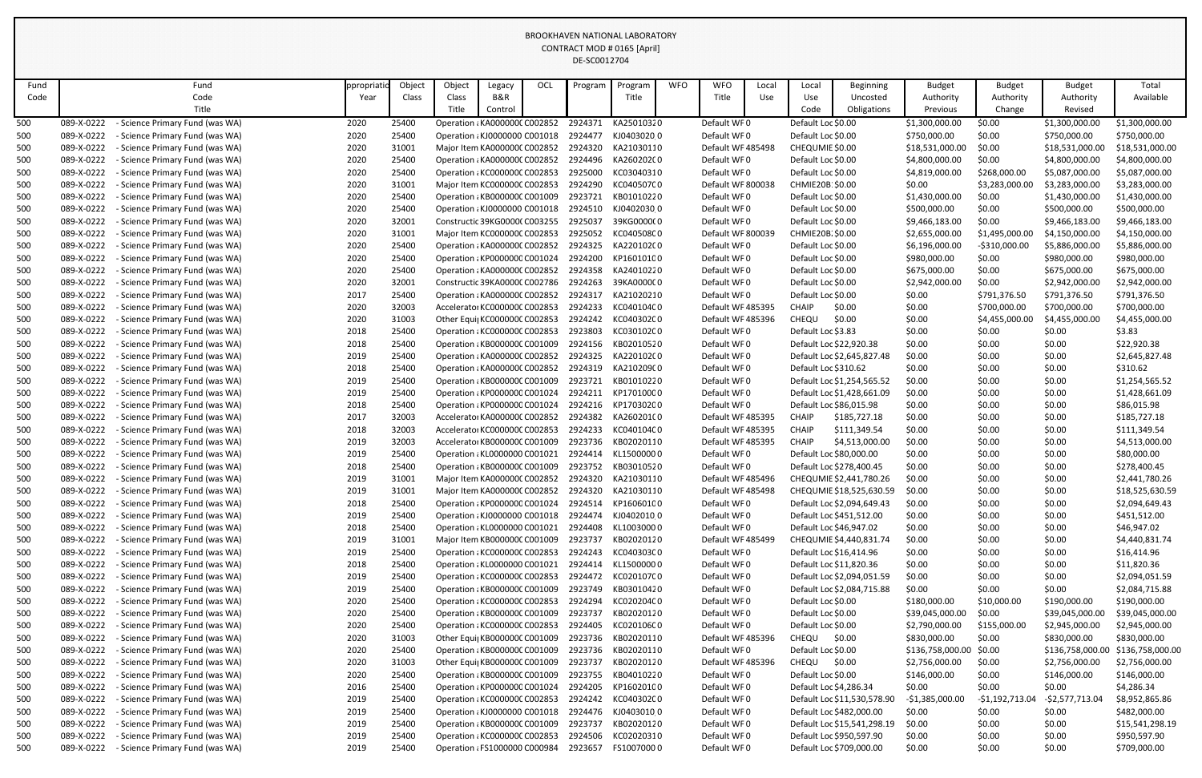| Fund |                          | Fund                                                               | ppropriatic  | Object         | Object                                                         | Legacy  | OCL | Program | Program                          | <b>WFO</b> | <b>WFO</b>                 | Local             | Local                | Beginning                                               | <b>Budget</b>           | <b>Budget</b>    | <b>Budget</b>    | Total                           |
|------|--------------------------|--------------------------------------------------------------------|--------------|----------------|----------------------------------------------------------------|---------|-----|---------|----------------------------------|------------|----------------------------|-------------------|----------------------|---------------------------------------------------------|-------------------------|------------------|------------------|---------------------------------|
| Code |                          | Code                                                               | Year         | Class          | Class                                                          | B&R     |     |         | Title                            |            | Title                      | Use               | Use                  | Uncosted                                                | Authority               | Authority        | Authority        | Available                       |
|      |                          | Title                                                              |              |                | Title                                                          | Control |     |         |                                  |            |                            |                   | Code                 | Obligations                                             | Previous                | Change           | Revised          |                                 |
| 500  | 089-X-0222               | - Science Primary Fund (was WA)                                    | 2020         | 25400          | Operation : KA000000C C002852                                  |         |     | 2924371 | KA25010320                       |            | Default WF0                |                   | Default Loc \$0.00   |                                                         | \$1,300,000.00          | \$0.00           | \$1,300,000.00   | \$1,300,000.00                  |
| 500  | 089-X-0222               | - Science Primary Fund (was WA)                                    | 2020         | 25400          | Operation : KJ0000000 C001018                                  |         |     | 2924477 | KJ04030200                       |            | Default WF0                |                   | Default Loc \$0.00   |                                                         | \$750,000.00            | \$0.00           | \$750,000.00     | \$750,000.00                    |
| 500  | 089-X-0222               | - Science Primary Fund (was WA)                                    | 2020         | 31001          | Major Item KA000000C C002852                                   |         |     | 2924320 | KA21030110                       |            |                            | Default WF 485498 | CHEQUMIE \$0.00      |                                                         | \$18,531,000.00         | \$0.00           | \$18,531,000.00  | \$18,531,000.00                 |
| 500  | 089-X-0222               | - Science Primary Fund (was WA)                                    | 2020         | 25400          | Operation : KA000000C C002852                                  |         |     | 2924496 | KA260202C0                       |            | Default WF0                |                   | Default Loc \$0.00   |                                                         | \$4,800,000.00          | \$0.00           | \$4,800,000.00   | \$4,800,000.00                  |
| 500  | 089-X-0222               | Science Primary Fund (was WA)                                      | 2020         | 25400          | Operation : KC000000C C002853                                  |         |     | 2925000 | KC03040310                       |            | Default WF0                |                   | Default Loc \$0.00   |                                                         | \$4,819,000.00          | \$268,000.00     | \$5,087,000.00   | \$5,087,000.00                  |
| 500  | 089-X-0222               | Science Primary Fund (was WA)                                      | 2020         | 31001          | Major Item KC000000C C002853                                   |         |     | 2924290 | KC040507C0                       |            |                            | Default WF 800038 | CHMIE20B: \$0.00     |                                                         | \$0.00                  | \$3,283,000.00   | \$3,283,000.00   | \$3,283,000.00                  |
| 500  | 089-X-0222               | - Science Primary Fund (was WA)                                    | 2020         | 25400          | Operation : KB000000C C001009                                  |         |     | 2923721 | KB01010220                       |            | Default WF0                |                   | Default Loc \$0.00   |                                                         | \$1,430,000.00          | \$0.00           | \$1,430,000.00   | \$1,430,000.00                  |
| 500  | 089-X-0222               | - Science Primary Fund (was WA)                                    | 2020         | 25400          | Operation : KJ0000000 C001018                                  |         |     | 2924510 | KJ04020300                       |            | Default WF0                |                   | Default Loc \$0.00   |                                                         | \$500,000.00            | \$0.00           | \$500,000.00     | \$500,000.00                    |
| 500  | 089-X-0222               | - Science Primary Fund (was WA)                                    | 2020         | 32001          | Constructic 39KG0000(C003255                                   |         |     | 2925037 | 39KG0000(0                       |            | Default WF0                |                   | Default Loc \$0.00   |                                                         | \$9,466,183.00          | \$0.00           | \$9,466,183.00   | \$9,466,183.00                  |
| 500  | 089-X-0222               | - Science Primary Fund (was WA)                                    | 2020         | 31001          | Major Item KC000000C C002853                                   |         |     | 2925052 | KC040508C0                       |            | Default WF 800039          |                   | CHMIE20B. \$0.00     |                                                         | \$2,655,000.00          | \$1,495,000.00   | \$4,150,000.00   | \$4,150,000.00                  |
| 500  | 089-X-0222               | Science Primary Fund (was WA)                                      | 2020         | 25400          | Operation : KA000000C C002852                                  |         |     | 2924325 | KA220102C0                       |            | Default WF0                |                   | Default Loc \$0.00   |                                                         | \$6,196,000.00          | -\$310,000.00    | \$5,886,000.00   | \$5,886,000.00                  |
| 500  | 089-X-0222               | - Science Primary Fund (was WA)                                    | 2020         | 25400          | Operation : KP0000000 C001024                                  |         |     | 2924200 | KP16010100                       |            | Default WF0                |                   | Default Loc \$0.00   |                                                         | \$980,000.00            | \$0.00           | \$980,000.00     | \$980,000.00                    |
| 500  | 089-X-0222               | - Science Primary Fund (was WA)                                    | 2020         | 25400          | Operation : KA000000C C002852                                  |         |     | 2924358 | KA24010220                       |            | Default WF0                |                   | Default Loc \$0.00   |                                                         | \$675,000.00            | \$0.00           | \$675,000.00     | \$675,000.00                    |
| 500  | 089-X-0222               | - Science Primary Fund (was WA)                                    | 2020         | 32001          | Constructic 39KA0000C C002786                                  |         |     | 2924263 | 39KA0000C0                       |            | Default WF0                |                   | Default Loc \$0.00   |                                                         | \$2,942,000.00          | \$0.00           | \$2,942,000.00   | \$2,942,000.00                  |
| 500  | 089-X-0222               | - Science Primary Fund (was WA)                                    | 2017         | 25400          | Operation : KA000000C C002852                                  |         |     | 2924317 | KA21020210                       |            | Default WF0                |                   | Default Loc \$0.00   |                                                         | \$0.00                  | \$791,376.50     | \$791,376.50     | \$791,376.50                    |
| 500  | 089-X-0222               | Science Primary Fund (was WA)                                      | 2020         | 32003          | Accelerator KC000000C C002853                                  |         |     | 2924233 | KC040104C0                       |            |                            | Default WF 485395 | CHAIP                | \$0.00                                                  | \$0.00                  | \$700,000.00     | \$700,000.00     | \$700,000.00                    |
| 500  | 089-X-0222               | - Science Primary Fund (was WA)                                    | 2020         | 31003          | Other Equi KC000000C C002853                                   |         |     | 2924242 | KC040302C0                       |            |                            | Default WF 485396 | CHEQU                | \$0.00                                                  | \$0.00                  | \$4,455,000.00   | \$4,455,000.00   | \$4,455,000.00                  |
| 500  | 089-X-0222               | - Science Primary Fund (was WA)                                    | 2018         | 25400          | Operation : KC000000C C002853                                  |         |     | 2923803 | KC030102C0                       |            | Default WF0                |                   | Default Loc \$3.83   |                                                         | \$0.00                  | \$0.00           | \$0.00           | \$3.83                          |
| 500  | 089-X-0222               | - Science Primary Fund (was WA)                                    | 2018         | 25400          | Operation : KB000000C C001009                                  |         |     | 2924156 | KB02010520                       |            | Default WF0                |                   |                      | Default Loc \$22,920.38                                 | \$0.00                  | \$0.00           | \$0.00           | \$22,920.38                     |
| 500  | 089-X-0222               | - Science Primary Fund (was WA)                                    | 2019         | 25400          | Operation : KA000000C C002852                                  |         |     | 2924325 | KA220102C0                       |            | Default WF0                |                   |                      | Default Loc \$2,645,827.48                              | \$0.00                  | \$0.00           | \$0.00           | \$2,645,827.48                  |
| 500  | 089-X-0222               | - Science Primary Fund (was WA)                                    | 2018         | 25400          | Operation : KA000000C C002852                                  |         |     | 2924319 | KA21020900                       |            | Default WF0                |                   | Default Loc \$310.62 |                                                         | \$0.00                  | \$0.00           | \$0.00           | \$310.62                        |
| 500  | 089-X-0222               | - Science Primary Fund (was WA)                                    | 2019         | 25400          | Operation : KB000000C C001009                                  |         |     | 2923721 | KB01010220                       |            | Default WF0                |                   |                      | Default Loc \$1,254,565.52                              | \$0.00                  | \$0.00           | \$0.00           | \$1,254,565.52                  |
| 500  | 089-X-0222               | - Science Primary Fund (was WA)                                    | 2019         | 25400          | Operation : KP0000000 C001024                                  |         |     | 2924211 | KP17010000                       |            | Default WF0                |                   |                      | Default Loc \$1,428,661.09                              | \$0.00                  | \$0.00           | \$0.00           | \$1,428,661.09                  |
| 500  | 089-X-0222               | - Science Primary Fund (was WA)                                    | 2018         | 25400          | Operation : KP0000000 C001024                                  |         |     | 2924216 | KP17030200                       |            | Default WF0                |                   |                      | Default Loc \$86,015.98                                 | \$0.00                  | \$0.00           | \$0.00           | \$86,015.98                     |
| 500  | 089-X-0222               | - Science Primary Fund (was WA)                                    | 2017         | 32003          | Accelerator KA000000C C002852                                  |         |     | 2924382 | KA260201(0                       |            | Default WF 485395          |                   | <b>CHAIP</b>         | \$185,727.18                                            | \$0.00                  | \$0.00           | \$0.00           | \$185,727.18                    |
| 500  | 089-X-0222               | - Science Primary Fund (was WA)                                    | 2018         | 32003          | Accelerator KC000000C C002853                                  |         |     | 2924233 | KC040104C0                       |            | Default WF 485395          |                   | <b>CHAIP</b>         | \$111,349.54                                            | \$0.00                  | \$0.00           | \$0.00           | \$111,349.54                    |
| 500  | 089-X-0222               | - Science Primary Fund (was WA)                                    | 2019         | 32003          | Accelerator KB000000C C001009                                  |         |     | 2923736 | KB02020110                       |            |                            | Default WF 485395 | <b>CHAIP</b>         | \$4,513,000.00                                          | \$0.00                  | \$0.00           | \$0.00           | \$4,513,000.00                  |
| 500  | 089-X-0222               | - Science Primary Fund (was WA)                                    | 2019         | 25400          | Operation : KL0000000 C001021                                  |         |     | 2924414 | KL15000000                       |            | Default WF0                |                   |                      | Default Loc \$80,000.00                                 | \$0.00                  | \$0.00           | \$0.00           | \$80,000.00                     |
| 500  | 089-X-0222               | - Science Primary Fund (was WA)                                    | 2018         | 25400          | Operation : KB000000C C001009                                  |         |     | 2923752 | KB03010520                       |            | Default WF0                |                   |                      | Default Loc \$278,400.45                                | \$0.00                  | \$0.00           | \$0.00           | \$278,400.45                    |
| 500  | 089-X-0222               | - Science Primary Fund (was WA)                                    | 2019         | 31001          | Major Item KA000000C C002852                                   |         |     | 2924320 | KA21030110                       |            |                            | Default WF 485496 |                      | CHEQUMIE \$2,441,780.26                                 | \$0.00                  | \$0.00           | \$0.00           | \$2,441,780.26                  |
| 500  | 089-X-0222               | - Science Primary Fund (was WA)                                    | 2019         | 31001          | Major Item KA000000C C002852                                   |         |     | 2924320 | KA21030110                       |            |                            | Default WF 485498 |                      | CHEQUMIE \$18,525,630.59                                | \$0.00                  | \$0.00           | \$0.00           | \$18,525,630.59                 |
| 500  | 089-X-0222               | - Science Primary Fund (was WA)                                    | 2018         | 25400          | Operation : KP0000000 C001024                                  |         |     | 2924514 | KP16060100                       |            | Default WF0                |                   |                      | Default Loc \$2,094,649.43                              | \$0.00                  | \$0.00           | \$0.00           | \$2,094,649.43                  |
| 500  | 089-X-0222               | - Science Primary Fund (was WA)                                    | 2019         | 25400          | Operation : KJ0000000 C001018                                  |         |     | 2924474 | KJ040201000                      |            | Default WF0                |                   |                      | Default Loc \$451,512.00                                | \$0.00                  | \$0.00           | \$0.00           | \$451,512.00                    |
| 500  | 089-X-0222               | - Science Primary Fund (was WA)                                    | 2018         | 25400          | Operation : KL0000000 C001021                                  |         |     | 2924408 | KL1003000 0                      |            | Default WF0                |                   |                      | Default Loc \$46,947.02                                 | \$0.00                  | \$0.00           | \$0.00           | \$46,947.02                     |
| 500  | 089-X-0222               | Science Primary Fund (was WA)                                      | 2019         | 31001          | Major Item KB000000C C001009                                   |         |     | 2923737 | KB02020120                       |            | Default WF 485499          |                   |                      | CHEQUMIE \$4,440,831.74                                 | \$0.00                  | \$0.00           | \$0.00           | \$4,440,831.74                  |
| 500  | 089-X-0222               | - Science Primary Fund (was WA)                                    | 2019         | 25400          | Operation : KC000000C C002853                                  |         |     | 2924243 | KC040303C0                       |            | Default WF0                |                   |                      | Default Loc \$16,414.96                                 | \$0.00                  | \$0.00           | \$0.00           | \$16,414.96                     |
| 500  | 089-X-0222               | - Science Primary Fund (was WA)                                    | 2018         | 25400          | Operation : KL0000000 C001021                                  |         |     | 2924414 | KL15000000                       |            | Default WF0                |                   |                      | Default Loc \$11,820.36                                 | \$0.00                  | \$0.00           | \$0.00           | \$11,820.36                     |
| 500  | 089-X-0222               | - Science Primary Fund (was WA)                                    | 2019         | 25400          | Operation : KC000000C C002853                                  |         |     | 2924472 | KC020107C0                       |            | Default WF0                |                   |                      | Default Loc \$2,094,051.59                              | \$0.00                  | \$0.00           | \$0.00           | \$2,094,051.59                  |
| 500  | 089-X-0222               | Science Primary Fund (was WA)                                      | 2019         | 25400          | Operation : KB000000C C001009                                  |         |     | 2923749 | KB03010420                       |            | Default WF0                |                   |                      | Default Loc \$2,084,715.88                              | \$0.00                  | \$0.00           | \$0.00           | \$2,084,715.88                  |
| 500  | 089-X-0222               | - Science Primary Fund (was WA)                                    | 2020         | 25400          | Operation : KC000000C C002853                                  |         |     | 2924294 | KC020204C0                       |            | Default WF0                |                   | Default Loc \$0.00   |                                                         | \$180,000.00            | \$10,000.00      | \$190,000.00     | \$190,000.00                    |
| 500  | 089-X-0222               | Science Primary Fund (was WA)                                      | 2020         | 25400          | Operation : KB000000C C001009                                  |         |     | 2923737 | KB02020120                       |            | Default WF0                |                   | Default Loc \$0.00   |                                                         | \$39,045,000.00         | \$0.00           | \$39,045,000.00  | \$39,045,000.00                 |
| 500  | 089-X-0222               | - Science Primary Fund (was WA)                                    | 2020         | 25400          | Operation : KC000000C C002853                                  |         |     | 2924405 | KC020106C0                       |            | Default WF0                |                   | Default Loc \$0.00   |                                                         | \$2,790,000.00          | \$155,000.00     | \$2,945,000.00   | \$2,945,000.00                  |
| 500  | 089-X-0222               | Science Primary Fund (was WA)                                      | 2020         | 31003          | Other Equi KB000000C C001009                                   |         |     | 2923736 | KB02020110                       |            |                            | Default WF 485396 | CHEQU                | \$0.00                                                  | \$830,000.00            | \$0.00           | \$830,000.00     | \$830,000.00                    |
| 500  | 089-X-0222               | - Science Primary Fund (was WA)                                    | 2020         | 25400          | Operation : KB000000C C001009                                  |         |     | 2923736 | KB02020110                       |            | Default WF0                |                   | Default Loc \$0.00   |                                                         | \$136,758,000.00 \$0.00 |                  | \$136,758,000.00 | \$136,758,000.00                |
| 500  | 089-X-0222               | - Science Primary Fund (was WA)                                    | 2020         | 31003          | Other Equi KB000000C C001009                                   |         |     | 2923737 | KB02020120                       |            |                            | Default WF 485396 | CHEQU                | \$0.00                                                  | \$2,756,000.00          | \$0.00           | \$2,756,000.00   | \$2,756,000.00                  |
| 500  | 089-X-0222               | Science Primary Fund (was WA)                                      | 2020         | 25400          | Operation : KB000000C C001009                                  |         |     | 2923755 | KB04010220                       |            | Default WF0                |                   | Default Loc \$0.00   |                                                         | \$146,000.00            | \$0.00           | \$146,000.00     | \$146,000.00                    |
| 500  | 089-X-0222<br>089-X-0222 | - Science Primary Fund (was WA)                                    | 2016         | 25400          | Operation : KP0000000 C001024                                  |         |     | 2924205 | KP16020100                       |            | Default WF0                |                   |                      | Default Loc \$4,286.34                                  | \$0.00                  | \$0.00           | \$0.00           | \$4,286.34                      |
| 500  |                          | Science Primary Fund (was WA)                                      | 2019         | 25400          | Operation : KC000000C C002853                                  |         |     | 2924242 | KC040302C0                       |            | Default WF0                |                   |                      | Default Loc \$11,530,578.90                             | $-$1,385,000.00$        | -\$1,192,713.04  | -\$2,577,713.04  | \$8,952,865.86                  |
| 500  | 089-X-0222<br>089-X-0222 | - Science Primary Fund (was WA)<br>- Science Primary Fund (was WA) | 2019<br>2019 | 25400          | Operation : KJ0000000 C001018                                  |         |     | 2923737 | 2924476 KJ04030100<br>KB02020120 |            | Default WF0<br>Default WF0 |                   |                      | Default Loc \$482,000.00<br>Default Loc \$15,541,298.19 | \$0.00<br>\$0.00        | \$0.00           | \$0.00<br>\$0.00 | \$482,000.00<br>\$15,541,298.19 |
| 500  | 089-X-0222               | - Science Primary Fund (was WA)                                    | 2019         | 25400<br>25400 | Operation : KB000000C C001009<br>Operation : KC000000C C002853 |         |     | 2924506 | KC02020310                       |            | Default WF0                |                   |                      | Default Loc \$950,597.90                                | \$0.00                  | \$0.00<br>\$0.00 | \$0.00           | \$950,597.90                    |
| 500  | 089-X-0222               | - Science Primary Fund (was WA)                                    | 2019         | 25400          |                                                                |         |     | 2923657 | FS10070000                       |            | Default WF0                |                   |                      |                                                         | \$0.00                  | \$0.00           |                  | \$709,000.00                    |
| 500  |                          |                                                                    |              |                | Operation : FS1000000 C000984                                  |         |     |         |                                  |            |                            |                   |                      | Default Loc \$709,000.00                                |                         |                  | \$0.00           |                                 |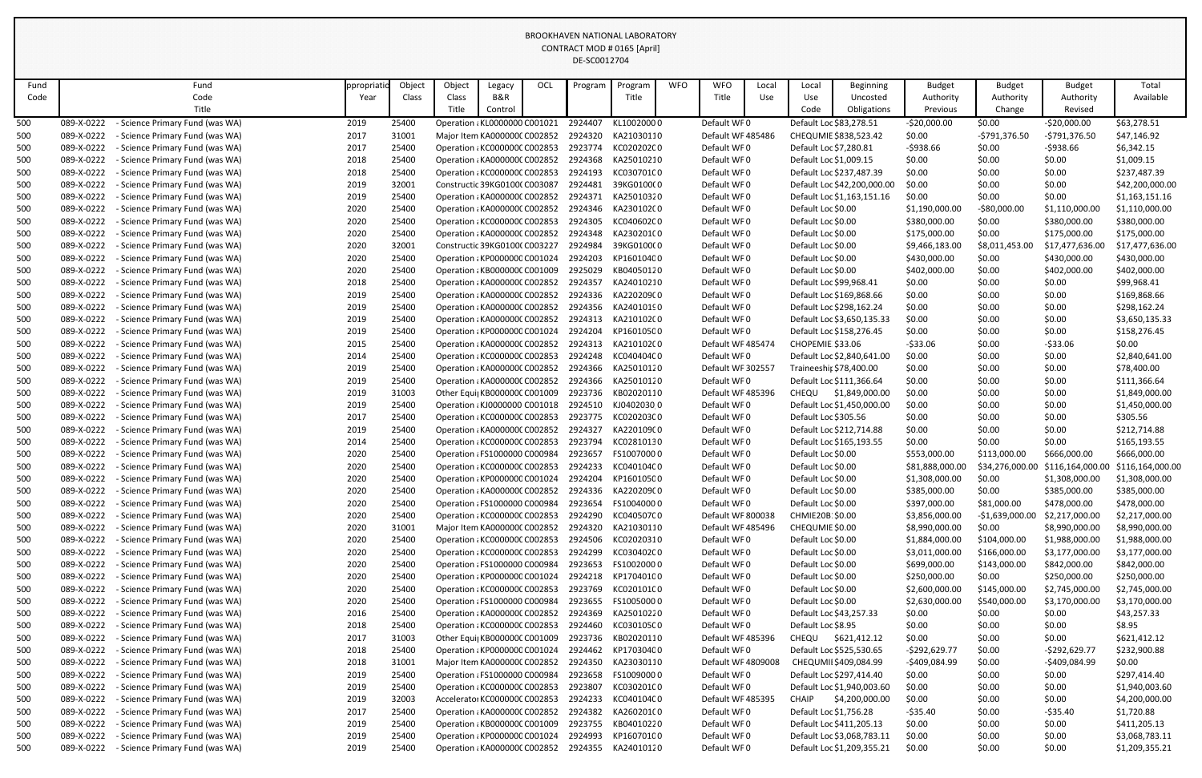| Fund |            | Fund                            | ppropriat | Object | Object                                | Legacy         | OCL | Program            | Program            | <b>WFO</b> | <b>WFO</b>         | Local | Local                   | <b>Beginning</b>            | <b>Budget</b>    | <b>Budget</b>    | <b>Budget</b>    | Total            |
|------|------------|---------------------------------|-----------|--------|---------------------------------------|----------------|-----|--------------------|--------------------|------------|--------------------|-------|-------------------------|-----------------------------|------------------|------------------|------------------|------------------|
| Code |            | Code                            | Year      | Class  | Class                                 | <b>B&amp;R</b> |     |                    | Title              |            | Title              | Use   | Use                     | Uncosted                    | Authority        | Authority        | Authority        | Available        |
|      |            | Title                           |           |        | Title                                 | Control        |     |                    |                    |            |                    |       | Code                    | Obligations                 | Previous         | Change           | Revised          |                  |
| 500  | 089-X-0222 | Science Primary Fund (was WA)   | 2019      | 25400  | Operation : KL0000000 C001021         |                |     | 2924407            | KL10020000         |            | Default WF0        |       | Default Loc \$83,278.51 |                             | $-$20,000.00$    | \$0.00           | $-$20,000.00$    | \$63,278.51      |
| 500  | 089-X-0222 | - Science Primary Fund (was WA) | 2017      | 31001  | Major Item KA000000C C002852          |                |     | 2924320            | KA21030110         |            | Default WF 485486  |       |                         | CHEQUMIE \$838,523.42       | \$0.00           | -\$791,376.50    | -\$791,376.50    | \$47,146.92      |
| 500  | 089-X-0222 | - Science Primary Fund (was WA) | 2017      | 25400  | Operation : KC000000C C002853         |                |     | 2923774            | KC020202C0         |            | Default WF0        |       | Default Loc \$7,280.81  |                             | -\$938.66        | \$0.00           | -\$938.66        | \$6,342.15       |
| 500  | 089-X-0222 | - Science Primary Fund (was WA) | 2018      | 25400  | Operation : KA000000C C002852         |                |     | 2924368            | KA25010210         |            | Default WF0        |       | Default Loc \$1,009.15  |                             | \$0.00           | \$0.00           | \$0.00           | \$1,009.15       |
| 500  | 089-X-0222 | Science Primary Fund (was WA)   | 2018      | 25400  | Operation : KC000000C C002853         |                |     | 2924193            | KC030701C0         |            | Default WF0        |       |                         | Default Loc \$237,487.39    | \$0.00           | \$0.00           | \$0.00           | \$237,487.39     |
| 500  | 089-X-0222 | - Science Primary Fund (was WA) | 2019      | 32001  | Constructic 39KG01000 C003087         |                |     | 2924481            | 39KG0100(0         |            | Default WF0        |       |                         | Default Loc \$42,200,000.00 | \$0.00           | \$0.00           | \$0.00           | \$42,200,000.00  |
| 500  | 089-X-0222 | - Science Primary Fund (was WA) | 2019      | 25400  | Operation : KA000000C C002852         |                |     | 2924371            | KA25010320         |            | Default WF0        |       |                         | Default Loc \$1,163,151.16  | \$0.00           | \$0.00           | \$0.00           | \$1,163,151.16   |
| 500  | 089-X-0222 | - Science Primary Fund (was WA) | 2020      | 25400  | Operation : KA000000C C002852         |                |     | 2924346            | KA230102C0         |            | Default WF0        |       | Default Loc \$0.00      |                             | \$1,190,000.00   | $-$80,000.00$    | \$1,110,000.00   | \$1,110,000.00   |
| 500  | 089-X-0222 | - Science Primary Fund (was WA) | 2020      | 25400  | Operation : KC000000C C002853         |                |     | 2924305            | KC040602C0         |            | Default WF0        |       | Default Loc \$0.00      |                             | \$380,000.00     | \$0.00           | \$380,000.00     | \$380,000.00     |
| 500  | 089-X-0222 | - Science Primary Fund (was WA) | 2020      | 25400  | Operation : KA000000C C002852         |                |     | 2924348            | KA230201(0         |            | Default WF0        |       | Default Loc \$0.00      |                             | \$175,000.00     | \$0.00           | \$175,000.00     | \$175,000.00     |
| 500  | 089-X-0222 | - Science Primary Fund (was WA) | 2020      | 32001  | Constructic 39KG01000 C003227         |                |     | 2924984            | 39KG0100(0         |            | Default WF0        |       | Default Loc \$0.00      |                             | \$9,466,183.00   | \$8,011,453.00   | \$17,477,636.00  | \$17,477,636.00  |
| 500  | 089-X-0222 | - Science Primary Fund (was WA) | 2020      | 25400  | Operation : KP0000000 C001024         |                |     | 2924203            | KP16010400         |            | Default WF0        |       | Default Loc \$0.00      |                             | \$430,000.00     | \$0.00           | \$430,000.00     | \$430,000.00     |
| 500  | 089-X-0222 | - Science Primary Fund (was WA) | 2020      | 25400  | Operation : KB000000C C001009         |                |     | 2925029            | KB04050120         |            | Default WF0        |       | Default Loc \$0.00      |                             | \$402,000.00     | \$0.00           | \$402,000.00     | \$402,000.00     |
| 500  | 089-X-0222 | - Science Primary Fund (was WA) | 2018      | 25400  | Operation : KA000000C C002852         |                |     | 2924357            | KA24010210         |            | Default WF0        |       | Default Loc \$99,968.41 |                             | \$0.00           | \$0.00           | \$0.00           | \$99,968.41      |
| 500  | 089-X-0222 | - Science Primary Fund (was WA) | 2019      | 25400  | Operation : KA000000C C002852         |                |     | 2924336            | KA220209C0         |            | Default WF0        |       |                         | Default Loc \$169,868.66    | \$0.00           | \$0.00           | \$0.00           | \$169,868.66     |
| 500  | 089-X-0222 | - Science Primary Fund (was WA) | 2019      | 25400  | Operation : KA000000C C002852         |                |     | 2924356            | KA24010190         |            | Default WF0        |       |                         | Default Loc \$298,162.24    | \$0.00           | \$0.00           | \$0.00           | \$298,162.24     |
| 500  | 089-X-0222 | - Science Primary Fund (was WA) | 2019      | 25400  | Operation : KA000000C C002852         |                |     | 2924313            | KA210102C0         |            | Default WF0        |       |                         | Default Loc \$3,650,135.33  | \$0.00           | \$0.00           | \$0.00           | \$3,650,135.33   |
| 500  | 089-X-0222 | - Science Primary Fund (was WA) | 2019      | 25400  | Operation : KP0000000 C001024         |                |     | 2924204            | KP16010500         |            | Default WF0        |       |                         | Default Loc \$158,276.45    | \$0.00           | \$0.00           | \$0.00           | \$158,276.45     |
| 500  | 089-X-0222 | - Science Primary Fund (was WA) | 2015      | 25400  | Operation : KA000000C C002852         |                |     | 2924313            | KA210102C0         |            | Default WF 485474  |       | CHOPEMIE \$33.06        |                             | $-533.06$        | \$0.00           | $-533.06$        | \$0.00           |
| 500  | 089-X-0222 | - Science Primary Fund (was WA) | 2014      | 25400  | Operation : KC000000C C002853         |                |     | 2924248            | KC040404C0         |            | Default WF0        |       |                         | Default Loc \$2,840,641.00  | \$0.00           | \$0.00           | \$0.00           | \$2,840,641.00   |
| 500  | 089-X-0222 | - Science Primary Fund (was WA) | 2019      | 25400  | Operation : KA000000C C002852         |                |     | 2924366            | KA25010120         |            | Default WF 302557  |       | Traineeshir \$78,400.00 |                             | \$0.00           | \$0.00           | \$0.00           | \$78,400.00      |
| 500  | 089-X-0222 | - Science Primary Fund (was WA) | 2019      | 25400  | Operation : KA000000C C002852         |                |     | 2924366            | KA25010120         |            | Default WF0        |       |                         | Default Loc \$111,366.64    | \$0.00           | \$0.00           | \$0.00           | \$111,366.64     |
| 500  | 089-X-0222 | - Science Primary Fund (was WA) | 2019      | 31003  | Other Equi KB000000C C001009          |                |     | 2923736            | KB02020110         |            | Default WF 485396  |       | <b>CHEQU</b>            | \$1,849,000.00              | \$0.00           | \$0.00           | \$0.00           | \$1,849,000.00   |
| 500  | 089-X-0222 | - Science Primary Fund (was WA) | 2019      | 25400  | Operation : KJ0000000 C001018         |                |     | 2924510            | KJ0402030 0        |            | Default WF0        |       |                         | Default Loc \$1,450,000.00  | \$0.00           | \$0.00           | \$0.00           | \$1,450,000.00   |
| 500  | 089-X-0222 | - Science Primary Fund (was WA) | 2017      | 25400  | Operation : KC000000C C002853         |                |     | 2923775            | KC020203C0         |            | Default WF0        |       | Default Loc \$305.56    |                             | \$0.00           | \$0.00           | \$0.00           | \$305.56         |
| 500  | 089-X-0222 | - Science Primary Fund (was WA) | 2019      | 25400  | Operation : KA000000C C002852         |                |     | 2924327            | KA220109C0         |            | Default WF0        |       |                         | Default Loc \$212,714.88    | \$0.00           | \$0.00           | \$0.00           | \$212,714.88     |
| 500  | 089-X-0222 | - Science Primary Fund (was WA) | 2014      | 25400  | Operation : KC000000C C002853 2923794 |                |     |                    | KC02810130         |            | Default WF0        |       |                         | Default Loc \$165,193.55    | \$0.00           | \$0.00           | \$0.00           | \$165,193.55     |
|      | 089-X-0222 | - Science Primary Fund (was WA) | 2020      | 25400  | Operation : FS1000000 C000984         |                |     | 2923657            | FS10070000         |            | Default WF0        |       | Default Loc \$0.00      |                             | \$553,000.00     | \$113,000.00     | \$666,000.00     | \$666,000.00     |
| 500  | 089-X-0222 | - Science Primary Fund (was WA) | 2020      | 25400  | Operation : KC000000C C002853         |                |     | 2924233            | KC040104C0         |            | Default WF0        |       | Default Loc \$0.00      |                             | \$81,888,000.00  | \$34,276,000.00  | \$116,164,000.00 | \$116,164,000.00 |
| 500  | 089-X-0222 | - Science Primary Fund (was WA) | 2020      | 25400  | Operation : KP0000000 C001024         |                |     | 2924204            | KP16010500         |            | Default WF0        |       | Default Loc \$0.00      |                             | \$1,308,000.00   | \$0.00           | \$1,308,000.00   | \$1,308,000.00   |
| 500  | 089-X-0222 | - Science Primary Fund (was WA) | 2020      | 25400  | Operation : KA000000C C002852         |                |     |                    | 2924336 KA220209C0 |            | Default WF0        |       | Default Loc \$0.00      |                             | \$385,000.00     | \$0.00           | \$385,000.00     | \$385,000.00     |
| 500  | 089-X-0222 | - Science Primary Fund (was WA) | 2020      | 25400  | Operation : FS1000000 C000984         |                |     | 2923654            | FS10040000         |            | Default WF0        |       | Default Loc \$0.00      |                             | \$397,000.00     | \$81,000.00      | \$478,000.00     | \$478,000.00     |
| 500  | 089-X-0222 | Science Primary Fund (was WA)   | 2020      | 25400  | Operation : KC000000C C002853         |                |     | 2924290            | KC040507C0         |            | Default WF 800038  |       | CHMIE20B: \$0.00        |                             | \$3,856,000.00   | $-$1,639,000.00$ | \$2,217,000.00   | \$2,217,000.00   |
| 500  | 089-X-0222 | - Science Primary Fund (was WA) | 2020      | 31001  | Major Item KA000000C C002852          |                |     | 2924320            | KA21030110         |            | Default WF 485496  |       | CHEQUMIE \$0.00         |                             | \$8,990,000.00   | \$0.00           | \$8,990,000.00   | \$8,990,000.00   |
| 500  | 089-X-0222 | Science Primary Fund (was WA)   | 2020      | 25400  | Operation : KC000000C C002853         |                |     | 2924506            | KC02020310         |            | Default WF0        |       | Default Loc \$0.00      |                             | \$1,884,000.00   | \$104,000.00     | \$1,988,000.00   | \$1,988,000.00   |
| 500  | 089-X-0222 | - Science Primary Fund (was WA) | 2020      | 25400  | Operation : KC000000C C002853         |                |     | 2924299            | KC030402C0         |            | Default WF0        |       | Default Loc \$0.00      |                             | \$3,011,000.00   | \$166,000.00     | \$3,177,000.00   | \$3,177,000.00   |
| 500  | 089-X-0222 | Science Primary Fund (was WA)   | 2020      | 25400  | Operation : FS1000000 C000984         |                |     | 2923653            | FS10020000         |            | Default WF0        |       | Default Loc \$0.00      |                             | \$699,000.00     | \$143,000.00     | \$842,000.00     | \$842,000.00     |
| 500  | 089-X-0222 | Science Primary Fund (was WA)   | 2020      | 25400  | Operation : KP0000000 C001024         |                |     | 2924218            | KP17040100         |            | Default WF0        |       | Default Loc \$0.00      |                             | \$250,000.00     | \$0.00           | \$250,000.00     | \$250,000.00     |
| 500  | 089-X-0222 | - Science Primary Fund (was WA) | 2020      | 25400  | Operation : KC000000C C002853         |                |     | 2923769            | KC020101C0         |            | Default WF0        |       | Default Loc \$0.00      |                             | \$2,600,000.00   | \$145,000.00     | \$2,745,000.00   | \$2,745,000.00   |
| 500  | 089-X-0222 | - Science Primary Fund (was WA) | 2020      | 25400  | Operation : FS1000000 C000984         |                |     | 2923655            | FS10050000         |            | Default WF0        |       | Default Loc \$0.00      |                             | \$2,630,000.00   | \$540,000.00     | \$3,170,000.00   | \$3,170,000.00   |
| 500  | 089-X-0222 | Science Primary Fund (was WA)   | 2016      | 25400  | Operation : KA000000C C002852         |                |     | 2924369            | KA25010220         |            | Default WF0        |       | Default Loc \$43,257.33 |                             | \$0.00           | \$0.00           | \$0.00           | \$43,257.33      |
|      | 089-X-0222 |                                 |           |        |                                       |                |     |                    |                    |            | Default WF0        |       |                         |                             |                  |                  |                  | \$8.95           |
| 500  | 089-X-0222 | - Science Primary Fund (was WA) | 2018      | 25400  | Operation : KC000000C C002853         |                |     | 2924460<br>2923736 | KC030105C0         |            |                    |       | Default Loc \$8.95      |                             | \$0.00<br>\$0.00 | \$0.00           | \$0.00           |                  |
| 500  |            | Science Primary Fund (was WA)   | 2017      | 31003  | Other Equi  KB000000C C001009         |                |     |                    | KB02020110         |            | Default WF 485396  |       | CHEQU                   | \$621,412.12                |                  | \$0.00           | \$0.00           | \$621,412.12     |
| 500  | 089-X-0222 | - Science Primary Fund (was WA) | 2018      | 25400  | Operation : KP0000000 C001024         |                |     | 2924462            | KP17030400         |            | Default WF0        |       |                         | Default Loc \$525,530.65    | $-5292,629.77$   | \$0.00           | $-5292,629.77$   | \$232,900.88     |
| 500  | 089-X-0222 | - Science Primary Fund (was WA) | 2018      | 31001  | Major Item KA000000C C002852          |                |     | 2924350            | KA23030110         |            | Default WF 4809008 |       |                         | CHEQUMII \$409,084.99       | -\$409,084.99    | \$0.00           | -\$409,084.99    | \$0.00           |
| 500  | 089-X-0222 | Science Primary Fund (was WA)   | 2019      | 25400  | Operation : FS1000000 C000984         |                |     | 2923658            | FS10090000         |            | Default WF0        |       |                         | Default Loc \$297,414.40    | \$0.00           | \$0.00           | \$0.00           | \$297,414.40     |
| 500  | 089-X-0222 | - Science Primary Fund (was WA) | 2019      | 25400  | Operation : KC000000C C002853         |                |     | 2923807            | KC030201C0         |            | Default WF0        |       |                         | Default Loc \$1,940,003.60  | \$0.00           | \$0.00           | \$0.00           | \$1,940,003.60   |
| 500  | 089-X-0222 | - Science Primary Fund (was WA) | 2019      | 32003  | Accelerator KC000000C C002853         |                |     | 2924233            | KC040104C0         |            | Default WF 485395  |       | <b>CHAIP</b>            | \$4,200,000.00              | \$0.00           | \$0.00           | \$0.00           | \$4,200,000.00   |
| 500  | 089-X-0222 | - Science Primary Fund (was WA) | 2017      | 25400  | Operation : KA000000C C002852         |                |     | 2924382            | KA260201(0         |            | Default WF0        |       | Default Loc \$1,756.28  |                             | $-535.40$        | \$0.00           | -\$35.40         | \$1,720.88       |
| 500  | 089-X-0222 | - Science Primary Fund (was WA) | 2019      | 25400  | Operation : KB000000C C001009         |                |     | 2923755            | KB04010220         |            | Default WF0        |       |                         | Default Loc \$411,205.13    | \$0.00           | \$0.00           | \$0.00           | \$411,205.13     |
| 500  | 089-X-0222 | Science Primary Fund (was WA)   | 2019      | 25400  | Operation : KP0000000 C001024         |                |     | 2924993            | KP16070100         |            | Default WF0        |       |                         | Default Loc \$3,068,783.11  | \$0.00           | \$0.00           | \$0.00           | \$3,068,783.11   |
| 500  | 089-X-0222 | - Science Primary Fund (was WA) | 2019      | 25400  | Operation : KA000000C C002852         |                |     | 2924355            | KA24010120         |            | Default WF0        |       |                         | Default Loc \$1,209,355.21  | \$0.00           | \$0.00           | \$0.00           | \$1,209,355.21   |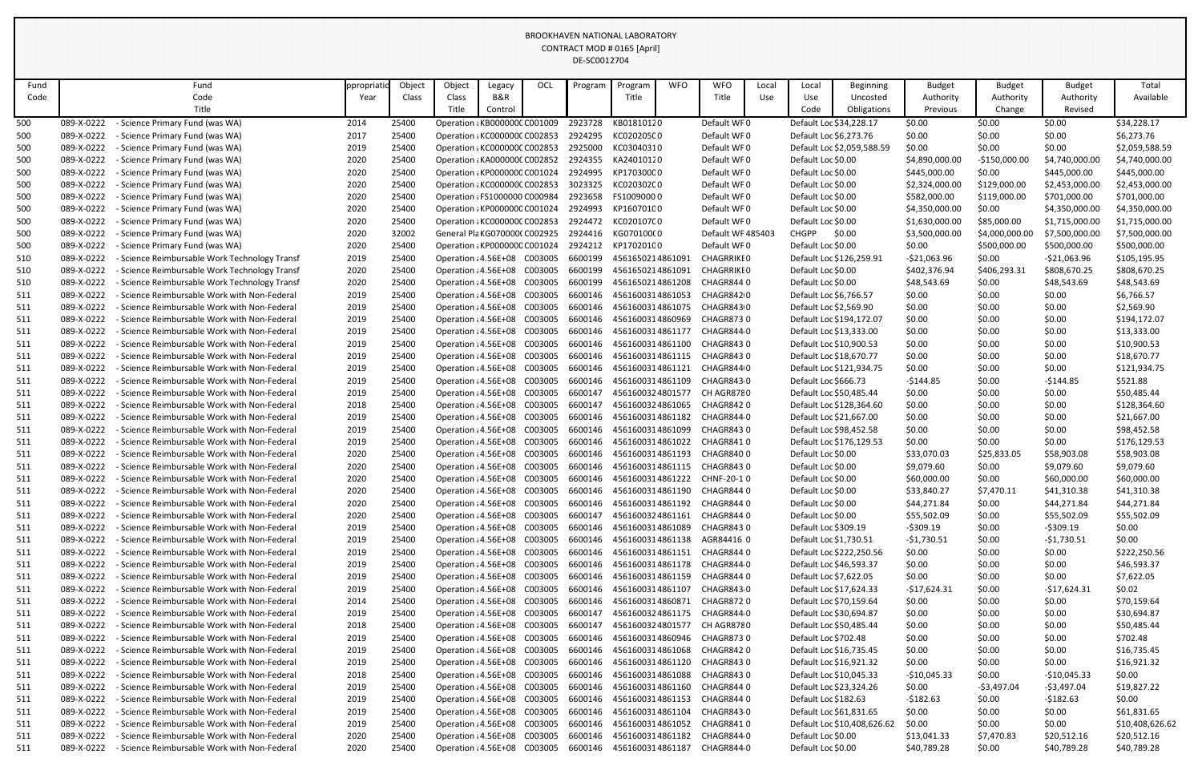| Fund |            | Fund                                              | ppropriatio | Object | Object                        | Legacy  | <b>OCL</b> | Program | Program                             | <b>WFO</b> | <b>WFO</b>        | Local | Local                   | <b>Beginning</b>            | <b>Budget</b>  | <b>Budget</b>  | <b>Budget</b>  | Total           |
|------|------------|---------------------------------------------------|-------------|--------|-------------------------------|---------|------------|---------|-------------------------------------|------------|-------------------|-------|-------------------------|-----------------------------|----------------|----------------|----------------|-----------------|
| Code |            | Code                                              | Year        | Class  | Class                         | B&R     |            |         | Title                               |            | Title             | Use   | Use                     | Uncosted                    | Authority      | Authority      | Authority      | Available       |
|      |            | Title                                             |             |        | Title                         | Control |            |         |                                     |            |                   |       | Code                    | Obligations                 | Previous       | Change         | Revised        |                 |
| 500  | 089-X-0222 | Science Primary Fund (was WA)                     | 2014        | 25400  | Operation : KB000000C C001009 |         |            | 2923728 | KB01810120                          |            | Default WF0       |       | Default Loc \$34,228.17 |                             | \$0.00         | \$0.00         | \$0.00         | \$34,228.17     |
| 500  | 089-X-0222 | - Science Primary Fund (was WA)                   | 2017        | 25400  | Operation : KC000000C C002853 |         |            | 2924295 | KC020205C0                          |            | Default WF0       |       | Default Loc \$6,273.76  |                             | \$0.00         | \$0.00         | \$0.00         | \$6,273.76      |
| 500  | 089-X-0222 | - Science Primary Fund (was WA)                   | 2019        | 25400  | Operation : KC000000C C002853 |         |            | 2925000 | KC03040310                          |            | Default WF0       |       |                         | Default Loc \$2,059,588.59  | \$0.00         | \$0.00         | \$0.00         | \$2,059,588.59  |
| 500  | 089-X-0222 | - Science Primary Fund (was WA)                   | 2020        | 25400  | Operation : KA000000C C002852 |         |            | 2924355 | KA24010120                          |            | Default WF0       |       | Default Loc \$0.00      |                             | \$4,890,000.00 | $-$150,000.00$ | \$4,740,000.00 | \$4,740,000.00  |
| 500  | 089-X-0222 | - Science Primary Fund (was WA)                   | 2020        | 25400  | Operation : KP0000000 C001024 |         |            | 2924995 | KP17030000                          |            | Default WF0       |       | Default Loc \$0.00      |                             | \$445,000.00   | \$0.00         | \$445,000.00   | \$445,000.00    |
| 500  | 089-X-0222 | - Science Primary Fund (was WA)                   | 2020        | 25400  | Operation : KC000000C C002853 |         |            | 3023325 | KC020302C0                          |            | Default WF0       |       | Default Loc \$0.00      |                             | \$2,324,000.00 | \$129,000.00   | \$2,453,000.00 | \$2,453,000.00  |
| 500  | 089-X-0222 | - Science Primary Fund (was WA)                   | 2020        | 25400  | Operation : FS1000000 C000984 |         |            | 2923658 | FS10090000                          |            | Default WF0       |       | Default Loc \$0.00      |                             | \$582,000.00   | \$119,000.00   | \$701,000.00   | \$701,000.00    |
| 500  | 089-X-0222 | - Science Primary Fund (was WA)                   | 2020        | 25400  | Operation : KP0000000 C001024 |         |            | 2924993 | KP16070100                          |            | Default WF0       |       | Default Loc \$0.00      |                             | \$4,350,000.00 | \$0.00         | \$4,350,000.00 | \$4,350,000.00  |
| 500  | 089-X-0222 | - Science Primary Fund (was WA)                   | 2020        | 25400  | Operation : KC000000C C002853 |         |            | 2924472 | KC020107C0                          |            | Default WF0       |       | Default Loc \$0.00      |                             | \$1,630,000.00 | \$85,000.00    | \$1,715,000.00 | \$1,715,000.00  |
| 500  | 089-X-0222 | - Science Primary Fund (was WA)                   | 2020        | 32002  | General Pla KG0700000 C002925 |         |            | 2924416 | KG070100(0                          |            | Default WF 485403 |       | <b>CHGPP</b>            | \$0.00                      | \$3,500,000.00 | \$4,000,000.00 | \$7,500,000.00 | \$7,500,000.00  |
| 500  | 089-X-0222 | - Science Primary Fund (was WA)                   | 2020        | 25400  | Operation : KP0000000 C001024 |         |            | 2924212 | KP17020100                          |            | Default WF0       |       | Default Loc \$0.00      |                             | \$0.00         | \$500,000.00   | \$500,000.00   | \$500,000.00    |
| 510  | 089-X-0222 | - Science Reimbursable Work Technology Transf     | 2019        | 25400  | Operation : 4.56E+08 C003005  |         |            | 6600199 | 4561650214861091                    |            | <b>CHAGRRIKEO</b> |       |                         | Default Loc \$126,259.91    | $-521,063.96$  | \$0.00         | $-521,063.96$  | \$105,195.95    |
| 510  | 089-X-0222 | - Science Reimbursable Work Technology Transf     | 2020        | 25400  | Operation : 4.56E+08          |         | C003005    | 6600199 | 4561650214861091                    |            | <b>CHAGRRIKEO</b> |       | Default Loc \$0.00      |                             | \$402,376.94   | \$406,293.31   | \$808,670.25   | \$808,670.25    |
| 510  | 089-X-0222 | - Science Reimbursable Work Technology Transf     | 2020        | 25400  | Operation : 4.56E+08 C003005  |         |            | 6600199 | 4561650214861208                    |            | CHAGR8440         |       | Default Loc \$0.00      |                             | \$48,543.69    | \$0.00         | \$48,543.69    | \$48,543.69     |
| 511  | 089-X-0222 | - Science Reimbursable Work with Non-Federal      | 2019        | 25400  | Operation : 4.56E+08          |         | C003005    | 6600146 | 4561600314861053                    |            | CHAGR8420         |       | Default Loc \$6,766.57  |                             | \$0.00         | \$0.00         | \$0.00         | \$6,766.57      |
| 511  | 089-X-0222 | <b>Science Reimbursable Work with Non-Federal</b> | 2019        | 25400  | Operation : 4.56E+08          |         | C003005    | 6600146 | 4561600314861075                    |            | CHAGR8430         |       | Default Loc \$2,569.90  |                             | \$0.00         | \$0.00         | \$0.00         | \$2,569.90      |
| 511  | 089-X-0222 | - Science Reimbursable Work with Non-Federal      | 2019        | 25400  | Operation : 4.56E+08          |         | C003005    | 6600146 | 4561600314860969                    |            | CHAGR8730         |       |                         | Default Loc \$194,172.07    | \$0.00         | \$0.00         | \$0.00         | \$194,172.07    |
| 511  | 089-X-0222 | - Science Reimbursable Work with Non-Federal      | 2019        | 25400  | Operation : 4.56E+08          |         | C003005    | 6600146 | 4561600314861177                    |            | CHAGR844 0        |       | Default Loc \$13,333.00 |                             | \$0.00         | \$0.00         | \$0.00         | \$13,333.00     |
| 511  | 089-X-0222 | - Science Reimbursable Work with Non-Federal      | 2019        | 25400  | Operation : 4.56E+08          |         | C003005    | 6600146 | 4561600314861100                    |            | CHAGR8430         |       | Default Loc \$10,900.53 |                             | \$0.00         | \$0.00         | \$0.00         | \$10,900.53     |
| 511  | 089-X-0222 | - Science Reimbursable Work with Non-Federal      | 2019        | 25400  | Operation : 4.56E+08          |         | C003005    | 6600146 | 4561600314861115                    |            | CHAGR8430         |       | Default Loc \$18,670.77 |                             | \$0.00         | \$0.00         | \$0.00         | \$18,670.77     |
| 511  | 089-X-0222 | - Science Reimbursable Work with Non-Federal      | 2019        | 25400  | Operation : 4.56E+08          |         | C003005    | 6600146 | 4561600314861121                    |            | CHAGR844 0        |       |                         | Default Loc \$121,934.75    | \$0.00         | \$0.00         | \$0.00         | \$121,934.75    |
| 511  | 089-X-0222 | - Science Reimbursable Work with Non-Federal      | 2019        | 25400  | Operation : 4.56E+08          |         | C003005    | 6600146 | 4561600314861109                    |            | CHAGR843 0        |       | Default Loc \$666.73    |                             | $-5144.85$     | \$0.00         | $-5144.85$     | \$521.88        |
| 511  | 089-X-0222 | - Science Reimbursable Work with Non-Federal      | 2019        | 25400  | Operation : 4.56E+08          |         | C003005    | 6600147 | 4561600324801577                    |            | CH AGR8780        |       | Default Loc \$50,485.44 |                             | \$0.00         | \$0.00         | \$0.00         | \$50,485.44     |
| 511  | 089-X-0222 | - Science Reimbursable Work with Non-Federal      | 2018        | 25400  | Operation : 4.56E+08          |         | C003005    | 6600147 | 4561600324861065                    |            | CHAGR8420         |       |                         | Default Loc \$128,364.60    | \$0.00         | \$0.00         | \$0.00         | \$128,364.60    |
| 511  | 089-X-0222 | - Science Reimbursable Work with Non-Federal      | 2019        | 25400  | Operation : 4.56E+08          |         | C003005    | 6600146 | 4561600314861182                    |            | CHAGR844 0        |       | Default Loc \$21,667.00 |                             | \$0.00         | \$0.00         | \$0.00         | \$21,667.00     |
| 511  | 089-X-0222 | - Science Reimbursable Work with Non-Federal      | 2019        | 25400  | Operation : 4.56E+08          |         | C003005    | 6600146 | 4561600314861099                    |            | CHAGR8430         |       | Default Loc \$98,452.58 |                             | \$0.00         | \$0.00         | \$0.00         | \$98,452.58     |
| 511  | 089-X-0222 | - Science Reimbursable Work with Non-Federal      | 2019        | 25400  | Operation : 4.56E+08 C003005  |         |            | 6600146 | 4561600314861022                    |            | CHAGR8410         |       |                         | Default Loc \$176,129.53    | \$0.00         | \$0.00         | \$0.00         | \$176,129.53    |
| 511  | 089-X-0222 | - Science Reimbursable Work with Non-Federal      | 2020        | 25400  |                               |         |            |         |                                     |            |                   |       | Default Loc \$0.00      |                             | \$33,070.03    | \$25,833.05    | \$58,903.08    | \$58,903.08     |
| 511  | 089-X-0222 | - Science Reimbursable Work with Non-Federal      | 2020        | 25400  | Operation : 4.56E+08 C003005  |         |            | 6600146 | 4561600314861115 CHAGR8430          |            |                   |       | Default Loc \$0.00      |                             | \$9,079.60     | \$0.00         | \$9,079.60     | \$9,079.60      |
| 511  | 089-X-0222 | - Science Reimbursable Work with Non-Federal      | 2020        | 25400  | Operation : 4.56E+08          |         | C003005    | 6600146 | 4561600314861222                    |            | CHNF-20-1 0       |       | Default Loc \$0.00      |                             | \$60,000.00    | \$0.00         | \$60,000.00    | \$60,000.00     |
| 511  | 089-X-0222 | - Science Reimbursable Work with Non-Federal      | 2020        | 25400  | Operation : 4.56E+08          |         | C003005    | 6600146 | 4561600314861190                    |            | CHAGR8440         |       | Default Loc \$0.00      |                             | \$33,840.27    | \$7,470.11     | \$41,310.38    | \$41,310.38     |
| 511  | 089-X-0222 | - Science Reimbursable Work with Non-Federal      | 2020        | 25400  | Operation : 4.56E+08          |         | C003005    | 6600146 | 4561600314861192                    |            | CHAGR844 0        |       | Default Loc \$0.00      |                             | \$44,271.84    | \$0.00         | \$44,271.84    | \$44,271.84     |
| 511  | 089-X-0222 | - Science Reimbursable Work with Non-Federal      | 2020        | 25400  | Operation : 4.56E+08          |         | C003005    | 6600147 | 4561600324861161                    |            | CHAGR844 0        |       | Default Loc \$0.00      |                             | \$55,502.09    | \$0.00         | \$55,502.09    | \$55,502.09     |
| 511  | 089-X-0222 | - Science Reimbursable Work with Non-Federal      | 2019        | 25400  | Operation : 4.56E+08 C003005  |         |            | 6600146 | 4561600314861089                    |            | CHAGR8430         |       | Default Loc \$309.19    |                             | $-5309.19$     | \$0.00         | $-5309.19$     | \$0.00          |
| 511  | 089-X-0222 | - Science Reimbursable Work with Non-Federal      | 2019        | 25400  | Operation : 4.56E+08          |         | C003005    | 6600146 | 4561600314861138                    |            | AGR84416 0        |       | Default Loc \$1,730.51  |                             | $-51,730.51$   | \$0.00         | $-$1,730.51$   | \$0.00          |
| 511  | 089-X-0222 | - Science Reimbursable Work with Non-Federal      | 2019        | 25400  | Operation : 4.56E+08          |         | C003005    | 6600146 | 4561600314861151                    |            | CHAGR8440         |       |                         | Default Loc \$222,250.56    | \$0.00         | \$0.00         | \$0.00         | \$222,250.56    |
| 511  | 089-X-0222 | - Science Reimbursable Work with Non-Federal      | 2019        | 25400  | Operation : 4.56E+08 C003005  |         |            | 6600146 | 4561600314861178                    |            | CHAGR8440         |       | Default Loc \$46,593.37 |                             | \$0.00         | \$0.00         | \$0.00         | \$46,593.37     |
| 511  | 089-X-0222 | - Science Reimbursable Work with Non-Federal      | 2019        | 25400  | Operation : 4.56E+08          |         | C003005    | 6600146 | 4561600314861159                    |            | CHAGR8440         |       | Default Loc \$7,622.05  |                             | \$0.00         | \$0.00         | \$0.00         | \$7,622.05      |
| 511  | 089-X-0222 | <b>Science Reimbursable Work with Non-Federal</b> | 2019        | 25400  | Operation : 4.56E+08 C003005  |         |            | 6600146 | 4561600314861107                    |            | CHAGR8430         |       | Default Loc \$17,624.33 |                             | $-$17,624.31$  | \$0.00         | $-$17,624.31$  | \$0.02          |
| 511  | 089-X-0222 | - Science Reimbursable Work with Non-Federal      | 2014        | 25400  | Operation : 4.56E+08          |         | C003005    | 6600146 | 4561600314860871                    |            | CHAGR8720         |       | Default Loc \$70,159.64 |                             | \$0.00         | \$0.00         | \$0.00         | \$70,159.64     |
| 511  | 089-X-0222 | - Science Reimbursable Work with Non-Federal      | 2019        | 25400  | Operation : 4.56E+08          |         | C003005    | 6600147 | 4561600324861175                    |            | CHAGR844 0        |       | Default Loc \$30,694.87 |                             | \$0.00         | \$0.00         | \$0.00         | \$30,694.87     |
| 511  | 089-X-0222 | - Science Reimbursable Work with Non-Federal      | 2018        | 25400  | Operation : 4.56E+08 C003005  |         |            | 6600147 | 4561600324801577                    |            | CH AGR8780        |       | Default Loc \$50,485.44 |                             | \$0.00         | \$0.00         | \$0.00         | \$50,485.44     |
| 511  | 089-X-0222 | - Science Reimbursable Work with Non-Federal      | 2019        | 25400  | Operation : 4.56E+08          |         | C003005    | 6600146 | 4561600314860946                    |            | CHAGR873 0        |       | Default Loc \$702.48    |                             | \$0.00         | \$0.00         | \$0.00         | \$702.48        |
| 511  | 089-X-0222 | - Science Reimbursable Work with Non-Federal      | 2019        | 25400  | Operation : 4.56E+08 C003005  |         |            | 6600146 | 4561600314861068 CHAGR842 0         |            |                   |       | Default Loc \$16,735.45 |                             | \$0.00         | \$0.00         | \$0.00         | \$16,735.45     |
| 511  | 089-X-0222 | - Science Reimbursable Work with Non-Federal      | 2019        | 25400  | Operation : 4.56E+08          |         | C003005    | 6600146 | 4561600314861120                    |            | CHAGR843 0        |       | Default Loc \$16,921.32 |                             | \$0.00         | \$0.00         | \$0.00         | \$16,921.32     |
| 511  | 089-X-0222 | - Science Reimbursable Work with Non-Federal      | 2018        | 25400  | Operation : 4.56E+08          |         | C003005    | 6600146 | 4561600314861088                    |            | CHAGR8430         |       | Default Loc \$10,045.33 |                             | $-$10,045.33$  | \$0.00         | $-$10,045.33$  | \$0.00          |
| 511  | 089-X-0222 | - Science Reimbursable Work with Non-Federal      | 2019        | 25400  | Operation : 4.56E+08          |         | C003005    | 6600146 | 4561600314861160                    |            | CHAGR844 0        |       | Default Loc \$23,324.26 |                             | \$0.00         | $-53,497.04$   | $-53,497.04$   | \$19,827.22     |
| 511  | 089-X-0222 | - Science Reimbursable Work with Non-Federal      | 2019        | 25400  | Operation : 4.56E+08          |         | C003005    | 6600146 | 4561600314861153                    |            | CHAGR844 0        |       | Default Loc \$182.63    |                             | $-5182.63$     | \$0.00         | -\$182.63      | \$0.00          |
| 511  | 089-X-0222 | - Science Reimbursable Work with Non-Federal      | 2019        | 25400  | Operation : 4.56E+08          |         | C003005    | 6600146 | 4561600314861104                    |            | CHAGR8430         |       | Default Loc \$61,831.65 |                             | \$0.00         | \$0.00         | \$0.00         | \$61,831.65     |
| 511  | 089-X-0222 | - Science Reimbursable Work with Non-Federal      | 2019        | 25400  | Operation : 4.56E+08 C003005  |         |            | 6600146 | 4561600314861052                    |            | CHAGR841 0        |       |                         | Default Loc \$10,408,626.62 | \$0.00         | \$0.00         | \$0.00         | \$10,408,626.62 |
| 511  | 089-X-0222 | - Science Reimbursable Work with Non-Federal      | 2020        | 25400  | Operation : 4.56E+08          |         | C003005    | 6600146 | 4561600314861182                    |            | CHAGR8440         |       | Default Loc \$0.00      |                             | \$13,041.33    | \$7,470.83     | \$20,512.16    | \$20,512.16     |
| 511  | 089-X-0222 | - Science Reimbursable Work with Non-Federal      | 2020        | 25400  | Operation : 4.56E+08 C003005  |         |            |         | 6600146 4561600314861187 CHAGR844 0 |            |                   |       | Default Loc \$0.00      |                             | \$40,789.28    | \$0.00         | \$40,789.28    | \$40,789.28     |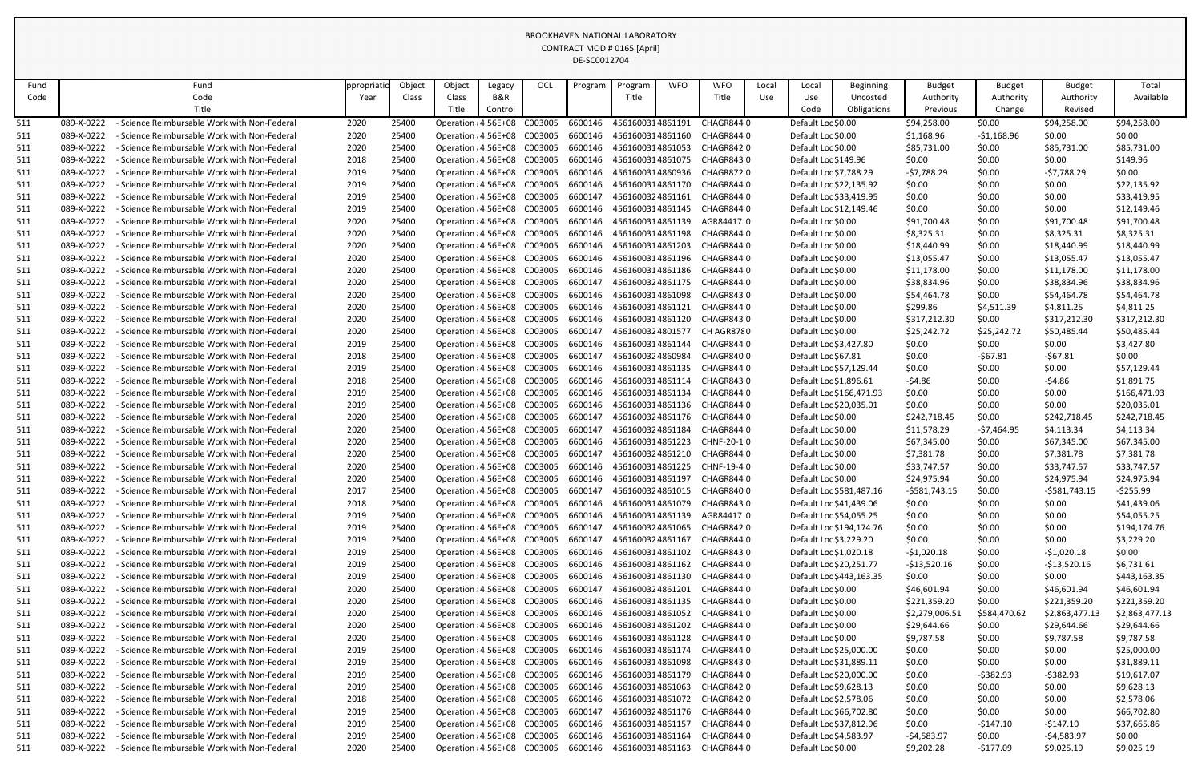| Fund       |                          | Fund                                                                                       | ppropriat    | Object         | Object                                       | Legacy  | OCL                | Program            | Program                              | <b>WFO</b> | <b>WFO</b>                                                       | Local | Local                                             | <b>Beginning</b>         | <b>Budget</b>              | <b>Budget</b>        | <b>Budget</b>              | Total                      |
|------------|--------------------------|--------------------------------------------------------------------------------------------|--------------|----------------|----------------------------------------------|---------|--------------------|--------------------|--------------------------------------|------------|------------------------------------------------------------------|-------|---------------------------------------------------|--------------------------|----------------------------|----------------------|----------------------------|----------------------------|
| Code       |                          | Code                                                                                       | Year         | Class          | Class                                        | B&R     |                    |                    | Title                                |            | Title                                                            | Use   | Use                                               | Uncosted                 | Authority                  | Authority            | Authority                  | Available                  |
|            |                          | Title                                                                                      |              |                | Title                                        | Control |                    |                    |                                      |            |                                                                  |       | Code                                              | <b>Obligations</b>       | Previous                   | Change               | Revised                    |                            |
| 511        | 089-X-0222               | - Science Reimbursable Work with Non-Federal                                               | 2020         | 25400          | Operation : 4.56E+08                         |         | C003005            | 6600146            | 4561600314861191                     |            | CHAGR8440                                                        |       | Default Loc \$0.00                                |                          | \$94,258.00                | \$0.00               | \$94,258.00                | \$94,258.00                |
| 511        | 089-X-0222               | - Science Reimbursable Work with Non-Federal                                               | 2020         | 25400          | Operation : 4.56E+08                         |         | C003005            | 6600146            | 4561600314861160                     |            | CHAGR844 0                                                       |       | Default Loc \$0.00                                |                          | \$1,168.96                 | $-51,168.96$         | \$0.00                     | \$0.00                     |
| 511        | 089-X-0222               | Science Reimbursable Work with Non-Federal                                                 | 2020         | 25400          | Operation : 4.56E+08                         |         | C003005            | 6600146            | 4561600314861053                     |            | CHAGR8420                                                        |       | Default Loc \$0.00                                |                          | \$85,731.00                | \$0.00               | \$85,731.00                | \$85,731.00                |
| 511        | 089-X-0222               | Science Reimbursable Work with Non-Federal                                                 | 2018         | 25400          | Operation : 4.56E+08                         |         | C003005            | 6600146            | 4561600314861075                     |            | CHAGR843 0                                                       |       | Default Loc \$149.96                              |                          | \$0.00                     | \$0.00               | \$0.00                     | \$149.96                   |
| 511        | 089-X-0222               | Science Reimbursable Work with Non-Federal                                                 | 2019         | 25400          | Operation : 4.56E+08                         |         | C003005            | 6600146            | 4561600314860936                     |            | CHAGR8720                                                        |       | Default Loc \$7,788.29                            |                          | $-57,788.29$               | \$0.00               | $-57,788.29$               | \$0.00                     |
| 511        | 089-X-0222               | - Science Reimbursable Work with Non-Federal                                               | 2019         | 25400          | Operation : 4.56E+08                         |         | C003005            | 6600146            | 4561600314861170                     |            | CHAGR8440                                                        |       | Default Loc \$22,135.92                           |                          | \$0.00                     | \$0.00               | \$0.00                     | \$22,135.92                |
| 511        | 089-X-0222               | - Science Reimbursable Work with Non-Federal                                               | 2019         | 25400          | Operation : 4.56E+08                         |         | C003005            | 6600147            | 4561600324861161                     |            | CHAGR844 0                                                       |       | Default Loc \$33,419.95                           |                          | \$0.00                     | \$0.00               | \$0.00                     | \$33,419.95                |
| 511        | 089-X-0222               | Science Reimbursable Work with Non-Federal                                                 | 2019         | 25400          | Operation : 4.56E+08                         |         | C003005            | 6600146            | 4561600314861145                     |            | CHAGR844 0                                                       |       |                                                   | Default Loc \$12,149.46  | \$0.00                     | \$0.00               | \$0.00                     | \$12,149.46                |
| 511        | 089-X-0222               | Science Reimbursable Work with Non-Federal                                                 | 2020         | 25400          | Operation : 4.56E+08                         |         | C003005            | 6600146            | 4561600314861139                     |            | AGR84417 0                                                       |       | Default Loc \$0.00                                |                          | \$91,700.48                | \$0.00               | \$91,700.48                | \$91,700.48                |
| 511        | 089-X-0222               | - Science Reimbursable Work with Non-Federal                                               | 2020         | 25400          | Operation : 4.56E+08                         |         | C003005            | 6600146            | 4561600314861198                     |            | CHAGR844 0                                                       |       | Default Loc \$0.00                                |                          | \$8,325.31                 | \$0.00               | \$8,325.31                 | \$8,325.31                 |
| 511        | 089-X-0222               | - Science Reimbursable Work with Non-Federal                                               | 2020         | 25400          | Operation : 4.56E+08                         |         | C003005            | 6600146            | 4561600314861203                     |            | CHAGR844 0                                                       |       | Default Loc \$0.00                                |                          | \$18,440.99                | \$0.00               | \$18,440.99                | \$18,440.99                |
| 511        | 089-X-0222               | Science Reimbursable Work with Non-Federal                                                 | 2020         | 25400<br>25400 | Operation : 4.56E+08                         |         | C003005            | 6600146            | 4561600314861196                     |            | CHAGR844 0                                                       |       | Default Loc \$0.00                                |                          | \$13,055.47                | \$0.00               | \$13,055.47                | \$13,055.47                |
| 511<br>511 | 089-X-0222<br>089-X-0222 | Science Reimbursable Work with Non-Federal<br>- Science Reimbursable Work with Non-Federal | 2020<br>2020 | 25400          | Operation : 4.56E+08<br>Operation : 4.56E+08 |         | C003005<br>C003005 | 6600146<br>6600147 | 4561600324861175                     |            | 4561600314861186 CHAGR844 0<br>CHAGR844 0                        |       | Default Loc \$0.00<br>Default Loc \$0.00          |                          | \$11,178.00<br>\$38,834.96 | \$0.00<br>\$0.00     | \$11,178.00                | \$11,178.00<br>\$38,834.96 |
| 511        | 089-X-0222               | Science Reimbursable Work with Non-Federal                                                 | 2020         | 25400          | Operation : 4.56E+08                         |         | C003005            | 6600146            | 4561600314861098                     |            | CHAGR8430                                                        |       | Default Loc \$0.00                                |                          | \$54,464.78                | \$0.00               | \$38,834.96<br>\$54,464.78 | \$54,464.78                |
| 511        | 089-X-0222               | - Science Reimbursable Work with Non-Federal                                               | 2020         | 25400          | Operation : 4.56E+08                         |         | C003005            | 6600146            | 4561600314861121                     |            | CHAGR844 0                                                       |       | Default Loc \$0.00                                |                          | \$299.86                   | \$4,511.39           | \$4,811.25                 | \$4,811.25                 |
| 511        | 089-X-0222               | Science Reimbursable Work with Non-Federal                                                 | 2020         | 25400          | Operation : 4.56E+08                         |         | C003005            | 6600146            | 4561600314861120                     |            | CHAGR8430                                                        |       | Default Loc \$0.00                                |                          | \$317,212.30               | \$0.00               | \$317,212.30               | \$317,212.30               |
| 511        | 089-X-0222               | Science Reimbursable Work with Non-Federal                                                 | 2020         | 25400          | Operation : 4.56E+08                         |         | C003005            | 6600147            | 4561600324801577                     |            | CH AGR8780                                                       |       | Default Loc \$0.00                                |                          | \$25,242.72                | \$25,242.72          | \$50,485.44                | \$50,485.44                |
| 511        | 089-X-0222               | - Science Reimbursable Work with Non-Federal                                               | 2019         | 25400          | Operation : 4.56E+08                         |         | C003005            | 6600146            | 4561600314861144                     |            | CHAGR844 0                                                       |       | Default Loc \$3,427.80                            |                          | \$0.00                     | \$0.00               | \$0.00                     | \$3,427.80                 |
| 511        | 089-X-0222               | - Science Reimbursable Work with Non-Federal                                               | 2018         | 25400          | Operation : 4.56E+08                         |         | C003005            | 6600147            | 4561600324860984                     |            | CHAGR84000                                                       |       | Default Loc \$67.81                               |                          | \$0.00                     | $-567.81$            | $-$ \$67.81                | \$0.00                     |
| 511        | 089-X-0222               | Science Reimbursable Work with Non-Federal                                                 | 2019         | 25400          | Operation : 4.56E+08                         |         | C003005            | 6600146            | 4561600314861135                     |            | CHAGR844 0                                                       |       | Default Loc \$57,129.44                           |                          | \$0.00                     | \$0.00               | \$0.00                     | \$57,129.44                |
| 511        | 089-X-0222               | Science Reimbursable Work with Non-Federal                                                 | 2018         | 25400          | Operation : 4.56E+08                         |         | C003005            | 6600146            | 4561600314861114                     |            | CHAGR8430                                                        |       | Default Loc \$1,896.61                            |                          | $-54.86$                   | \$0.00               | $-54.86$                   | \$1,891.75                 |
| 511        | 089-X-0222               | Science Reimbursable Work with Non-Federal                                                 | 2019         | 25400          | Operation : 4.56E+08                         |         | C003005            | 6600146            | 4561600314861134                     |            | CHAGR8440                                                        |       |                                                   | Default Loc \$166,471.93 | \$0.00                     | \$0.00               | \$0.00                     | \$166,471.93               |
| 511        | 089-X-0222               | - Science Reimbursable Work with Non-Federal                                               | 2019         | 25400          | Operation : 4.56E+08                         |         | C003005            | 6600146            | 4561600314861136                     |            | CHAGR844 0                                                       |       | Default Loc \$20,035.01                           |                          | \$0.00                     | \$0.00               | \$0.00                     | \$20,035.01                |
| 511        | 089-X-0222               | - Science Reimbursable Work with Non-Federal                                               | 2020         | 25400          | Operation : 4.56E+08                         |         | C003005            | 6600147            | 4561600324861176                     |            | CHAGR844 0                                                       |       | Default Loc \$0.00                                |                          | \$242,718.45               | \$0.00               | \$242,718.45               | \$242,718.45               |
| 511        | 089-X-0222               | <b>Science Reimbursable Work with Non-Federal</b>                                          | 2020         | 25400          | Operation : 4.56E+08                         |         | C003005            | 6600147            | 4561600324861184                     |            | CHAGR8440                                                        |       | Default Loc \$0.00                                |                          | \$11,578.29                | $-57,464.95$         | \$4,113.34                 | \$4,113.34                 |
| 511        | 089-X-0222               | - Science Reimbursable Work with Non-Federal                                               | 2020         | 25400          | Operation : 4.56E+08 C003005                 |         |                    |                    | 6600146 4561600314861223             |            | CHNF-20-1 0                                                      |       | Default Loc \$0.00                                |                          | \$67,345.00                | \$0.00               | \$67,345.00                | \$67,345.00                |
| 511        | 089-X-0222               | - Science Reimbursable Work with Non-Federal                                               | 2020         | 25400          |                                              |         |                    |                    |                                      |            | Operation : 4.56E+08 C003005 6600147 4561600324861210 CHAGR844 0 |       | Default Loc \$0.00                                |                          | \$7,381.78                 | \$0.00               | \$7,381.78                 | \$7,381.78                 |
| 511        | 089-X-0222               | - Science Reimbursable Work with Non-Federal                                               | 2020         | 25400          | Operation : 4.56E+08                         |         | C003005            | 6600146            | 4561600314861225                     |            | CHNF-19-4 0                                                      |       | Default Loc \$0.00                                |                          | \$33,747.57                | \$0.00               | \$33,747.57                | \$33,747.57                |
| 511        | 089-X-0222               | - Science Reimbursable Work with Non-Federal                                               | 2020         | 25400          | Operation : 4.56E+08                         |         | C003005            | 6600146            | 4561600314861197                     |            | CHAGR8440                                                        |       | Default Loc \$0.00                                |                          | \$24,975.94                | \$0.00               | \$24,975.94                | \$24,975.94                |
| 511        | 089-X-0222               | - Science Reimbursable Work with Non-Federal                                               | 2017         | 25400          | Operation : 4.56E+08                         |         | C003005            | 6600147            | 4561600324861015                     |            | CHAGR8400                                                        |       |                                                   | Default Loc \$581,487.16 | $-5581,743.15$             | \$0.00               | $-5581,743.15$             | $-5255.99$                 |
| 511        | 089-X-0222               | - Science Reimbursable Work with Non-Federal                                               | 2018         | 25400          | Operation : 4.56E+08                         |         | C003005            | 6600146            | 4561600314861079                     |            | CHAGR8430                                                        |       |                                                   | Default Loc \$41,439.06  | \$0.00                     | \$0.00               | \$0.00                     | \$41,439.06                |
| 511        | 089-X-0222               | Science Reimbursable Work with Non-Federal                                                 | 2019         | 25400          | Operation : 4.56E+08                         |         | C003005            | 6600146            | 4561600314861139                     |            | AGR84417 0                                                       |       | Default Loc \$54,055.25                           |                          | \$0.00                     | \$0.00               | \$0.00                     | \$54,055.25                |
| 511        | 089-X-0222               | - Science Reimbursable Work with Non-Federal                                               | 2019         | 25400          | Operation : 4.56E+08                         |         | C003005            | 6600147            | 4561600324861065                     |            | CHAGR842 0                                                       |       |                                                   | Default Loc \$194,174.76 | \$0.00                     | \$0.00               | \$0.00                     | \$194,174.76               |
| 511        | 089-X-0222               | <b>Science Reimbursable Work with Non-Federal</b>                                          | 2019         | 25400          | Operation : 4.56E+08                         |         | C003005            | 6600147            | 4561600324861167                     |            | CHAGR8440                                                        |       | Default Loc \$3,229.20                            |                          | \$0.00                     | \$0.00               | \$0.00                     | \$3,229.20                 |
| 511        | 089-X-0222               | - Science Reimbursable Work with Non-Federal                                               | 2019         | 25400          | Operation : 4.56E+08                         |         | C003005            | 6600146            | 4561600314861102                     |            | CHAGR8430                                                        |       | Default Loc \$1,020.18                            |                          | $-51,020.18$               | \$0.00               | $-51,020.18$               | \$0.00                     |
| 511        | 089-X-0222               | - Science Reimbursable Work with Non-Federal                                               | 2019         | 25400          | Operation : 4.56E+08                         |         | C003005            | 6600146            | 4561600314861162                     |            | CHAGR844 0                                                       |       | Default Loc \$20,251.77                           |                          | $-$13,520.16$              | \$0.00               | $-$13,520.16$              | \$6,731.61                 |
| 511        | 089-X-0222               | <b>Science Reimbursable Work with Non-Federal</b>                                          | 2019         | 25400          | Operation : 4.56E+08                         |         | C003005            | 6600146            | 4561600314861130                     |            | CHAGR8440                                                        |       |                                                   | Default Loc \$443,163.35 | \$0.00                     | \$0.00               | \$0.00                     | \$443,163.35               |
| 511        | 089-X-0222               | <b>Science Reimbursable Work with Non-Federal</b>                                          | 2020         | 25400          | Operation : 4.56E+08                         |         | C003005            | 6600147            | 4561600324861201                     |            | CHAGR8440                                                        |       | Default Loc \$0.00                                |                          | \$46,601.94                | \$0.00               | \$46,601.94                | \$46,601.94                |
| 511        | 089-X-0222               | - Science Reimbursable Work with Non-Federal                                               | 2020         | 25400          | Operation : 4.56E+08                         |         | C003005            | 6600146            | 4561600314861135                     |            | CHAGR8440                                                        |       | Default Loc \$0.00                                |                          | \$221,359.20               | \$0.00               | \$221,359.20               | \$221,359.20               |
| 511        | 089-X-0222               | Science Reimbursable Work with Non-Federal                                                 | 2020         | 25400          | Operation : 4.56E+08                         |         | C003005            | 6600146            | 4561600314861052                     |            | CHAGR8410                                                        |       | Default Loc \$0.00                                |                          | \$2,279,006.51             | \$584,470.62         | \$2,863,477.13             | \$2,863,477.13             |
| 511        | 089-X-0222               | - Science Reimbursable Work with Non-Federal                                               | 2020         | 25400          | Operation : 4.56E+08                         |         | C003005            | 6600146            | 4561600314861202                     |            | CHAGR844 0                                                       |       | Default Loc \$0.00                                |                          | \$29,644.66                | \$0.00               | \$29,644.66                | \$29,644.66                |
| 511        | 089-X-0222               | <b>Science Reimbursable Work with Non-Federal</b>                                          | 2020         | 25400          | Operation : 4.56E+08                         |         | C003005            | 6600146            | 4561600314861128                     |            | CHAGR8440                                                        |       | Default Loc \$0.00                                |                          | \$9,787.58                 | \$0.00               | \$9,787.58                 | \$9,787.58                 |
| 511        | 089-X-0222               | <b>Science Reimbursable Work with Non-Federal</b>                                          | 2019         | 25400          | Operation : 4.56E+08                         |         | C003005            | 6600146<br>6600146 | 4561600314861174                     |            | CHAGR844 0                                                       |       | Default Loc \$25,000.00                           |                          | \$0.00                     | \$0.00               | \$0.00                     | \$25,000.00                |
| 511        | 089-X-0222               | - Science Reimbursable Work with Non-Federal                                               | 2019         | 25400          | Operation : 4.56E+08                         |         | C003005            |                    | 4561600314861098<br>4561600314861179 |            | CHAGR8430<br>CHAGR8440                                           |       | Default Loc \$31,889.11                           |                          | \$0.00                     | \$0.00               | \$0.00                     | \$31,889.11                |
| 511<br>511 | 089-X-0222<br>089-X-0222 | Science Reimbursable Work with Non-Federal<br>- Science Reimbursable Work with Non-Federal | 2019<br>2019 | 25400<br>25400 | Operation : 4.56E+08<br>Operation : 4.56E+08 |         | C003005<br>C003005 | 6600146<br>6600146 | 4561600314861063                     |            | CHAGR8420                                                        |       | Default Loc \$20,000.00<br>Default Loc \$9,628.13 |                          | \$0.00<br>\$0.00           | $-5382.93$<br>\$0.00 | $-5382.93$<br>\$0.00       | \$19,617.07<br>\$9,628.13  |
| 511        | 089-X-0222               | <b>Science Reimbursable Work with Non-Federal</b>                                          | 2018         | 25400          | Operation : 4.56E+08                         |         | C003005            | 6600146            | 4561600314861072                     |            | CHAGR8420                                                        |       | Default Loc \$2,578.06                            |                          | \$0.00                     | \$0.00               | \$0.00                     | \$2,578.06                 |
| 511        | 089-X-0222               | <b>Science Reimbursable Work with Non-Federal</b>                                          | 2019         | 25400          | Operation : 4.56E+08                         |         | C003005            | 6600147            |                                      |            | 4561600324861176 CHAGR844 0                                      |       |                                                   | Default Loc \$66,702.80  | \$0.00                     | \$0.00               | \$0.00                     | \$66,702.80                |
| 511        | 089-X-0222               | - Science Reimbursable Work with Non-Federal                                               | 2019         | 25400          | Operation : 4.56E+08                         |         | C003005            | 6600146            | 4561600314861157                     |            | CHAGR844 0                                                       |       | Default Loc \$37,812.96                           |                          | \$0.00                     | $-5147.10$           | -\$147.10                  | \$37,665.86                |
| 511        | 089-X-0222               | Science Reimbursable Work with Non-Federal                                                 | 2019         | 25400          | Operation : 4.56E+08                         |         | C003005            | 6600146            | 4561600314861164                     |            | CHAGR8440                                                        |       | Default Loc \$4,583.97                            |                          | -\$4,583.97                | \$0.00               | -\$4,583.97                | \$0.00                     |
| 511        | 089-X-0222               | - Science Reimbursable Work with Non-Federal                                               | 2020         | 25400          | Operation : 4.56E+08 C003005                 |         |                    | 6600146            |                                      |            | 4561600314861163 CHAGR844 0                                      |       | Default Loc \$0.00                                |                          | \$9,202.28                 | -\$177.09            | \$9,025.19                 | \$9,025.19                 |
|            |                          |                                                                                            |              |                |                                              |         |                    |                    |                                      |            |                                                                  |       |                                                   |                          |                            |                      |                            |                            |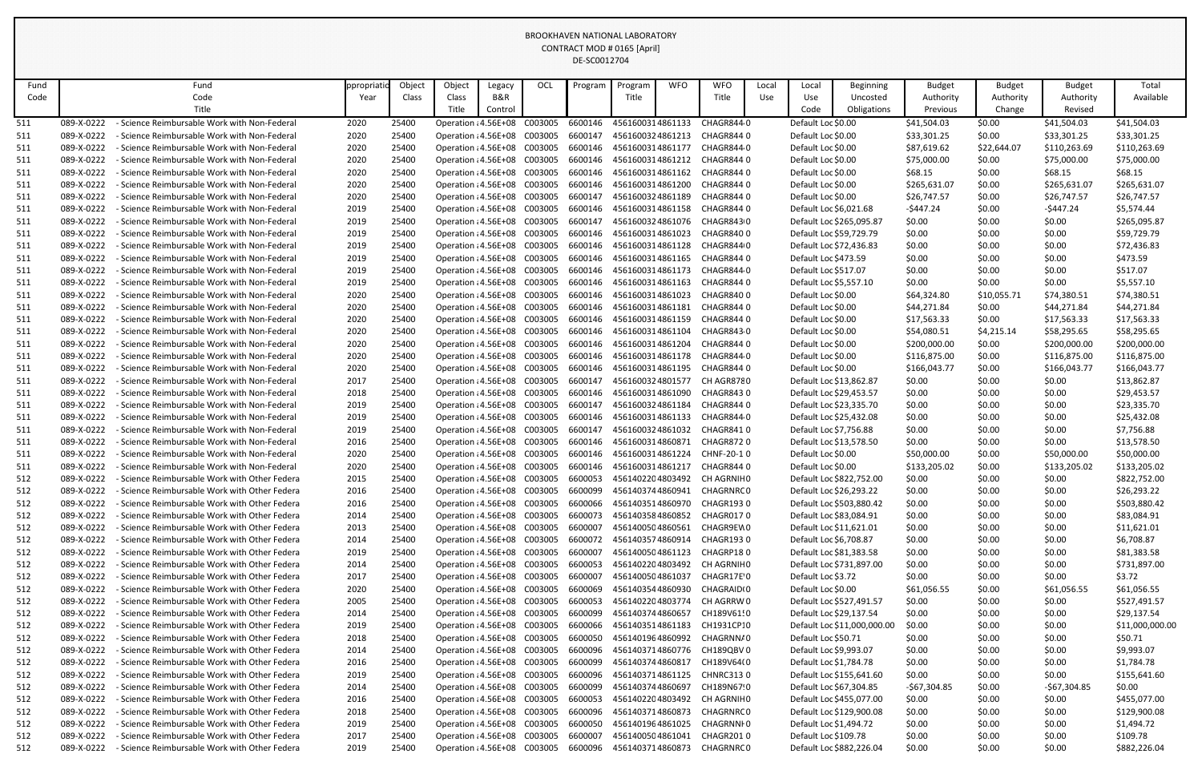| Fund |            | Fund                                          | ppropriat | Object | Object                       | Legacy  | OCL     | Program | Program          | <b>WFO</b> | <b>WFO</b>                                                        | Local | Local                   | <b>Beginning</b>            | <b>Budget</b> | <b>Budget</b> | <b>Budget</b> | Total           |
|------|------------|-----------------------------------------------|-----------|--------|------------------------------|---------|---------|---------|------------------|------------|-------------------------------------------------------------------|-------|-------------------------|-----------------------------|---------------|---------------|---------------|-----------------|
| Code |            | Code                                          | Year      | Class  | Class                        | B&R     |         |         | Title            |            | Title                                                             | Use   | Use                     | Uncosted                    | Authority     | Authority     | Authority     | Available       |
|      |            | Title                                         |           |        | Title                        | Control |         |         |                  |            |                                                                   |       | Code                    | Obligations                 | Previous      | Change        | Revised       |                 |
| 511  | 089-X-0222 | - Science Reimbursable Work with Non-Federal  | 2020      | 25400  | Operation : 4.56E+08         |         | C003005 | 6600146 | 4561600314861133 |            | CHAGR8440                                                         |       | Default Loc \$0.00      |                             | \$41,504.03   | \$0.00        | \$41,504.03   | \$41,504.03     |
| 511  | 089-X-0222 | - Science Reimbursable Work with Non-Federal  | 2020      | 25400  | Operation : 4.56E+08         |         | C003005 | 6600147 | 4561600324861213 |            | CHAGR844 0                                                        |       | Default Loc \$0.00      |                             | \$33,301.25   | \$0.00        | \$33,301.25   | \$33,301.25     |
| 511  | 089-X-0222 | - Science Reimbursable Work with Non-Federal  | 2020      | 25400  | Operation : 4.56E+08         |         | C003005 | 6600146 | 4561600314861177 |            | CHAGR844 0                                                        |       | Default Loc \$0.00      |                             | \$87,619.62   | \$22,644.07   | \$110,263.69  | \$110,263.69    |
| 511  | 089-X-0222 | - Science Reimbursable Work with Non-Federal  | 2020      | 25400  | Operation : 4.56E+08         |         | C003005 | 6600146 | 4561600314861212 |            | CHAGR844 0                                                        |       | Default Loc \$0.00      |                             | \$75,000.00   | \$0.00        | \$75,000.00   | \$75,000.00     |
| 511  | 089-X-0222 | - Science Reimbursable Work with Non-Federal  | 2020      | 25400  | Operation : 4.56E+08         |         | C003005 | 6600146 | 4561600314861162 |            | CHAGR844 0                                                        |       | Default Loc \$0.00      |                             | \$68.15       | \$0.00        | \$68.15       | \$68.15         |
| 511  | 089-X-0222 | - Science Reimbursable Work with Non-Federal  | 2020      | 25400  | Operation : 4.56E+08         |         | C003005 | 6600146 | 4561600314861200 |            | CHAGR844 0                                                        |       | Default Loc \$0.00      |                             | \$265,631.07  | \$0.00        | \$265,631.07  | \$265,631.07    |
| 511  | 089-X-0222 | - Science Reimbursable Work with Non-Federal  | 2020      | 25400  | Operation : 4.56E+08         |         | C003005 | 6600147 | 4561600324861189 |            | CHAGR844 0                                                        |       | Default Loc \$0.00      |                             | \$26,747.57   | \$0.00        | \$26,747.57   | \$26,747.57     |
| 511  | 089-X-0222 | - Science Reimbursable Work with Non-Federal  | 2019      | 25400  | Operation : 4.56E+08         |         | C003005 | 6600146 | 4561600314861158 |            | CHAGR844 0                                                        |       | Default Loc \$6,021.68  |                             | $-5447.24$    | \$0.00        | $-5447.24$    | \$5,574.44      |
| 511  | 089-X-0222 | - Science Reimbursable Work with Non-Federal  | 2019      | 25400  | Operation : 4.56E+08         |         | C003005 | 6600147 | 4561600324861076 |            | CHAGR843 0                                                        |       |                         | Default Loc \$265,095.87    | \$0.00        | \$0.00        | \$0.00        | \$265,095.87    |
| 511  | 089-X-0222 | - Science Reimbursable Work with Non-Federal  | 2019      | 25400  | Operation : 4.56E+08         |         | C003005 | 6600146 | 4561600314861023 |            | CHAGR84000                                                        |       | Default Loc \$59,729.79 |                             | \$0.00        | \$0.00        | \$0.00        | \$59,729.79     |
| 511  | 089-X-0222 | - Science Reimbursable Work with Non-Federal  | 2019      | 25400  | Operation : 4.56E+08         |         | C003005 | 6600146 | 4561600314861128 |            | CHAGR844 0                                                        |       | Default Loc \$72,436.83 |                             | \$0.00        | \$0.00        | \$0.00        | \$72,436.83     |
| 511  | 089-X-0222 | - Science Reimbursable Work with Non-Federal  | 2019      | 25400  | Operation : 4.56E+08         |         | C003005 | 6600146 | 4561600314861165 |            | CHAGR844 0                                                        |       | Default Loc \$473.59    |                             | \$0.00        | \$0.00        | \$0.00        | \$473.59        |
| 511  | 089-X-0222 | - Science Reimbursable Work with Non-Federal  | 2019      | 25400  | Operation : 4.56E+08         |         | C003005 | 6600146 | 4561600314861173 |            | CHAGR844 0                                                        |       | Default Loc \$517.07    |                             | \$0.00        | \$0.00        | \$0.00        | \$517.07        |
| 511  | 089-X-0222 | - Science Reimbursable Work with Non-Federal  | 2019      | 25400  | Operation : 4.56E+08         |         | C003005 | 6600146 | 4561600314861163 |            | CHAGR844 0                                                        |       | Default Loc \$5,557.10  |                             | \$0.00        | \$0.00        | \$0.00        | \$5,557.10      |
| 511  | 089-X-0222 | - Science Reimbursable Work with Non-Federal  | 2020      | 25400  | Operation : 4.56E+08         |         | C003005 | 6600146 | 4561600314861023 |            | CHAGR84000                                                        |       | Default Loc \$0.00      |                             | \$64,324.80   | \$10,055.71   | \$74,380.51   | \$74,380.51     |
| 511  | 089-X-0222 | - Science Reimbursable Work with Non-Federal  | 2020      | 25400  | Operation : 4.56E+08         |         | C003005 | 6600146 | 4561600314861181 |            | CHAGR844 0                                                        |       | Default Loc \$0.00      |                             | \$44,271.84   | \$0.00        | \$44,271.84   | \$44,271.84     |
| 511  | 089-X-0222 | - Science Reimbursable Work with Non-Federal  | 2020      | 25400  | Operation : 4.56E+08         |         | C003005 | 6600146 | 4561600314861159 |            | CHAGR844 0                                                        |       | Default Loc \$0.00      |                             | \$17,563.33   | \$0.00        | \$17,563.33   | \$17,563.33     |
| 511  | 089-X-0222 | - Science Reimbursable Work with Non-Federal  | 2020      | 25400  | Operation : 4.56E+08         |         | C003005 | 6600146 | 4561600314861104 |            | CHAGR8430                                                         |       | Default Loc \$0.00      |                             | \$54,080.51   | \$4,215.14    | \$58,295.65   | \$58,295.65     |
| 511  | 089-X-0222 | - Science Reimbursable Work with Non-Federal  | 2020      | 25400  | Operation : 4.56E+08         |         | C003005 | 6600146 | 4561600314861204 |            | CHAGR844 0                                                        |       | Default Loc \$0.00      |                             | \$200,000.00  | \$0.00        | \$200,000.00  | \$200,000.00    |
| 511  | 089-X-0222 | - Science Reimbursable Work with Non-Federal  | 2020      | 25400  | Operation : 4.56E+08         |         | C003005 | 6600146 | 4561600314861178 |            | CHAGR844 0                                                        |       | Default Loc \$0.00      |                             | \$116,875.00  | \$0.00        | \$116,875.00  | \$116,875.00    |
| 511  | 089-X-0222 | - Science Reimbursable Work with Non-Federal  | 2020      | 25400  | Operation : 4.56E+08         |         | C003005 | 6600146 | 4561600314861195 |            | CHAGR844 0                                                        |       | Default Loc \$0.00      |                             | \$166,043.77  | \$0.00        | \$166,043.77  | \$166,043.77    |
| 511  | 089-X-0222 | - Science Reimbursable Work with Non-Federal  | 2017      | 25400  | Operation : 4.56E+08         |         | C003005 | 6600147 | 4561600324801577 |            | CH AGR8780                                                        |       | Default Loc \$13,862.87 |                             | \$0.00        | \$0.00        | \$0.00        | \$13,862.87     |
| 511  | 089-X-0222 | - Science Reimbursable Work with Non-Federal  | 2018      | 25400  | Operation : 4.56E+08         |         | C003005 | 6600146 | 4561600314861090 |            | CHAGR8430                                                         |       | Default Loc \$29,453.57 |                             | \$0.00        | \$0.00        | \$0.00        | \$29,453.57     |
| 511  | 089-X-0222 | - Science Reimbursable Work with Non-Federal  | 2019      | 25400  | Operation : 4.56E+08         |         | C003005 | 6600147 | 4561600324861184 |            | CHAGR844 0                                                        |       | Default Loc \$23,335.70 |                             | \$0.00        | \$0.00        | \$0.00        | \$23,335.70     |
| 511  | 089-X-0222 | - Science Reimbursable Work with Non-Federal  | 2019      | 25400  | Operation : 4.56E+08         |         | C003005 | 6600146 | 4561600314861133 |            | CHAGR844 0                                                        |       | Default Loc \$25,432.08 |                             | \$0.00        | \$0.00        | \$0.00        | \$25,432.08     |
| 511  | 089-X-0222 | - Science Reimbursable Work with Non-Federal  | 2019      | 25400  | Operation : 4.56E+08         |         | C003005 | 6600147 | 4561600324861032 |            | CHAGR8410                                                         |       | Default Loc \$7,756.88  |                             | \$0.00        | \$0.00        | \$0.00        | \$7,756.88      |
| 511  | 089-X-0222 | - Science Reimbursable Work with Non-Federal  | 2016      | 25400  | Operation : 4.56E+08 C003005 |         |         | 6600146 | 4561600314860871 |            | CHAGR872 0                                                        |       | Default Loc \$13,578.50 |                             | \$0.00        | \$0.00        | \$0.00        | \$13,578.50     |
| 511  | 089-X-0222 | - Science Reimbursable Work with Non-Federal  | 2020      | 25400  |                              |         |         |         |                  |            | Operation : 4.56E+08 C003005 6600146 4561600314861224 CHNF-20-1 0 |       | Default Loc \$0.00      |                             | \$50,000.00   | \$0.00        | \$50,000.00   | \$50,000.00     |
| 511  | 089-X-0222 | - Science Reimbursable Work with Non-Federal  | 2020      | 25400  | Operation : 4.56E+08         |         | C003005 | 6600146 | 4561600314861217 |            | CHAGR844 0                                                        |       | Default Loc \$0.00      |                             | \$133,205.02  | \$0.00        | \$133,205.02  | \$133,205.02    |
| 512  | 089-X-0222 | - Science Reimbursable Work with Other Federa | 2015      | 25400  | Operation : 4.56E+08         |         | C003005 | 6600053 | 4561402204803492 |            | CH AGRNIH 0                                                       |       |                         | Default Loc \$822,752.00    | \$0.00        | \$0.00        | \$0.00        | \$822,752.00    |
| 512  | 089-X-0222 | - Science Reimbursable Work with Other Federa | 2016      | 25400  | Operation : 4.56E+08         |         | C003005 | 6600099 | 4561403744860941 |            | CHAGRNRC 0                                                        |       | Default Loc \$26,293.22 |                             | \$0.00        | \$0.00        | \$0.00        | \$26,293.22     |
| 512  | 089-X-0222 | - Science Reimbursable Work with Other Federa | 2016      | 25400  | Operation : 4.56E+08         |         | C003005 | 6600066 | 4561403514860970 |            | <b>CHAGR1930</b>                                                  |       |                         | Default Loc \$503,880.42    | \$0.00        | \$0.00        | \$0.00        | \$503,880.42    |
| 512  | 089-X-0222 | - Science Reimbursable Work with Other Federa | 2014      | 25400  | Operation : 4.56E+08         |         | C003005 | 6600073 | 4561403584860852 |            | CHAGR0170                                                         |       | Default Loc \$83,084.91 |                             | \$0.00        | \$0.00        | \$0.00        | \$83,084.91     |
| 512  | 089-X-0222 | - Science Reimbursable Work with Other Federa | 2013      | 25400  | Operation : 4.56E+08         |         | C003005 | 6600007 | 4561400504860561 |            | CHAGR9EW0                                                         |       | Default Loc \$11,621.01 |                             | \$0.00        | \$0.00        | \$0.00        | \$11,621.01     |
| 512  | 089-X-0222 | - Science Reimbursable Work with Other Federa | 2014      | 25400  | Operation : 4.56E+08         |         | C003005 | 6600072 | 4561403574860914 |            | CHAGR193 0                                                        |       | Default Loc \$6,708.87  |                             | \$0.00        | \$0.00        | \$0.00        | \$6,708.87      |
| 512  | 089-X-0222 | - Science Reimbursable Work with Other Federa | 2019      | 25400  | Operation : 4.56E+08         |         | C003005 | 6600007 | 4561400504861123 |            | CHAGRP180                                                         |       | Default Loc \$81,383.58 |                             | \$0.00        | \$0.00        | \$0.00        | \$81,383.58     |
| 512  | 089-X-0222 | - Science Reimbursable Work with Other Federa | 2014      | 25400  | Operation : 4.56E+08         |         | C003005 | 6600053 |                  |            | 4561402204803492 CH AGRNIHO                                       |       |                         | Default Loc \$731,897.00    | \$0.00        | \$0.00        | \$0.00        | \$731,897.00    |
| 512  | 089-X-0222 | - Science Reimbursable Work with Other Federa | 2017      | 25400  | Operation : 4.56E+08         |         | C003005 | 6600007 | 4561400504861037 |            | CHAGR17E'0                                                        |       | Default Loc \$3.72      |                             | \$0.00        | \$0.00        | \$0.00        | \$3.72          |
| 512  | 089-X-0222 | - Science Reimbursable Work with Other Federa | 2020      | 25400  | Operation : 4.56E+08         |         | C003005 | 6600069 | 4561403544860930 |            | CHAGRAIDI0                                                        |       | Default Loc \$0.00      |                             | \$61,056.55   | \$0.00        | \$61,056.55   | \$61,056.55     |
| 512  | 089-X-0222 | - Science Reimbursable Work with Other Federa | 2005      | 25400  | Operation : 4.56E+08         |         | C003005 | 6600053 | 4561402204803774 |            | CH AGRRW 0                                                        |       |                         | Default Loc \$527,491.57    | \$0.00        | \$0.00        | \$0.00        | \$527,491.57    |
| 512  | 089-X-0222 | - Science Reimbursable Work with Other Federa | 2014      | 25400  | Operation : 4.56E+08         |         | C003005 | 6600099 | 4561403744860657 |            | CH189V61!0                                                        |       | Default Loc \$29,137.54 |                             | \$0.00        | \$0.00        | \$0.00        | \$29,137.54     |
| 512  | 089-X-0222 | - Science Reimbursable Work with Other Federa | 2019      | 25400  | Operation : 4.56E+08         |         | C003005 | 6600066 | 4561403514861183 |            | CH1931CP:0                                                        |       |                         | Default Loc \$11,000,000.00 | \$0.00        | \$0.00        | \$0.00        | \$11,000,000.00 |
| 512  | 089-X-0222 | - Science Reimbursable Work with Other Federa | 2018      | 25400  | Operation : 4.56E+08         |         | C003005 | 6600050 | 4561401964860992 |            | CHAGRNN/0                                                         |       | Default Loc \$50.71     |                             | \$0.00        | \$0.00        | \$0.00        | \$50.71         |
| 512  | 089-X-0222 | - Science Reimbursable Work with Other Federa | 2014      | 25400  | Operation : 4.56E+08         |         | C003005 | 6600096 |                  |            | 4561403714860776 CH189QBV 0                                       |       | Default Loc \$9,993.07  |                             | \$0.00        | \$0.00        | \$0.00        | \$9,993.07      |
| 512  | 089-X-0222 | - Science Reimbursable Work with Other Federa | 2016      | 25400  | Operation : 4.56E+08         |         | C003005 | 6600099 | 4561403744860817 |            | CH189V64(0                                                        |       | Default Loc \$1,784.78  |                             | \$0.00        | \$0.00        | \$0.00        | \$1,784.78      |
| 512  | 089-X-0222 | - Science Reimbursable Work with Other Federa | 2019      | 25400  | Operation : 4.56E+08         |         | C003005 | 6600096 | 4561403714861125 |            | <b>CHNRC3130</b>                                                  |       |                         | Default Loc \$155,641.60    | \$0.00        | \$0.00        | \$0.00        | \$155,641.60    |
| 512  | 089-X-0222 | - Science Reimbursable Work with Other Federa | 2014      | 25400  | Operation : 4.56E+08         |         | C003005 | 6600099 | 4561403744860697 |            | CH189N67!0                                                        |       | Default Loc \$67,304.85 |                             | $-567,304.85$ | \$0.00        | $-$67,304.85$ | \$0.00          |
| 512  | 089-X-0222 | - Science Reimbursable Work with Other Federa | 2016      | 25400  | Operation : 4.56E+08         |         | C003005 | 6600053 | 4561402204803492 |            | CH AGRNIH 0                                                       |       |                         | Default Loc \$455,077.00    | \$0.00        | \$0.00        | \$0.00        | \$455,077.00    |
| 512  | 089-X-0222 | - Science Reimbursable Work with Other Federa | 2018      | 25400  | Operation : 4.56E+08         |         | C003005 | 6600096 | 4561403714860873 |            | CHAGRNRC 0                                                        |       |                         | Default Loc \$129,900.08    | \$0.00        | \$0.00        | \$0.00        | \$129,900.08    |
| 512  | 089-X-0222 | - Science Reimbursable Work with Other Federa | 2019      | 25400  | Operation : 4.56E+08         |         | C003005 | 6600050 | 4561401964861025 |            | CHAGRNNI 0                                                        |       | Default Loc \$1,494.72  |                             | \$0.00        | \$0.00        | \$0.00        | \$1,494.72      |
| 512  | 089-X-0222 | - Science Reimbursable Work with Other Federa | 2017      | 25400  | Operation : 4.56E+08         |         | C003005 | 6600007 | 4561400504861041 |            | CHAGR2010                                                         |       | Default Loc \$109.78    |                             | \$0.00        | \$0.00        | \$0.00        | \$109.78        |
| 512  | 089-X-0222 | - Science Reimbursable Work with Other Federa | 2019      | 25400  | Operation : 4.56E+08 C003005 |         |         | 6600096 | 4561403714860873 |            | CHAGRNRC 0                                                        |       |                         | Default Loc \$882,226.04    | \$0.00        | \$0.00        | \$0.00        | \$882,226.04    |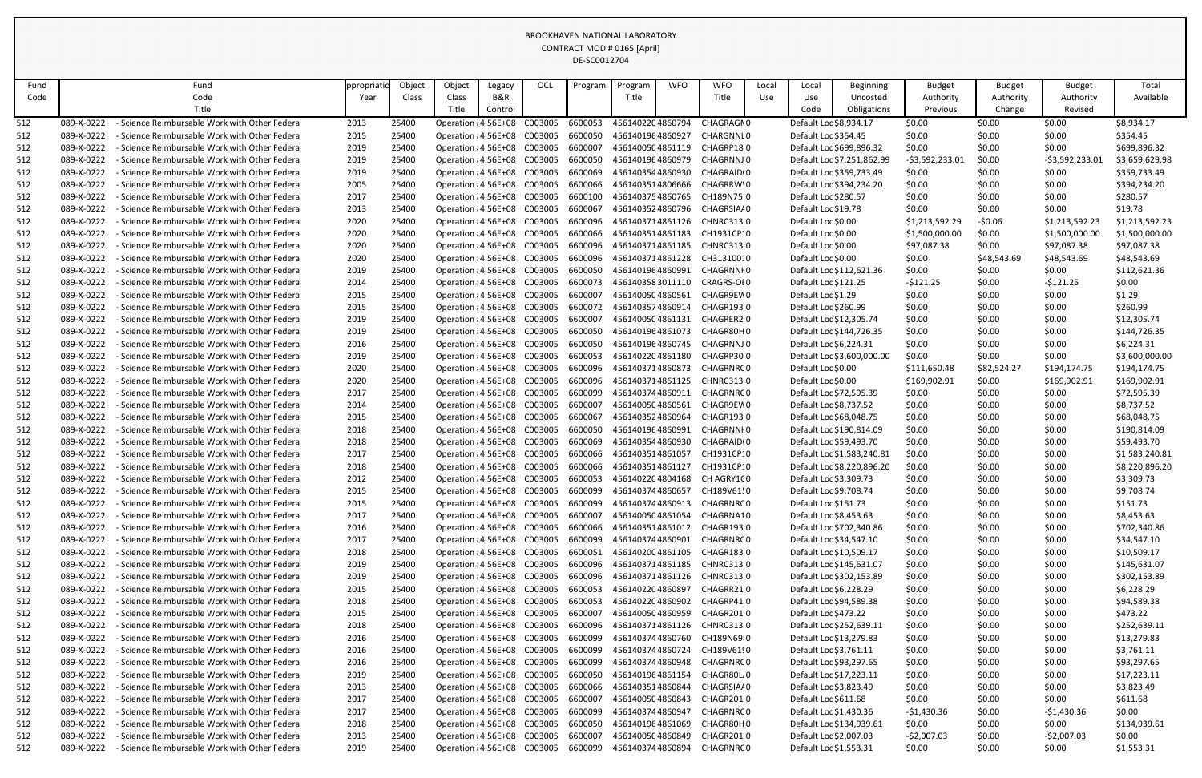| Fund |            | Fund                                          | ppropriat | Object | Object                               | Legacy  | OCL     | Program | Program          | <b>WFO</b> | <b>WFO</b>                                                       | Local | Local                   | <b>Beginning</b>           | <b>Budget</b>   | <b>Budget</b> | <b>Budget</b>   | Total          |
|------|------------|-----------------------------------------------|-----------|--------|--------------------------------------|---------|---------|---------|------------------|------------|------------------------------------------------------------------|-------|-------------------------|----------------------------|-----------------|---------------|-----------------|----------------|
| Code |            | Code                                          | Year      | Class  | Class                                | B&R     |         |         | Title            |            | Title                                                            | Use   | Use                     | Uncosted                   | Authority       | Authority     | Authority       | Available      |
|      |            | Title                                         |           |        | Title                                | Control |         |         |                  |            |                                                                  |       | Code                    | Obligations                | Previous        | Change        | Revised         |                |
| 512  | 089-X-0222 | - Science Reimbursable Work with Other Federa | 2013      | 25400  | Operation : 4.56E+08                 |         | C003005 | 6600053 | 4561402204860794 |            | CHAGRAGN0                                                        |       | Default Loc \$8,934.17  |                            | \$0.00          | \$0.00        | \$0.00          | \$8,934.17     |
| 512  | 089-X-0222 | - Science Reimbursable Work with Other Federa | 2015      | 25400  | Operation : 4.56E+08 C003005         |         |         | 6600050 | 4561401964860927 |            | CHARGNNI 0                                                       |       | Default Loc \$354.45    |                            | \$0.00          | \$0.00        | \$0.00          | \$354.45       |
| 512  | 089-X-0222 | - Science Reimbursable Work with Other Federa | 2019      | 25400  | Operation : 4.56E+08 C003005         |         |         | 6600007 | 4561400504861119 |            | CHAGRP180                                                        |       |                         | Default Loc \$699,896.32   | \$0.00          | \$0.00        | \$0.00          | \$699,896.32   |
| 512  | 089-X-0222 | - Science Reimbursable Work with Other Federa | 2019      | 25400  | Operation : 4.56E+08 C003005         |         |         | 6600050 | 4561401964860979 |            | CHAGRNNJ 0                                                       |       |                         | Default Loc \$7,251,862.99 | $-53,592,233.0$ | \$0.00        | -\$3,592,233.01 | \$3,659,629.98 |
| 512  | 089-X-0222 | - Science Reimbursable Work with Other Federa | 2019      | 25400  | Operation : 4.56E+08                 |         | C003005 | 6600069 | 4561403544860930 |            | CHAGRAID <sub>10</sub>                                           |       |                         | Default Loc \$359,733.49   | \$0.00          | \$0.00        | \$0.00          | \$359,733.49   |
| 512  | 089-X-0222 | - Science Reimbursable Work with Other Federa | 2005      | 25400  | Operation : 4.56E+08                 |         | C003005 | 6600066 | 4561403514806666 |            | CHAGRRW'0                                                        |       |                         | Default Loc \$394,234.20   | \$0.00          | \$0.00        | \$0.00          | \$394,234.20   |
| 512  | 089-X-0222 | - Science Reimbursable Work with Other Federa | 2017      | 25400  | Operation : 4.56E+08                 |         | C003005 | 6600100 | 4561403754860765 |            | CH189N75 0                                                       |       | Default Loc \$280.57    |                            | \$0.00          | \$0.00        | \$0.00          | \$280.57       |
| 512  | 089-X-0222 | - Science Reimbursable Work with Other Federa | 2013      | 25400  | Operation : 4.56E+08 C003005         |         |         | 6600067 | 4561403524860796 |            | CHAGRSIA/0                                                       |       | Default Loc \$19.78     |                            | \$0.00          | \$0.00        | \$0.00          | \$19.78        |
| 512  | 089-X-0222 | - Science Reimbursable Work with Other Federa | 2020      | 25400  | Operation : 4.56E+08 C003005         |         |         | 6600096 | 4561403714861126 |            | <b>CHNRC3130</b>                                                 |       | Default Loc \$0.00      |                            | \$1,213,592.29  | -\$0.06       | \$1,213,592.23  | \$1,213,592.23 |
| 512  | 089-X-0222 | - Science Reimbursable Work with Other Federa | 2020      | 25400  | Operation : 4.56E+08                 |         | C003005 | 6600066 | 4561403514861183 |            | CH1931CP10                                                       |       | Default Loc \$0.00      |                            | \$1,500,000.00  | \$0.00        | \$1,500,000.00  | \$1,500,000.00 |
| 512  | 089-X-0222 | - Science Reimbursable Work with Other Federa | 2020      | 25400  | Operation : 4.56E+08                 |         | C003005 | 6600096 | 4561403714861185 |            | CHNRC3130                                                        |       | Default Loc \$0.00      |                            | \$97,087.38     | \$0.00        | \$97,087.38     | \$97,087.38    |
| 512  | 089-X-0222 | - Science Reimbursable Work with Other Federa | 2020      | 25400  | Operation : 4.56E+08                 |         | C003005 | 6600096 | 4561403714861228 |            | CH31310010                                                       |       | Default Loc \$0.00      |                            | \$0.00          | \$48,543.69   | \$48,543.69     | \$48,543.69    |
| 512  | 089-X-0222 | - Science Reimbursable Work with Other Federa | 2019      | 25400  | Operation : 4.56E+08 C003005         |         |         | 6600050 | 4561401964860991 |            | CHAGRNNI 0                                                       |       |                         | Default Loc \$112,621.36   | \$0.00          | \$0.00        | \$0.00          | \$112,621.36   |
| 512  | 089-X-0222 | - Science Reimbursable Work with Other Federa | 2014      | 25400  | Operation : 4.56E+08 C003005         |         |         | 6600073 | 4561403583011110 |            | CRAGRS-OI 0                                                      |       | Default Loc \$121.25    |                            | $-5121.25$      | \$0.00        | $-5121.25$      | \$0.00         |
| 512  | 089-X-0222 | - Science Reimbursable Work with Other Federa | 2015      | 25400  | Operation : 4.56E+08                 |         | C003005 | 6600007 | 4561400504860561 |            | CHAGR9EW 0                                                       |       | Default Loc \$1.29      |                            | \$0.00          | \$0.00        | \$0.00          | \$1.29         |
| 512  | 089-X-0222 | - Science Reimbursable Work with Other Federa | 2015      | 25400  | Operation : 4.56E+08                 |         | C003005 | 6600072 | 4561403574860914 |            | CHAGR193 0                                                       |       | Default Loc \$260.99    |                            | \$0.00          | \$0.00        | \$0.00          | \$260.99       |
| 512  | 089-X-0222 | - Science Reimbursable Work with Other Federa | 2019      | 25400  | Operation : 4.56E+08 C003005         |         |         | 6600007 | 4561400504861131 |            | CHAGRER2 0                                                       |       | Default Loc \$12,305.74 |                            | \$0.00          | \$0.00        | \$0.00          | \$12,305.74    |
| 512  | 089-X-0222 | - Science Reimbursable Work with Other Federa | 2019      | 25400  | Operation : 4.56E+08 C003005         |         |         | 6600050 | 4561401964861073 |            | CHAGR80H0                                                        |       |                         | Default Loc \$144,726.35   | \$0.00          | \$0.00        | \$0.00          | \$144,726.35   |
| 512  | 089-X-0222 | - Science Reimbursable Work with Other Federa | 2016      | 25400  | Operation : 4.56E+08 C003005         |         |         | 6600050 | 4561401964860745 |            | CHAGRNNJ 0                                                       |       | Default Loc \$6,224.31  |                            | \$0.00          | \$0.00        | \$0.00          | \$6,224.31     |
| 512  | 089-X-0222 | - Science Reimbursable Work with Other Federa | 2019      | 25400  | Operation : 4.56E+08                 |         | C003005 | 6600053 | 4561402204861180 |            | CHAGRP30 0                                                       |       |                         | Default Loc \$3,600,000.00 | \$0.00          | \$0.00        | \$0.00          | \$3,600,000.00 |
| 512  | 089-X-0222 | - Science Reimbursable Work with Other Federa | 2020      | 25400  | Operation : 4.56E+08                 |         | C003005 | 6600096 | 4561403714860873 |            | CHAGRNRC 0                                                       |       | Default Loc \$0.00      |                            | \$111,650.48    | \$82,524.27   | \$194,174.75    | \$194,174.75   |
| 512  | 089-X-0222 | - Science Reimbursable Work with Other Federa | 2020      | 25400  | Operation : 4.56E+08 C003005         |         |         | 6600096 | 4561403714861125 |            | CHNRC3130                                                        |       | Default Loc \$0.00      |                            | \$169,902.91    | \$0.00        | \$169,902.91    | \$169,902.91   |
| 512  | 089-X-0222 | - Science Reimbursable Work with Other Federa | 2017      | 25400  | Operation : 4.56E+08                 |         | C003005 | 6600099 | 4561403744860911 |            | CHAGRNRC 0                                                       |       | Default Loc \$72,595.39 |                            | \$0.00          | \$0.00        | \$0.00          | \$72,595.39    |
| 512  | 089-X-0222 | - Science Reimbursable Work with Other Federa | 2014      | 25400  | Operation : 4.56E+08 C003005         |         |         | 6600007 | 4561400504860561 |            | CHAGR9EW 0                                                       |       | Default Loc \$8,737.52  |                            | \$0.00          | \$0.00        | \$0.00          | \$8,737.52     |
| 512  | 089-X-0222 | - Science Reimbursable Work with Other Federa | 2015      | 25400  | Operation : 4.56E+08                 |         | C003005 | 6600067 | 4561403524860964 |            | CHAGR1930                                                        |       | Default Loc \$68,048.75 |                            | \$0.00          | \$0.00        | \$0.00          | \$68,048.75    |
| 512  | 089-X-0222 | - Science Reimbursable Work with Other Federa | 2018      | 25400  | Operation : 4.56E+08                 |         | C003005 | 6600050 | 4561401964860991 |            | CHAGRNNI 0                                                       |       |                         | Default Loc \$190,814.09   | \$0.00          | \$0.00        | \$0.00          | \$190,814.09   |
| 512  | 089-X-0222 | - Science Reimbursable Work with Other Federa | 2018      | 25400  | Operation : 4.56E+08 C003005         |         |         | 6600069 | 4561403544860930 |            | CHAGRAID <sub>10</sub>                                           |       | Default Loc \$59,493.70 |                            | \$0.00          | \$0.00        | \$0.00          | \$59,493.70    |
| 512  | 089-X-0222 | - Science Reimbursable Work with Other Federa | 2017      | 25400  |                                      |         |         |         |                  |            | Operation : 4.56E+08 C003005 6600066 4561403514861057 CH1931CP:0 |       |                         | Default Loc \$1,583,240.81 | \$0.00          | \$0.00        | \$0.00          | \$1,583,240.81 |
| 512  | 089-X-0222 | - Science Reimbursable Work with Other Federa | 2018      | 25400  | Operation : 4.56E+08 C003005         |         |         | 6600066 | 4561403514861127 |            | CH1931CP:0                                                       |       |                         | Default Loc \$8,220,896.20 | \$0.00          | \$0.00        | \$0.00          | \$8,220,896.20 |
| 512  | 089-X-0222 | - Science Reimbursable Work with Other Federa | 2012      | 25400  | Operation : 4.56E+08 C003005         |         |         | 6600053 | 4561402204804168 |            | CH AGRY1C 0                                                      |       | Default Loc \$3,309.73  |                            | \$0.00          | \$0.00        | \$0.00          | \$3,309.73     |
| 512  | 089-X-0222 | - Science Reimbursable Work with Other Federa | 2015      | 25400  | Operation : 4.56E+08 C003005         |         |         | 6600099 | 4561403744860657 |            | CH189V61!0                                                       |       | Default Loc \$9,708.74  |                            | \$0.00          | \$0.00        | \$0.00          | \$9,708.74     |
| 512  | 089-X-0222 | - Science Reimbursable Work with Other Federa | 2015      | 25400  | Operation : 4.56E+08 C003005         |         |         | 6600099 | 4561403744860913 |            | CHAGRNRC 0                                                       |       | Default Loc \$151.73    |                            | \$0.00          | \$0.00        | \$0.00          | \$151.73       |
| 512  | 089-X-0222 | - Science Reimbursable Work with Other Federa | 2017      | 25400  | Operation : 4.56E+08                 |         | C003005 | 6600007 | 4561400504861054 |            | CHAGRNA10                                                        |       | Default Loc \$8,453.63  |                            | \$0.00          | \$0.00        | \$0.00          | \$8,453.63     |
| 512  | 089-X-0222 | - Science Reimbursable Work with Other Federa | 2016      | 25400  | Operation : 4.56E+08 C003005         |         |         | 6600066 | 4561403514861012 |            | CHAGR1930                                                        |       |                         | Default Loc \$702,340.86   | \$0.00          | \$0.00        | \$0.00          | \$702,340.86   |
| 512  | 089-X-0222 | - Science Reimbursable Work with Other Federa | 2017      | 25400  | Operation : 4.56E+08                 |         | C003005 | 6600099 | 4561403744860901 |            | CHAGRNRC 0                                                       |       | Default Loc \$34,547.10 |                            | \$0.00          | \$0.00        | \$0.00          | \$34,547.10    |
| 512  | 089-X-0222 | - Science Reimbursable Work with Other Federa | 2018      | 25400  | Operation : 4.56E+08 C003005         |         |         | 6600051 | 4561402004861105 |            | CHAGR1830                                                        |       | Default Loc \$10,509.17 |                            | \$0.00          | \$0.00        | \$0.00          | \$10,509.17    |
| 512  | 089-X-0222 | - Science Reimbursable Work with Other Federa | 2019      | 25400  | Operation : 4.56E+08 C003005         |         |         | 6600096 | 4561403714861185 |            | CHNRC3130                                                        |       |                         | Default Loc \$145,631.07   | \$0.00          | \$0.00        | \$0.00          | \$145,631.07   |
| 512  | 089-X-0222 | - Science Reimbursable Work with Other Federa | 2019      | 25400  | Operation : 4.56E+08                 |         | C003005 | 6600096 |                  |            | 4561403714861126 CHNRC3130                                       |       |                         | Default Loc \$302,153.89   | \$0.00          | \$0.00        | \$0.00          | \$302,153.89   |
| 512  | 089-X-0222 | - Science Reimbursable Work with Other Federa | 2015      | 25400  | Operation : 4.56E+08 C003005         |         |         | 6600053 | 4561402204860897 |            | CHAGRR210                                                        |       | Default Loc \$6,228.29  |                            | \$0.00          | \$0.00        | \$0.00          | \$6,228.29     |
| 512  | 089-X-0222 | - Science Reimbursable Work with Other Federa | 2018      | 25400  | Operation : 4.56E+08 C003005         |         |         | 6600053 | 4561402204860902 |            | CHAGRP410                                                        |       | Default Loc \$94,589.38 |                            | \$0.00          | \$0.00        | \$0.00          | \$94,589.38    |
| 512  | 089-X-0222 | - Science Reimbursable Work with Other Federa | 2015      | 25400  | Operation : 4.56E+08 C003005         |         |         | 6600007 | 4561400504860959 |            | CHAGR2010                                                        |       | Default Loc \$473.22    |                            | \$0.00          | \$0.00        | \$0.00          | \$473.22       |
| 512  | 089-X-0222 | - Science Reimbursable Work with Other Federa | 2018      | 25400  | Operation : 4.56E+08 C003005         |         |         | 6600096 |                  |            | 4561403714861126 CHNRC3130                                       |       |                         | Default Loc \$252,639.11   | \$0.00          | \$0.00        | \$0.00          | \$252,639.11   |
| 512  | 089-X-0222 | - Science Reimbursable Work with Other Federa | 2016      | 25400  | Operation : 4.56E+08                 |         | C003005 | 6600099 | 4561403744860760 |            | CH189N69¦0                                                       |       | Default Loc \$13,279.83 |                            | \$0.00          | \$0.00        | \$0.00          | \$13,279.83    |
| 512  | 089-X-0222 | - Science Reimbursable Work with Other Federa | 2016      | 25400  | Operation : 4.56E+08 C003005         |         |         | 6600099 | 4561403744860724 |            | CH189V61!0                                                       |       | Default Loc \$3,761.11  |                            | \$0.00          | \$0.00        | \$0.00          | \$3,761.11     |
| 512  | 089-X-0222 | - Science Reimbursable Work with Other Federa | 2016      | 25400  | Operation : 4.56E+08 C003005         |         |         | 6600099 | 4561403744860948 |            | CHAGRNRC 0                                                       |       | Default Loc \$93,297.65 |                            | \$0.00          | \$0.00        | \$0.00          | \$93,297.65    |
| 512  | 089-X-0222 | - Science Reimbursable Work with Other Federa | 2019      | 25400  | Operation : 4.56E+08 C003005         |         |         | 6600050 | 4561401964861154 |            | CHAGR80LO                                                        |       | Default Loc \$17,223.11 |                            | \$0.00          | \$0.00        | \$0.00          | \$17,223.11    |
| 512  | 089-X-0222 | - Science Reimbursable Work with Other Federa | 2013      | 25400  | Operation : 4.56E+08 C003005         |         |         | 6600066 | 4561403514860844 |            | CHAGRSIA/0                                                       |       | Default Loc \$3,823.49  |                            | \$0.00          | \$0.00        | \$0.00          | \$3,823.49     |
| 512  | 089-X-0222 | - Science Reimbursable Work with Other Federa | 2017      | 25400  | Operation : 4.56E+08                 |         | C003005 | 6600007 | 4561400504860843 |            | CHAGR2010                                                        |       | Default Loc \$611.68    |                            | \$0.00          | \$0.00        | \$0.00          | \$611.68       |
| 512  | 089-X-0222 | - Science Reimbursable Work with Other Federa | 2017      | 25400  | Operation : 4.56E+08 C003005         |         |         | 6600099 | 4561403744860947 |            | CHAGRNRC 0                                                       |       | Default Loc \$1,430.36  |                            | $-51,430.36$    | \$0.00        | -\$1,430.36     | \$0.00         |
| 512  | 089-X-0222 | - Science Reimbursable Work with Other Federa | 2018      | 25400  | Operation : 4.56E+08 C003005         |         |         | 6600050 | 4561401964861069 |            | CHAGR80H0                                                        |       |                         | Default Loc \$134,939.61   | \$0.00          | \$0.00        | \$0.00          | \$134,939.61   |
| 512  | 089-X-0222 | - Science Reimbursable Work with Other Federa | 2013      | 25400  | Operation : 4.56E+08                 |         | C003005 | 6600007 | 4561400504860849 |            | CHAGR2010                                                        |       | Default Loc \$2,007.03  |                            | $-52,007.03$    | \$0.00        | $-52,007.03$    | \$0.00         |
| 512  | 089-X-0222 | - Science Reimbursable Work with Other Federa | 2019      | 25400  | Operation : 4.56E+08 C003005 6600099 |         |         |         | 4561403744860894 |            | CHAGRNRC 0                                                       |       | Default Loc \$1,553.31  |                            | \$0.00          | \$0.00        | \$0.00          | \$1,553.31     |
|      |            |                                               |           |        |                                      |         |         |         |                  |            |                                                                  |       |                         |                            |                 |               |                 |                |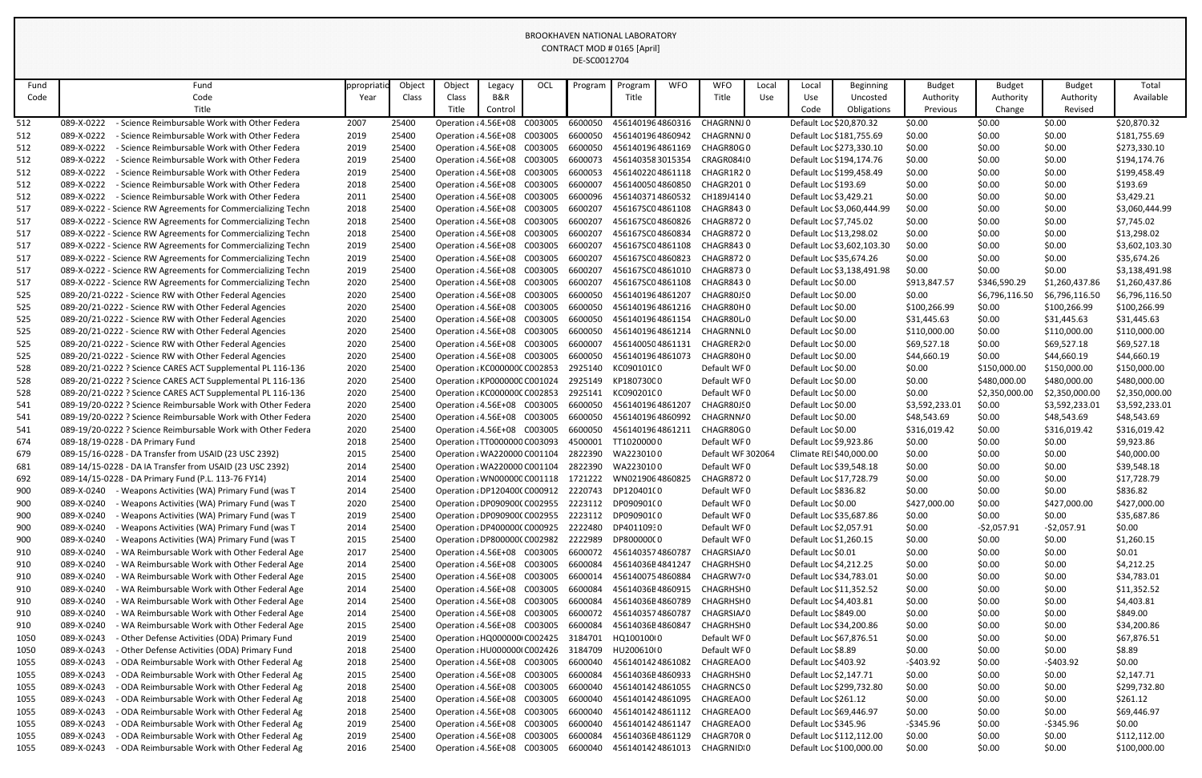| Fund | Fund                                                         | ppropriati | Object | Object                               | Legacy  | OCL     | Program | Program            | <b>WFO</b> | <b>WFO</b>        | Local | Local                   | <b>Beginning</b>           | <b>Budget</b>  | <b>Budget</b>  | <b>Budget</b>  | Total          |
|------|--------------------------------------------------------------|------------|--------|--------------------------------------|---------|---------|---------|--------------------|------------|-------------------|-------|-------------------------|----------------------------|----------------|----------------|----------------|----------------|
| Code | Code                                                         | Year       | Class  | Class                                | B&R     |         |         | Title              |            | Title             | Use   | Use                     | Uncosted                   | Authority      | Authority      | Authority      | Available      |
|      | Title                                                        |            |        | Title                                | Control |         |         |                    |            |                   |       | Code                    | Obligations                | Previous       | Change         | Revised        |                |
| 512  | 089-X-0222<br>- Science Reimbursable Work with Other Federa  | 2007       | 25400  | Operation : 4.56E+08                 |         | C003005 | 6600050 | 4561401964860316   |            | CHAGRNNJ 0        |       |                         | Default Loc \$20,870.32    | \$0.00         | \$0.00         | \$0.00         | \$20,870.32    |
| 512  | 089-X-0222<br>- Science Reimbursable Work with Other Federa  | 2019       | 25400  | Operation : 4.56E+08                 |         | C003005 | 6600050 | 4561401964860942   |            | CHAGRNNJ 0        |       |                         | Default Loc \$181,755.69   | \$0.00         | \$0.00         | \$0.00         | \$181,755.69   |
| 512  | 089-X-0222<br>- Science Reimbursable Work with Other Federa  | 2019       | 25400  | Operation : 4.56E+08 C003005         |         |         | 6600050 | 4561401964861169   |            | CHAGR80G0         |       |                         | Default Loc \$273,330.10   | \$0.00         | \$0.00         | \$0.00         | \$273,330.10   |
| 512  | 089-X-0222<br>- Science Reimbursable Work with Other Federa  | 2019       | 25400  | Operation : 4.56E+08 C003005         |         |         | 6600073 | 4561403583015354   |            | CRAGR084:0        |       |                         | Default Loc \$194,174.76   | \$0.00         | \$0.00         | \$0.00         | \$194,174.76   |
| 512  | 089-X-0222<br>- Science Reimbursable Work with Other Federa  | 2019       | 25400  | Operation : 4.56E+08                 |         | C003005 | 6600053 | 4561402204861118   |            | CHAGR1R20         |       |                         | Default Loc \$199,458.49   | \$0.00         | \$0.00         | \$0.00         | \$199,458.49   |
| 512  | 089-X-0222<br>- Science Reimbursable Work with Other Federa  | 2018       | 25400  | Operation : 4.56E+08 C003005         |         |         | 6600007 | 4561400504860850   |            | CHAGR2010         |       | Default Loc \$193.69    |                            | \$0.00         | \$0.00         | \$0.00         | \$193.69       |
| 512  | 089-X-0222<br>- Science Reimbursable Work with Other Federa  | 2011       | 25400  | Operation : 4.56E+08                 |         | C003005 | 6600096 | 4561403714860532   |            | CH189J4140        |       | Default Loc \$3,429.21  |                            | \$0.00         | \$0.00         | \$0.00         | \$3,429.21     |
| 517  | 089-X-0222 - Science RW Agreements for Commercializing Techn | 2018       | 25400  | Operation : 4.56E+08 C003005         |         |         | 6600207 | 456167SC04861108   |            | CHAGR8430         |       |                         | Default Loc \$3,060,444.99 | \$0.00         | \$0.00         | \$0.00         | \$3,060,444.99 |
| 517  | 089-X-0222 - Science RW Agreements for Commercializing Techn | 2018       | 25400  | Operation : 4.56E+08 C003005         |         |         | 6600207 | 456167SC04860826   |            | CHAGR872 0        |       | Default Loc \$7,745.02  |                            | \$0.00         | \$0.00         | \$0.00         | \$7,745.02     |
| 517  | 089-X-0222 - Science RW Agreements for Commercializing Techn | 2018       | 25400  | Operation : 4.56E+08 C003005         |         |         | 6600207 | 456167SC04860834   |            | CHAGR8720         |       |                         | Default Loc \$13,298.02    | \$0.00         | \$0.00         | \$0.00         | \$13,298.02    |
| 517  | 089-X-0222 - Science RW Agreements for Commercializing Techn | 2019       | 25400  | Operation : 4.56E+08 C003005         |         |         | 6600207 | 456167SC04861108   |            | CHAGR8430         |       |                         | Default Loc \$3,602,103.30 | \$0.00         | \$0.00         | \$0.00         | \$3,602,103.30 |
| 517  | 089-X-0222 - Science RW Agreements for Commercializing Techn | 2019       | 25400  | Operation : 4.56E+08                 |         | C003005 | 6600207 | 456167SC04860823   |            | CHAGR8720         |       |                         | Default Loc \$35,674.26    | \$0.00         | \$0.00         | \$0.00         | \$35,674.26    |
| 517  | 089-X-0222 - Science RW Agreements for Commercializing Techn | 2019       | 25400  | Operation : 4.56E+08 C003005         |         |         | 6600207 | 456167SC04861010   |            | CHAGR8730         |       |                         | Default Loc \$3,138,491.98 | \$0.00         | \$0.00         | \$0.00         | \$3,138,491.98 |
| 517  | 089-X-0222 - Science RW Agreements for Commercializing Techn | 2020       | 25400  | Operation : 4.56E+08 C003005         |         |         | 6600207 | 456167SC04861108   |            | CHAGR8430         |       | Default Loc \$0.00      |                            | \$913,847.57   | \$346,590.29   | \$1,260,437.86 | \$1,260,437.86 |
| 525  | 089-20/21-0222 - Science RW with Other Federal Agencies      | 2020       | 25400  | Operation : 4.56E+08 C003005         |         |         | 6600050 | 4561401964861207   |            | CHAGR80JS0        |       | Default Loc \$0.00      |                            | \$0.00         | \$6,796,116.50 | \$6,796,116.50 | \$6,796,116.50 |
| 525  | 089-20/21-0222 - Science RW with Other Federal Agencies      | 2020       | 25400  | Operation : 4.56E+08 C003005         |         |         | 6600050 | 4561401964861216   |            | CHAGR80H0         |       | Default Loc \$0.00      |                            | \$100,266.99   | \$0.00         | \$100,266.99   | \$100,266.99   |
| 525  | 089-20/21-0222 - Science RW with Other Federal Agencies      | 2020       | 25400  | Operation : 4.56E+08 C003005         |         |         | 6600050 | 4561401964861154   |            | CHAGR80L 0        |       | Default Loc \$0.00      |                            | \$31,445.63    | \$0.00         | \$31,445.63    | \$31,445.63    |
| 525  | 089-20/21-0222 - Science RW with Other Federal Agencies      | 2020       | 25400  | Operation : 4.56E+08 C003005         |         |         | 6600050 | 4561401964861214   |            | CHAGRNNI 0        |       | Default Loc \$0.00      |                            | \$110,000.00   | \$0.00         | \$110,000.00   | \$110,000.00   |
| 525  | 089-20/21-0222 - Science RW with Other Federal Agencies      | 2020       | 25400  | Operation : 4.56E+08 C003005         |         |         | 6600007 | 4561400504861131   |            | CHAGRER20         |       | Default Loc \$0.00      |                            | \$69,527.18    | \$0.00         | \$69,527.18    | \$69,527.18    |
| 525  | 089-20/21-0222 - Science RW with Other Federal Agencies      | 2020       | 25400  | Operation : 4.56E+08 C003005         |         |         | 6600050 | 4561401964861073   |            | CHAGR80H0         |       | Default Loc \$0.00      |                            | \$44,660.19    | \$0.00         | \$44,660.19    | \$44,660.19    |
| 528  | 089-20/21-0222 ? Science CARES ACT Supplemental PL 116-136   | 2020       | 25400  | Operation : KC000000C C002853        |         |         | 2925140 | KC090101C0         |            | Default WF0       |       | Default Loc \$0.00      |                            | \$0.00         | \$150,000.00   | \$150,000.00   | \$150,000.00   |
| 528  | 089-20/21-0222 ? Science CARES ACT Supplemental PL 116-136   | 2020       | 25400  | Operation : KP0000000 C001024        |         |         |         | 2925149 KP18073000 |            | Default WF0       |       | Default Loc \$0.00      |                            | \$0.00         | \$480,000.00   | \$480,000.00   | \$480,000.00   |
| 528  | 089-20/21-0222 ? Science CARES ACT Supplemental PL 116-136   | 2020       | 25400  | Operation : KC000000C C002853        |         |         | 2925141 | KC090201C0         |            | Default WF0       |       | Default Loc \$0.00      |                            | \$0.00         | \$2,350,000.00 | \$2,350,000.00 | \$2,350,000.00 |
| 541  | 089-19/20-0222 ? Science Reimbursable Work with Other Federa | 2020       | 25400  | Operation : 4.56E+08 C003005         |         |         | 6600050 | 4561401964861207   |            | CHAGR80JS0        |       | Default Loc \$0.00      |                            | \$3,592,233.01 | \$0.00         | \$3,592,233.01 | \$3,592,233.01 |
| 541  | 089-19/20-0222 ? Science Reimbursable Work with Other Federa | 2020       | 25400  | Operation : 4.56E+08 C003005         |         |         | 6600050 | 4561401964860992   |            | CHAGRNN/0         |       | Default Loc \$0.00      |                            | \$48,543.69    | \$0.00         | \$48,543.69    | \$48,543.69    |
| 541  | 089-19/20-0222 ? Science Reimbursable Work with Other Federa | 2020       | 25400  | Operation : 4.56E+08 C003005         |         |         | 6600050 | 4561401964861211   |            | CHAGR80G0         |       | Default Loc \$0.00      |                            | \$316,019.42   | \$0.00         | \$316,019.42   | \$316,019.42   |
| 674  | 089-18/19-0228 - DA Primary Fund                             | 2018       | 25400  | Operation : TT0000000 C003093        |         |         | 4500001 | TT10200000         |            | Default WF0       |       | Default Loc \$9,923.86  |                            | \$0.00         | \$0.00         | \$0.00         | \$9,923.86     |
| 679  | 089-15/16-0228 - DA Transfer from USAID (23 USC 2392)        | 2015       | 25400  | Operation : WA220000 C001104 2822390 |         |         |         | WA2230100          |            | Default WF 302064 |       |                         | Climate REI\$40,000.00     | \$0.00         | \$0.00         | \$0.00         | \$40,000.00    |
| 681  | 089-14/15-0228 - DA IA Transfer from USAID (23 USC 2392)     | 2014       | 25400  | Operation : WA220000 C001104         |         |         | 2822390 | WA2230100          |            | Default WF0       |       |                         | Default Loc \$39,548.18    | \$0.00         | \$0.00         | \$0.00         | \$39,548.18    |
| 692  | 089-14/15-0228 - DA Primary Fund (P.L. 113-76 FY14)          | 2014       | 25400  | Operation : WN000000 C001118         |         |         | 1721222 | WN0219064860825    |            | CHAGR8720         |       |                         | Default Loc \$17,728.79    | \$0.00         | \$0.00         | \$0.00         | \$17,728.79    |
| 900  | 089-X-0240<br>- Weapons Activities (WA) Primary Fund (was T  | 2014       | 25400  | Operation : DP1204000 C000912        |         |         |         | 2220743 DP120401(0 |            | Default WF0       |       | Default Loc \$836.82    |                            | \$0.00         | \$0.00         | \$0.00         | \$836.82       |
| 900  | 089-X-0240<br>- Weapons Activities (WA) Primary Fund (was T  | 2020       | 25400  | Operation : DP0909000 C002955        |         |         |         | 2223112 DP090901(0 |            | Default WF0       |       | Default Loc \$0.00      |                            | \$427,000.00   | \$0.00         | \$427,000.00   | \$427,000.00   |
| 900  | 089-X-0240<br>Weapons Activities (WA) Primary Fund (was T    | 2019       | 25400  | Operation : DP0909000 C002955        |         |         |         | 2223112 DP090901(0 |            | Default WF0       |       |                         | Default Loc \$35,687.86    | \$0.00         | \$0.00         | \$0.00         | \$35,687.86    |
| 900  | 089-X-0240<br>Weapons Activities (WA) Primary Fund (was T    | 2014       | 25400  | Operation : DP400000C C000925        |         |         |         | 2222480 DP40110930 |            | Default WF0       |       | Default Loc \$2,057.91  |                            | \$0.00         | $-52,057.91$   | $-52,057.91$   | \$0.00         |
| 900  | 089-X-0240<br>- Weapons Activities (WA) Primary Fund (was T  | 2015       | 25400  | Operation : DP8000000 C002982        |         |         | 2222989 | DP800000(0         |            | Default WF0       |       | Default Loc \$1,260.15  |                            | \$0.00         | \$0.00         | \$0.00         | \$1,260.15     |
| 910  | 089-X-0240<br>WA Reimbursable Work with Other Federal Age    | 2017       | 25400  | Operation : 4.56E+08 C003005         |         |         | 6600072 | 4561403574860787   |            | CHAGRSIA/0        |       | Default Loc \$0.01      |                            | \$0.00         | \$0.00         | \$0.00         | \$0.01         |
| 910  | 089-X-0240<br>- WA Reimbursable Work with Other Federal Age  | 2014       | 25400  | Operation : 4.56E+08 C003005         |         |         | 6600084 | 45614036E4841247   |            | CHAGRHSH0         |       | Default Loc \$4,212.25  |                            | \$0.00         | \$0.00         | \$0.00         | \$4,212.25     |
| 910  | 089-X-0240<br>WA Reimbursable Work with Other Federal Age    | 2015       | 25400  | Operation : 4.56E+08 C003005         |         |         | 6600014 | 4561400754860884   |            | CHAGRW740         |       |                         | Default Loc \$34,783.01    | \$0.00         | \$0.00         | \$0.00         | \$34,783.01    |
| 910  | 089-X-0240<br>- WA Reimbursable Work with Other Federal Age  | 2014       | 25400  | Operation : 4.56E+08 C003005         |         |         | 6600084 | 45614036E4860915   |            | CHAGRHSH0         |       |                         | Default Loc \$11,352.52    | \$0.00         | \$0.00         | \$0.00         | \$11,352.52    |
| 910  | 089-X-0240<br>- WA Reimbursable Work with Other Federal Age  | 2014       | 25400  | Operation : 4.56E+08 C003005         |         |         | 6600084 | 45614036E4860789   |            | CHAGRHSH0         |       | Default Loc \$4,403.81  |                            | \$0.00         | \$0.00         | \$0.00         | \$4,403.81     |
| 910  | 089-X-0240<br>- WA Reimbursable Work with Other Federal Age  | 2014       | 25400  | Operation : 4.56E+08 C003005         |         |         | 6600072 | 4561403574860787   |            | CHAGRSIA/0        |       | Default Loc \$849.00    |                            | \$0.00         | \$0.00         | \$0.00         | \$849.00       |
| 910  | 089-X-0240<br>- WA Reimbursable Work with Other Federal Age  | 2015       | 25400  | Operation : 4.56E+08 C003005         |         |         | 6600084 | 45614036E4860847   |            | CHAGRHSH0         |       |                         | Default Loc \$34,200.86    | \$0.00         | \$0.00         | \$0.00         | \$34,200.86    |
| 1050 | 089-X-0243<br>Other Defense Activities (ODA) Primary Fund    | 2019       | 25400  | Operation : HQ000000 C002425         |         |         | 3184701 | HQ100100(0         |            | Default WF0       |       |                         | Default Loc \$67,876.51    | \$0.00         | \$0.00         | \$0.00         | \$67,876.51    |
| 1050 | 089-X-0243<br>Other Defense Activities (ODA) Primary Fund    | 2018       | 25400  | Operation : HU0000000 C002426        |         |         | 3184709 | HU200610(0         |            | Default WF0       |       | Default Loc \$8.89      |                            | \$0.00         | \$0.00         | \$0.00         | \$8.89         |
| 1055 | 089-X-0243<br>- ODA Reimbursable Work with Other Federal Ag  | 2018       | 25400  | Operation : 4.56E+08 C003005         |         |         | 6600040 | 4561401424861082   |            | CHAGREAC 0        |       | Default Loc \$403.92    |                            | $-5403.92$     | \$0.00         | $-$ \$403.92   | \$0.00         |
| 1055 | 089-X-0243<br>ODA Reimbursable Work with Other Federal Ag    | 2015       | 25400  | Operation : 4.56E+08 C003005         |         |         | 6600084 | 45614036E4860933   |            | CHAGRHSH0         |       | Default Loc \$2,147.71  |                            | \$0.00         | \$0.00         | \$0.00         | \$2,147.71     |
| 1055 | 089-X-0243<br>ODA Reimbursable Work with Other Federal Ag    | 2018       | 25400  | Operation : 4.56E+08 C003005         |         |         | 6600040 | 4561401424861055   |            | <b>CHAGRNCS 0</b> |       |                         | Default Loc \$299,732.80   | \$0.00         | \$0.00         | \$0.00         | \$299,732.80   |
| 1055 | 089-X-0243<br>ODA Reimbursable Work with Other Federal Ag    | 2018       | 25400  | Operation : 4.56E+08 C003005         |         |         | 6600040 | 4561401424861095   |            | CHAGREAC 0        |       | Default Loc \$261.12    |                            | \$0.00         | \$0.00         | \$0.00         | \$261.12       |
| 1055 | 089-X-0243<br>ODA Reimbursable Work with Other Federal Ag    | 2018       | 25400  | Operation : 4.56E+08 C003005         |         |         | 6600040 | 4561401424861112   |            | CHAGREAC 0        |       | Default Loc \$69,446.97 |                            | \$0.00         | \$0.00         | \$0.00         | \$69,446.97    |
| 1055 | 089-X-0243<br>- ODA Reimbursable Work with Other Federal Ag  | 2019       | 25400  | Operation : 4.56E+08 C003005         |         |         | 6600040 | 4561401424861147   |            | CHAGREAC 0        |       | Default Loc \$345.96    |                            | $-5345.96$     | \$0.00         | $-$ \$345.96   | \$0.00         |
| 1055 | 089-X-0243<br>- ODA Reimbursable Work with Other Federal Ag  | 2019       | 25400  | Operation : 4.56E+08 C003005         |         |         | 6600084 | 45614036E4861129   |            | CHAGR70R0         |       |                         | Default Loc \$112,112.00   | \$0.00         | \$0.00         | \$0.00         | \$112,112.00   |
| 1055 | 089-X-0243<br>ODA Reimbursable Work with Other Federal Ag    | 2016       | 25400  | Operation : 4.56E+08 C003005         |         |         | 6600040 | 4561401424861013   |            | CHAGRNID 0        |       |                         | Default Loc \$100,000.00   | \$0.00         | \$0.00         | \$0.00         | \$100,000.00   |
|      |                                                              |            |        |                                      |         |         |         |                    |            |                   |       |                         |                            |                |                |                |                |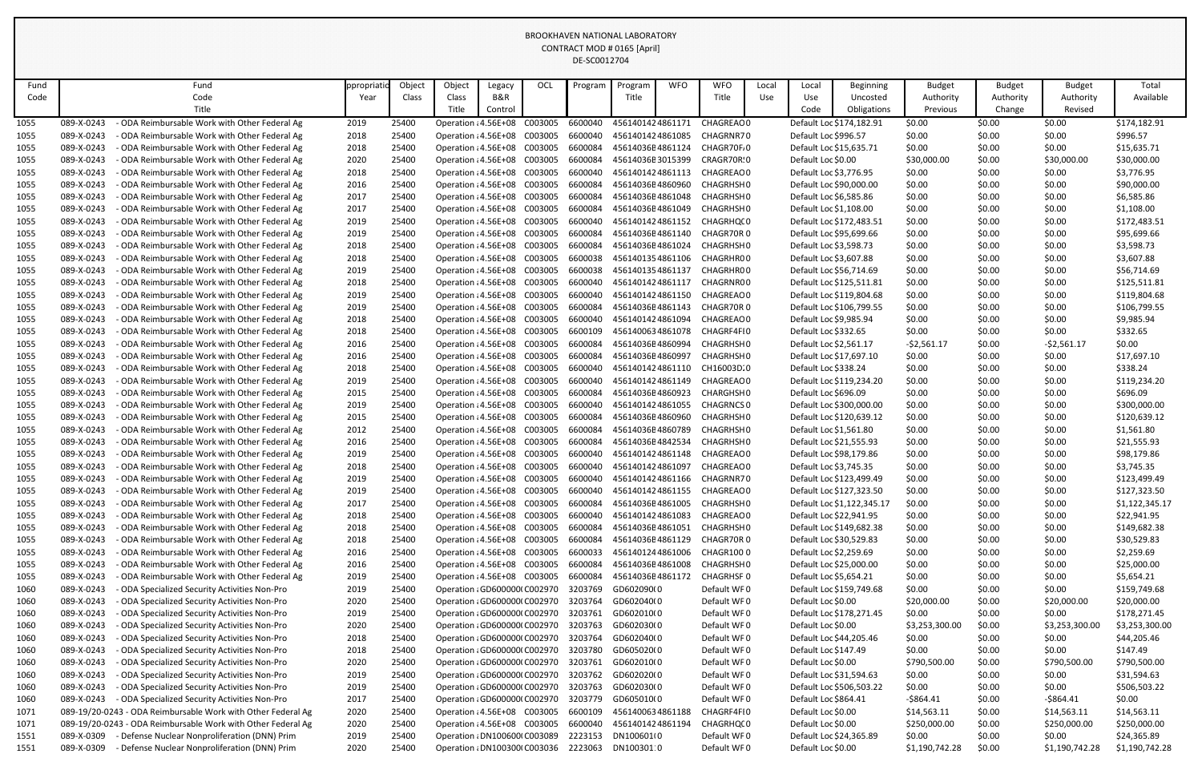| Fund |            | Fund                                                         | ppropriatio | Object | Object                       | Legacy  | OCL     | Program | Program          | <b>WFO</b> | <b>WFO</b>                  | Local | Local                   | <b>Beginning</b>           | <b>Budget</b>  | <b>Budget</b> | <b>Budget</b>  | Total          |
|------|------------|--------------------------------------------------------------|-------------|--------|------------------------------|---------|---------|---------|------------------|------------|-----------------------------|-------|-------------------------|----------------------------|----------------|---------------|----------------|----------------|
| Code |            | Code                                                         | Year        | Class  | Class                        | B&R     |         |         | Title            |            | Title                       | Use   | Use                     | Uncosted                   | Authority      | Authority     | Authority      | Available      |
|      |            | Title                                                        |             |        | Title                        | Control |         |         |                  |            |                             |       | Code                    | Obligations                | Previous       | Change        | Revised        |                |
| 1055 | 089-X-0243 | ODA Reimbursable Work with Other Federal Ag                  | 2019        | 25400  | Operation : 4.56E+08         |         | C003005 | 6600040 | 4561401424861171 |            | CHAGREAC 0                  |       |                         | Default Loc \$174,182.91   | \$0.00         | \$0.00        | \$0.00         | \$174,182.91   |
| 1055 | 089-X-0243 | - ODA Reimbursable Work with Other Federal Ag                | 2018        | 25400  | Operation : 4.56E+08 C003005 |         |         | 6600040 | 4561401424861085 |            | CHAGRNR70                   |       | Default Loc \$996.57    |                            | \$0.00         | \$0.00        | \$0.00         | \$996.57       |
| 1055 | 089-X-0243 | - ODA Reimbursable Work with Other Federal Ag                | 2018        | 25400  | Operation : 4.56E+08 C003005 |         |         | 6600084 | 45614036E4861124 |            | CHAGR70F.0                  |       | Default Loc \$15,635.71 |                            | \$0.00         | \$0.00        | \$0.00         | \$15,635.71    |
| 1055 | 089-X-0243 | - ODA Reimbursable Work with Other Federal Ag                | 2020        | 25400  | Operation : 4.56E+08         |         | C003005 | 6600084 | 45614036E3015399 |            | CRAGR70R:0                  |       | Default Loc \$0.00      |                            | \$30,000.00    | \$0.00        | \$30,000.00    | \$30,000.00    |
| 1055 | 089-X-0243 | ODA Reimbursable Work with Other Federal Ag                  | 2018        | 25400  | Operation : 4.56E+08 C003005 |         |         | 6600040 | 4561401424861113 |            | CHAGREAC 0                  |       | Default Loc \$3,776.95  |                            | \$0.00         | \$0.00        | \$0.00         | \$3,776.95     |
| 1055 | 089-X-0243 | - ODA Reimbursable Work with Other Federal Ag                | 2016        | 25400  | Operation : 4.56E+08         |         | C003005 | 6600084 | 45614036E4860960 |            | CHAGRHSH 0                  |       | Default Loc \$90,000.00 |                            | \$0.00         | \$0.00        | \$0.00         | \$90,000.00    |
| 1055 | 089-X-0243 | - ODA Reimbursable Work with Other Federal Ag                | 2017        | 25400  | Operation : 4.56E+08 C003005 |         |         | 6600084 | 45614036E4861048 |            | CHAGRHSH0                   |       | Default Loc \$6,585.86  |                            | \$0.00         | \$0.00        | \$0.00         | \$6,585.86     |
| 1055 | 089-X-0243 | ODA Reimbursable Work with Other Federal Ag                  | 2017        | 25400  | Operation : 4.56E+08 C003005 |         |         | 6600084 | 45614036E4861049 |            | CHAGRHSH 0                  |       | Default Loc \$1,108.00  |                            | \$0.00         | \$0.00        | \$0.00         | \$1,108.00     |
| 1055 | 089-X-0243 | ODA Reimbursable Work with Other Federal Ag                  | 2019        | 25400  | Operation : 4.56E+08         |         | C003005 | 6600040 |                  |            | 4561401424861152 CHAGRHQ(0  |       |                         | Default Loc \$172,483.51   | \$0.00         | \$0.00        | \$0.00         | \$172,483.51   |
| 1055 | 089-X-0243 | - ODA Reimbursable Work with Other Federal Ag                | 2019        | 25400  | Operation : 4.56E+08         |         | C003005 | 6600084 |                  |            | 45614036E4861140 CHAGR70R 0 |       | Default Loc \$95,699.66 |                            | \$0.00         | \$0.00        | \$0.00         | \$95,699.66    |
| 1055 | 089-X-0243 | - ODA Reimbursable Work with Other Federal Ag                | 2018        | 25400  | Operation : 4.56E+08         |         | C003005 | 6600084 | 45614036E4861024 |            | CHAGRHSH 0                  |       | Default Loc \$3,598.73  |                            | \$0.00         | \$0.00        | \$0.00         | \$3,598.73     |
| 1055 | 089-X-0243 | - ODA Reimbursable Work with Other Federal Ag                | 2018        | 25400  | Operation : 4.56E+08 C003005 |         |         | 6600038 | 4561401354861106 |            | CHAGRHR00                   |       | Default Loc \$3,607.88  |                            | \$0.00         | \$0.00        | \$0.00         | \$3,607.88     |
| 1055 | 089-X-0243 | ODA Reimbursable Work with Other Federal Ag                  | 2019        | 25400  | Operation : 4.56E+08 C003005 |         |         | 6600038 | 4561401354861137 |            | CHAGRHR00                   |       | Default Loc \$56,714.69 |                            | \$0.00         | \$0.00        | \$0.00         | \$56,714.69    |
| 1055 | 089-X-0243 | ODA Reimbursable Work with Other Federal Ag                  | 2018        | 25400  | Operation : 4.56E+08         |         | C003005 | 6600040 | 4561401424861117 |            | CHAGRNR00                   |       |                         | Default Loc \$125,511.81   | \$0.00         | \$0.00        | \$0.00         | \$125,511.81   |
| 1055 | 089-X-0243 | - ODA Reimbursable Work with Other Federal Ag                | 2019        | 25400  | Operation : 4.56E+08         |         | C003005 | 6600040 |                  |            | 4561401424861150 CHAGREAC0  |       |                         | Default Loc \$119,804.68   | \$0.00         | \$0.00        | \$0.00         | \$119,804.68   |
| 1055 | 089-X-0243 | ODA Reimbursable Work with Other Federal Ag                  | 2019        | 25400  | Operation : 4.56E+08 C003005 |         |         | 6600084 | 45614036E4861143 |            | CHAGR70R 0                  |       |                         | Default Loc \$106,799.55   | \$0.00         | \$0.00        | \$0.00         | \$106,799.55   |
| 1055 | 089-X-0243 | - ODA Reimbursable Work with Other Federal Ag                | 2018        | 25400  | Operation : 4.56E+08 C003005 |         |         | 6600040 | 4561401424861094 |            | CHAGREAC 0                  |       | Default Loc \$9,985.94  |                            | \$0.00         | \$0.00        | \$0.00         | \$9,985.94     |
| 1055 | 089-X-0243 | ODA Reimbursable Work with Other Federal Ag                  | 2018        | 25400  | Operation : 4.56E+08 C003005 |         |         | 6600109 |                  |            | 4561400634861078 CHAGRF4FI0 |       | Default Loc \$332.65    |                            | \$0.00         | \$0.00        | \$0.00         | \$332.65       |
| 1055 | 089-X-0243 | - ODA Reimbursable Work with Other Federal Ag                | 2016        | 25400  | Operation : 4.56E+08         |         | C003005 | 6600084 | 45614036E4860994 |            | CHAGRHSH0                   |       | Default Loc \$2,561.17  |                            | $-52,561.17$   | \$0.00        | $-52,561.17$   | \$0.00         |
| 1055 | 089-X-0243 | ODA Reimbursable Work with Other Federal Ag                  | 2016        | 25400  | Operation : 4.56E+08 C003005 |         |         | 6600084 | 45614036E4860997 |            | CHAGRHSH0                   |       | Default Loc \$17,697.10 |                            | \$0.00         | \$0.00        | \$0.00         | \$17,697.10    |
| 1055 | 089-X-0243 | ODA Reimbursable Work with Other Federal Ag                  | 2018        | 25400  | Operation : 4.56E+08 C003005 |         |         | 6600040 | 4561401424861110 |            | CH16003D.0                  |       | Default Loc \$338.24    |                            | \$0.00         | \$0.00        | \$0.00         | \$338.24       |
| 1055 | 089-X-0243 | - ODA Reimbursable Work with Other Federal Ag                | 2019        | 25400  | Operation : 4.56E+08 C003005 |         |         | 6600040 | 4561401424861149 |            | CHAGREAC 0                  |       |                         | Default Loc \$119,234.20   | \$0.00         | \$0.00        | \$0.00         | \$119,234.20   |
| 1055 | 089-X-0243 | ODA Reimbursable Work with Other Federal Ag                  | 2015        | 25400  | Operation : 4.56E+08 C003005 |         |         | 6600084 | 45614036E4860923 |            | CHARGHSH 0                  |       | Default Loc \$696.09    |                            | \$0.00         | \$0.00        | \$0.00         | \$696.09       |
| 1055 | 089-X-0243 | - ODA Reimbursable Work with Other Federal Ag                | 2019        | 25400  | Operation : 4.56E+08         |         | C003005 | 6600040 | 4561401424861055 |            | CHAGRNCS 0                  |       |                         | Default Loc \$300,000.00   | \$0.00         | \$0.00        | \$0.00         | \$300,000.00   |
| 1055 | 089-X-0243 | - ODA Reimbursable Work with Other Federal Ag                | 2015        | 25400  | Operation : 4.56E+08         |         | C003005 | 6600084 | 45614036E4860960 |            | CHAGRHSH 0                  |       |                         | Default Loc \$120,639.12   | \$0.00         | \$0.00        | \$0.00         | \$120,639.12   |
| 1055 | 089-X-0243 | - ODA Reimbursable Work with Other Federal Ag                | 2012        | 25400  | Operation : 4.56E+08 C003005 |         |         | 6600084 | 45614036E4860789 |            | CHAGRHSH0                   |       | Default Loc \$1,561.80  |                            | \$0.00         | \$0.00        | \$0.00         | \$1,561.80     |
| 1055 | 089-X-0243 | - ODA Reimbursable Work with Other Federal Ag                | 2016        | 25400  | Operation : 4.56E+08 C003005 |         |         | 6600084 |                  |            | 45614036E4842534 CHAGRHSH0  |       |                         | Default Loc \$21,555.93    | \$0.00         | \$0.00        | \$0.00         | \$21,555.93    |
| 1055 | 089-X-0243 | - ODA Reimbursable Work with Other Federal Ag                | 2019        | 25400  | Operation : 4.56E+08         |         | C003005 | 6600040 | 4561401424861148 |            | CHAGREAC 0                  |       |                         | Default Loc \$98,179.86    | \$0.00         | \$0.00        | \$0.00         | \$98,179.86    |
| 1055 | 089-X-0243 | - ODA Reimbursable Work with Other Federal Ag                | 2018        | 25400  | Operation : 4.56E+08         |         | C003005 | 6600040 | 4561401424861097 |            | CHAGREAC 0                  |       | Default Loc \$3,745.35  |                            | \$0.00         | \$0.00        | \$0.00         | \$3,745.35     |
| 1055 | 089-X-0243 | - ODA Reimbursable Work with Other Federal Ag                | 2019        | 25400  | Operation : 4.56E+08 C003005 |         |         | 6600040 | 4561401424861166 |            | CHAGRNR70                   |       |                         | Default Loc \$123,499.49   | \$0.00         | \$0.00        | \$0.00         | \$123,499.49   |
| 1055 | 089-X-0243 | ODA Reimbursable Work with Other Federal Ag                  | 2019        | 25400  | Operation : 4.56E+08 C003005 |         |         | 6600040 |                  |            | 4561401424861155 CHAGREAC0  |       |                         | Default Loc \$127,323.50   | \$0.00         | \$0.00        | \$0.00         | \$127,323.50   |
| 1055 | 089-X-0243 | ODA Reimbursable Work with Other Federal Ag                  | 2017        | 25400  | Operation : 4.56E+08         |         | C003005 | 6600084 | 45614036E4861005 |            | CHAGRHSH0                   |       |                         | Default Loc \$1,122,345.17 | \$0.00         | \$0.00        | \$0.00         | \$1,122,345.17 |
| 1055 | 089-X-0243 | ODA Reimbursable Work with Other Federal Ag                  | 2018        | 25400  | Operation : 4.56E+08         |         | C003005 | 6600040 | 4561401424861083 |            | CHAGREAC 0                  |       |                         | Default Loc \$22,941.95    | \$0.00         | \$0.00        | \$0.00         | \$22,941.95    |
| 1055 | 089-X-0243 | - ODA Reimbursable Work with Other Federal Ag                | 2018        | 25400  | Operation : 4.56E+08         |         | C003005 | 6600084 | 45614036E4861051 |            | CHAGRHSH0                   |       |                         | Default Loc \$149,682.38   | \$0.00         | \$0.00        | \$0.00         | \$149,682.38   |
| 1055 | 089-X-0243 | ODA Reimbursable Work with Other Federal Ag                  | 2018        | 25400  | Operation : 4.56E+08 C003005 |         |         | 6600084 | 45614036E4861129 |            | CHAGR70R0                   |       | Default Loc \$30,529.83 |                            | \$0.00         | \$0.00        | \$0.00         | \$30,529.83    |
| 1055 | 089-X-0243 | ODA Reimbursable Work with Other Federal Ag                  | 2016        | 25400  | Operation : 4.56E+08 C003005 |         |         | 6600033 | 4561401244861006 |            | CHAGR1000                   |       | Default Loc \$2,259.69  |                            | \$0.00         | \$0.00        | \$0.00         | \$2,259.69     |
| 1055 | 089-X-0243 | ODA Reimbursable Work with Other Federal Ag                  | 2016        | 25400  | Operation : 4.56E+08 C003005 |         |         | 6600084 | 45614036E4861008 |            | CHAGRHSH0                   |       | Default Loc \$25,000.00 |                            | \$0.00         | \$0.00        | \$0.00         | \$25,000.00    |
| 1055 | 089-X-0243 | ODA Reimbursable Work with Other Federal Ag                  | 2019        | 25400  | Operation : 4.56E+08 C003005 |         |         | 6600084 | 45614036E4861172 |            | <b>CHAGRHSF 0</b>           |       | Default Loc \$5,654.21  |                            | \$0.00         | \$0.00        | \$0.00         | \$5,654.21     |
| 1060 | 089-X-0243 | ODA Specialized Security Activities Non-Pro                  | 2019        | 25400  | Operation : GD600000(C002970 |         |         | 3203769 | GD602090(0       |            | Default WF0                 |       |                         | Default Loc \$159,749.68   | \$0.00         | \$0.00        | \$0.00         | \$159,749.68   |
| 1060 | 089-X-0243 | - ODA Specialized Security Activities Non-Pro                | 2020        | 25400  | Operation : GD600000(C002970 |         |         | 3203764 | GD602040(0       |            | Default WF0                 |       | Default Loc \$0.00      |                            | \$20,000.00    | \$0.00        | \$20,000.00    | \$20,000.00    |
| 1060 | 089-X-0243 | ODA Specialized Security Activities Non-Pro                  | 2019        | 25400  | Operation : GD600000(C002970 |         |         | 3203761 | GD602010(0       |            | Default WF0                 |       |                         | Default Loc \$178,271.45   | \$0.00         | \$0.00        | \$0.00         | \$178,271.45   |
| 1060 | 089-X-0243 | ODA Specialized Security Activities Non-Pro                  | 2020        | 25400  | Operation : GD600000(C002970 |         |         | 3203763 | GD602030(0       |            | Default WF0                 |       | Default Loc \$0.00      |                            | \$3,253,300.00 | \$0.00        | \$3,253,300.00 | \$3,253,300.00 |
| 1060 | 089-X-0243 | ODA Specialized Security Activities Non-Pro                  | 2018        | 25400  | Operation : GD600000(C002970 |         |         | 3203764 | GD602040(0       |            | Default WF0                 |       |                         | Default Loc \$44,205.46    | \$0.00         | \$0.00        | \$0.00         | \$44,205.46    |
| 1060 | 089-X-0243 | ODA Specialized Security Activities Non-Pro                  | 2018        | 25400  | Operation : GD600000(C002970 |         |         | 3203780 | GD605020(0       |            | Default WF0                 |       | Default Loc \$147.49    |                            | \$0.00         | \$0.00        | \$0.00         | \$147.49       |
| 1060 | 089-X-0243 | - ODA Specialized Security Activities Non-Pro                | 2020        | 25400  | Operation : GD600000(C002970 |         |         | 3203761 | GD602010(0       |            | Default WF0                 |       | Default Loc \$0.00      |                            | \$790,500.00   | \$0.00        | \$790,500.00   | \$790,500.00   |
| 1060 | 089-X-0243 | ODA Specialized Security Activities Non-Pro                  | 2019        | 25400  | Operation : GD600000(C002970 |         |         | 3203762 | GD602020(0       |            | Default WF0                 |       | Default Loc \$31,594.63 |                            | \$0.00         | \$0.00        | \$0.00         | \$31,594.63    |
| 1060 | 089-X-0243 | - ODA Specialized Security Activities Non-Pro                | 2019        | 25400  | Operation : GD600000(C002970 |         |         | 3203763 | GD602030(0       |            | Default WF0                 |       |                         | Default Loc \$506,503.22   | \$0.00         | \$0.00        | \$0.00         | \$506,503.22   |
| 1060 | 089-X-0243 | - ODA Specialized Security Activities Non-Pro                | 2017        | 25400  | Operation : GD600000(C002970 |         |         | 3203779 | GD605010(0       |            | Default WF0                 |       | Default Loc \$864.41    |                            | $-$ \$864.41   | \$0.00        | -\$864.41      | \$0.00         |
| 1071 |            | 089-19/20-0243 - ODA Reimbursable Work with Other Federal Ag | 2020        | 25400  | Operation : 4.56E+08 C003005 |         |         | 6600109 | 4561400634861188 |            | CHAGRF4FI0                  |       | Default Loc \$0.00      |                            | \$14,563.11    | \$0.00        | \$14,563.11    | \$14,563.11    |
| 1071 |            | 089-19/20-0243 - ODA Reimbursable Work with Other Federal Ag | 2020        | 25400  | Operation : 4.56E+08 C003005 |         |         | 6600040 | 4561401424861194 |            | CHAGRHQ(0                   |       | Default Loc \$0.00      |                            | \$250,000.00   | \$0.00        | \$250,000.00   | \$250,000.00   |
| 1551 | 089-X-0309 | - Defense Nuclear Nonproliferation (DNN) Prim                | 2019        | 25400  | Operation : DN100600(C003089 |         |         | 2223153 | DN100601(0       |            | Default WF0                 |       | Default Loc \$24,365.89 |                            | \$0.00         | \$0.00        | \$0.00         | \$24,365.89    |
| 1551 | 089-X-0309 | - Defense Nuclear Nonproliferation (DNN) Prim                | 2020        | 25400  | Operation : DN100300(C003036 |         |         | 2223063 | DN100301:0       |            | Default WF0                 |       | Default Loc \$0.00      |                            | \$1,190,742.28 | \$0.00        | \$1,190,742.28 | \$1,190,742.28 |
|      |            |                                                              |             |        |                              |         |         |         |                  |            |                             |       |                         |                            |                |               |                |                |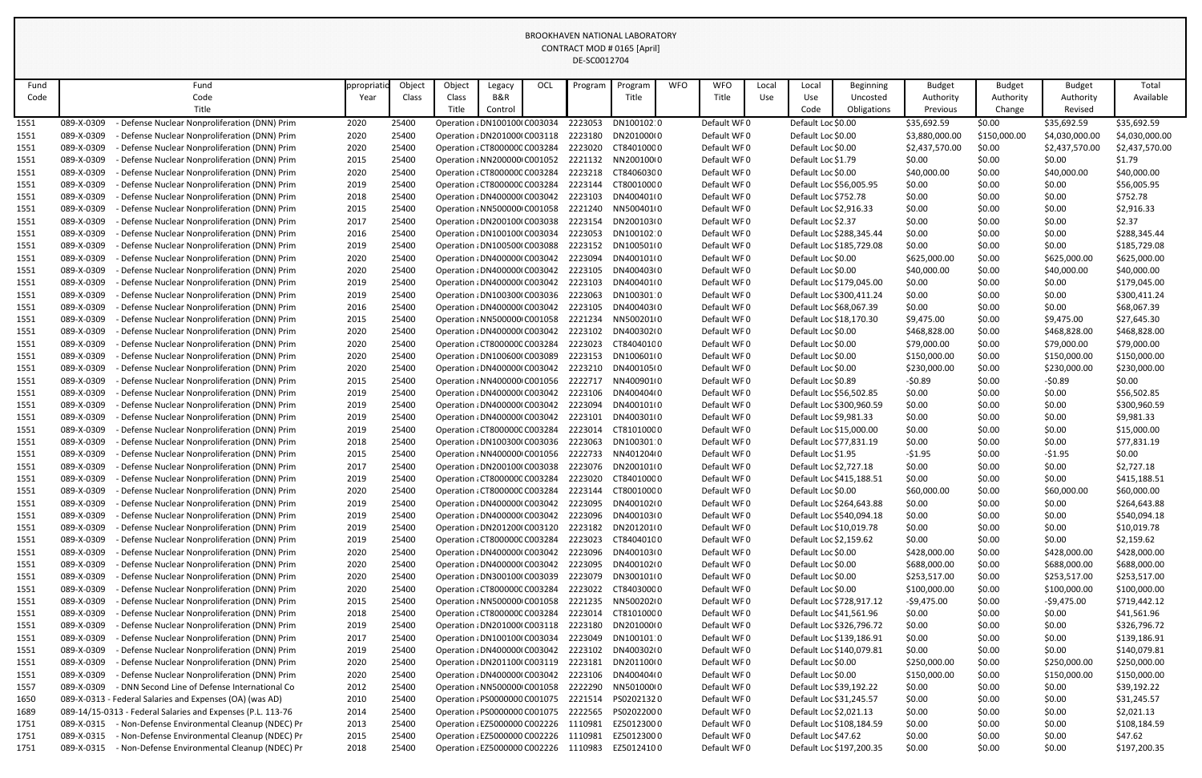| Fund         |            | Fund                                                        | ppropriati | Object | Object                                | Legacy  | OCL | Program | Progran            | <b>WFO</b> | <b>WFO</b>  | Local | Local                   | <b>Beginning</b>         | <b>Budget</b>  | <b>Budget</b> | <b>Budget</b>  | Total          |
|--------------|------------|-------------------------------------------------------------|------------|--------|---------------------------------------|---------|-----|---------|--------------------|------------|-------------|-------|-------------------------|--------------------------|----------------|---------------|----------------|----------------|
| Code         |            | Code                                                        | Year       | Class  | Class                                 | B&R     |     |         | Title              |            | Title       | Use   | Use                     | Uncosted                 | Authority      | Authority     | Authority      | Available      |
|              |            | Title                                                       |            |        | Title                                 | Control |     |         |                    |            |             |       | Code                    | Obligations              | Previous       | Change        | Revised        |                |
| 1551         | 089-X-0309 | Defense Nuclear Nonproliferation (DNN) Prim                 | 2020       | 25400  | Operation : DN100100(C003034          |         |     | 2223053 | DN100102:0         |            | Default WF0 |       | Default Loc \$0.00      |                          | \$35,692.59    | \$0.00        | \$35,692.59    | \$35,692.59    |
| 1551         | 089-X-0309 | Defense Nuclear Nonproliferation (DNN) Prim                 | 2020       | 25400  | Operation : DN201000(C003118          |         |     | 2223180 | DN201000(0         |            | Default WF0 |       | Default Loc \$0.00      |                          | \$3,880,000.00 | \$150,000.00  | \$4,030,000.00 | \$4,030,000.00 |
| 1551         | 089-X-0309 | Defense Nuclear Nonproliferation (DNN) Prim                 | 2020       | 25400  | Operation : CT8000000 C003284         |         |     | 2223020 | CT84010000         |            | Default WF0 |       | Default Loc \$0.00      |                          | \$2,437,570.00 | \$0.00        | \$2,437,570.00 | \$2,437,570.00 |
| 1551         | 089-X-0309 | Defense Nuclear Nonproliferation (DNN) Prim                 | 2015       | 25400  | Operation : NN200000 C001052          |         |     | 2221132 | NN200100(0         |            | Default WF0 |       | Default Loc \$1.79      |                          | \$0.00         | \$0.00        | \$0.00         | \$1.79         |
| 1551         | 089-X-0309 | Defense Nuclear Nonproliferation (DNN) Prim                 | 2020       | 25400  | Operation : CT8000000 C003284         |         |     | 2223218 | CT84060300         |            | Default WF0 |       | Default Loc \$0.00      |                          | \$40,000.00    | \$0.00        | \$40,000.00    | \$40,000.00    |
| 1551         | 089-X-0309 | Defense Nuclear Nonproliferation (DNN) Prim                 | 2019       | 25400  | Operation : CT8000000 C003284         |         |     |         | 2223144 CT80010000 |            | Default WF0 |       | Default Loc \$56,005.95 |                          | \$0.00         | \$0.00        | \$0.00         | \$56,005.95    |
| 1551         | 089-X-0309 | Defense Nuclear Nonproliferation (DNN) Prim                 | 2018       | 25400  | Operation : DN400000(C003042          |         |     | 2223103 | DN400401(0         |            | Default WF0 |       | Default Loc \$752.78    |                          | \$0.00         | \$0.00        | \$0.00         | \$752.78       |
| 1551         | 089-X-0309 | Defense Nuclear Nonproliferation (DNN) Prim                 | 2015       | 25400  | Operation : NN500000 C001058          |         |     | 2221240 | NN500401(0         |            | Default WF0 |       | Default Loc \$2,916.33  |                          | \$0.00         | \$0.00        | \$0.00         | \$2,916.33     |
| 1551         | 089-X-0309 | Defense Nuclear Nonproliferation (DNN) Prim                 | 2017       | 25400  | Operation : DN200100(C003038          |         |     | 2223154 | DN200103(0         |            | Default WF0 |       | Default Loc \$2.37      |                          | \$0.00         | \$0.00        | \$0.00         | \$2.37         |
| 1551         | 089-X-0309 | Defense Nuclear Nonproliferation (DNN) Prim                 | 2016       | 25400  | Operation : DN100100(C003034          |         |     | 2223053 | DN100102:0         |            | Default WF0 |       |                         | Default Loc \$288,345.44 | \$0.00         | \$0.00        | \$0.00         | \$288,345.44   |
| 1551         | 089-X-0309 | Defense Nuclear Nonproliferation (DNN) Prim                 | 2019       | 25400  | Operation : DN100500(C003088          |         |     | 2223152 | DN100501(0         |            | Default WF0 |       |                         | Default Loc \$185,729.08 | \$0.00         | \$0.00        | \$0.00         | \$185,729.08   |
| 1551         | 089-X-0309 | Defense Nuclear Nonproliferation (DNN) Prim                 | 2020       | 25400  | Operation : DN400000(C003042          |         |     | 2223094 | DN400101(0         |            | Default WF0 |       | Default Loc \$0.00      |                          | \$625,000.00   | \$0.00        | \$625,000.00   | \$625,000.00   |
| 1551         | 089-X-0309 | Defense Nuclear Nonproliferation (DNN) Prim                 | 2020       | 25400  | Operation : DN400000(C003042          |         |     | 2223105 | DN400403(0         |            | Default WF0 |       | Default Loc \$0.00      |                          | \$40,000.00    | \$0.00        | \$40,000.00    | \$40,000.00    |
| 1551         | 089-X-0309 | Defense Nuclear Nonproliferation (DNN) Prim                 | 2019       | 25400  | Operation : DN400000(C003042          |         |     | 2223103 | DN400401(0         |            | Default WF0 |       |                         | Default Loc \$179,045.00 | \$0.00         | \$0.00        | \$0.00         | \$179,045.00   |
| <u> 1551</u> | 089-X-0309 | Defense Nuclear Nonproliferation (DNN) Prim                 | 2019       | 25400  | Operation : DN100300(C003036          |         |     | 2223063 | DN100301:0         |            | Default WF0 |       |                         | Default Loc \$300,411.24 | \$0.00         | \$0.00        | \$0.00         | \$300,411.24   |
| 1551         | 089-X-0309 | Defense Nuclear Nonproliferation (DNN) Prim                 | 2016       | 25400  | Operation : DN400000(C003042          |         |     | 2223105 | DN400403(0         |            | Default WF0 |       | Default Loc \$68,067.39 |                          | \$0.00         | \$0.00        | \$0.00         | \$68,067.39    |
| 1551         | 089-X-0309 | Defense Nuclear Nonproliferation (DNN) Prim                 | 2015       | 25400  | Operation : NN500000 C001058          |         |     | 2221234 | NN500201(0         |            | Default WF0 |       | Default Loc \$18,170.30 |                          | \$9,475.00     | \$0.00        | \$9,475.00     | \$27,645.30    |
| 1551         | 089-X-0309 | Defense Nuclear Nonproliferation (DNN) Prim                 | 2020       | 25400  | Operation : DN400000(C003042          |         |     | 2223102 | DN400302(0         |            | Default WF0 |       | Default Loc \$0.00      |                          | \$468,828.00   | \$0.00        | \$468,828.00   | \$468,828.00   |
| 1551         | 089-X-0309 | Defense Nuclear Nonproliferation (DNN) Prim                 | 2020       | 25400  | Operation : CT8000000 C003284         |         |     | 2223023 | CT84040100         |            | Default WF0 |       | Default Loc \$0.00      |                          | \$79,000.00    | \$0.00        | \$79,000.00    | \$79,000.00    |
| 1551         | 089-X-0309 | Defense Nuclear Nonproliferation (DNN) Prim                 | 2020       | 25400  | Operation : DN100600(C003089          |         |     | 2223153 | DN100601(0         |            | Default WF0 |       | Default Loc \$0.00      |                          | \$150,000.00   | \$0.00        | \$150,000.00   | \$150,000.00   |
| 1551         | 089-X-0309 | Defense Nuclear Nonproliferation (DNN) Prim                 | 2020       | 25400  | Operation : DN400000(C003042          |         |     | 2223210 | DN400105(0         |            | Default WF0 |       | Default Loc \$0.00      |                          | \$230,000.00   | \$0.00        | \$230,000.00   | \$230,000.00   |
| 1551         | 089-X-0309 | Defense Nuclear Nonproliferation (DNN) Prim                 | 2015       | 25400  | Operation : NN400000 C001056          |         |     | 2222717 | NN400901(0         |            | Default WF0 |       | Default Loc \$0.89      |                          | -\$0.89        | \$0.00        | $-50.89$       | \$0.00         |
| 1551         | 089-X-0309 | Defense Nuclear Nonproliferation (DNN) Prim                 | 2019       | 25400  | Operation : DN400000(C003042          |         |     | 2223106 | DN400404(0         |            | Default WF0 |       | Default Loc \$56,502.85 |                          | \$0.00         | \$0.00        | \$0.00         | \$56,502.85    |
| 1551         | 089-X-0309 | Defense Nuclear Nonproliferation (DNN) Prim                 | 2019       | 25400  | Operation : DN400000(C003042          |         |     | 2223094 | DN400101(0         |            | Default WF0 |       |                         | Default Loc \$300,960.59 | \$0.00         | \$0.00        | \$0.00         | \$300,960.59   |
| 1551         | 089-X-0309 | Defense Nuclear Nonproliferation (DNN) Prim                 | 2019       | 25400  | Operation : DN400000(C003042          |         |     | 2223101 | DN400301(0         |            | Default WF0 |       | Default Loc \$9,981.33  |                          | \$0.00         | \$0.00        | \$0.00         | \$9,981.33     |
| 1551         | 089-X-0309 | Defense Nuclear Nonproliferation (DNN) Prim                 | 2019       | 25400  | Operation : CT8000000 C003284         |         |     | 2223014 | CT81010000         |            | Default WF0 |       | Default Loc \$15,000.00 |                          | \$0.00         | \$0.00        | \$0.00         | \$15,000.00    |
| 1551         | 089-X-0309 | Defense Nuclear Nonproliferation (DNN) Prim                 | 2018       | 25400  | Operation : DN100300(C003036          |         |     | 2223063 | DN100301:0         |            | Default WF0 |       | Default Loc \$77,831.19 |                          | \$0.00         | \$0.00        | \$0.00         | \$77,831.19    |
| 1551         | 089-X-0309 | Defense Nuclear Nonproliferation (DNN) Prim                 | 2015       | 25400  | Operation : NN400000 C001056 2222733  |         |     |         | NN401204(0         |            | Default WF0 |       | Default Loc \$1.95      |                          | $-51.95$       | \$0.00        | $-51.95$       | \$0.00         |
| 1551         | 089-X-0309 | Defense Nuclear Nonproliferation (DNN) Prim                 | 2017       | 25400  | Operation : DN200100(C003038          |         |     | 2223076 | DN200101(0         |            | Default WF0 |       | Default Loc \$2,727.18  |                          | \$0.00         | \$0.00        | \$0.00         | \$2,727.18     |
| 1551         | 089-X-0309 | Defense Nuclear Nonproliferation (DNN) Prim                 | 2019       | 25400  | Operation : CT8000000 C003284         |         |     | 2223020 | CT84010000         |            | Default WF0 |       |                         | Default Loc \$415,188.51 | \$0.00         | \$0.00        | \$0.00         | \$415,188.51   |
| 1551         | 089-X-0309 | Defense Nuclear Nonproliferation (DNN) Prim                 | 2020       | 25400  | Operation : CT8000000 C003284         |         |     | 2223144 | CT80010000         |            | Default WF0 |       | Default Loc \$0.00      |                          | \$60,000.00    | \$0.00        | \$60,000.00    | \$60,000.00    |
| 1551         | 089-X-0309 | Defense Nuclear Nonproliferation (DNN) Prim                 | 2019       | 25400  | Operation : DN400000(C003042          |         |     | 2223095 | DN400102(0         |            | Default WF0 |       |                         | Default Loc \$264,643.88 | \$0.00         | \$0.00        | \$0.00         | \$264,643.88   |
| 1551         | 089-X-0309 | Defense Nuclear Nonproliferation (DNN) Prim                 | 2019       | 25400  | Operation : DN400000(C003042          |         |     | 2223096 | DN400103(0         |            | Default WF0 |       |                         | Default Loc \$540,094.18 | \$0.00         | \$0.00        | \$0.00         | \$540,094.18   |
| 1551         | 089-X-0309 | Defense Nuclear Nonproliferation (DNN) Prim                 | 2019       | 25400  | Operation : DN201200(C003120          |         |     | 2223182 | DN201201(0         |            | Default WF0 |       | Default Loc \$10,019.78 |                          | \$0.00         | \$0.00        | \$0.00         | \$10,019.78    |
| 1551         | 089-X-0309 | Defense Nuclear Nonproliferation (DNN) Prim                 | 2019       | 25400  | Operation : CT8000000 C003284         |         |     | 2223023 | CT84040100         |            | Default WF0 |       | Default Loc \$2,159.62  |                          | \$0.00         | \$0.00        | \$0.00         | \$2,159.62     |
| 1551         | 089-X-0309 | Defense Nuclear Nonproliferation (DNN) Prim                 | 2020       | 25400  | Operation : DN400000(C003042          |         |     | 2223096 | DN400103(0         |            | Default WF0 |       | Default Loc \$0.00      |                          | \$428,000.00   | \$0.00        | \$428,000.00   | \$428,000.00   |
| 1551         | 089-X-0309 | Defense Nuclear Nonproliferation (DNN) Prim                 | 2020       | 25400  | Operation : DN400000(C003042          |         |     | 2223095 | DN400102(0         |            | Default WF0 |       | Default Loc \$0.00      |                          | \$688,000.00   | \$0.00        | \$688,000.00   | \$688,000.00   |
| 1551         | 089-X-0309 | Defense Nuclear Nonproliferation (DNN) Prim                 | 2020       | 25400  | Operation : DN300100(C003039          |         |     | 2223079 | DN300101(0         |            | Default WF0 |       | Default Loc \$0.00      |                          | \$253,517.00   | \$0.00        | \$253,517.00   | \$253,517.00   |
| 1551         | 089-X-0309 | Defense Nuclear Nonproliferation (DNN) Prim                 | 2020       | 25400  | Operation : CT8000000 C003284         |         |     | 2223022 | CT84030000         |            | Default WF0 |       | Default Loc \$0.00      |                          | \$100,000.00   | \$0.00        | \$100,000.00   | \$100,000.00   |
| 1551         | 089-X-0309 | Defense Nuclear Nonproliferation (DNN) Prim                 | 2015       | 25400  | Operation : NN500000 C001058          |         |     | 2221235 | NN500202(0         |            | Default WF0 |       |                         | Default Loc \$728,917.12 | $-59,475.00$   | \$0.00        | $-59,475.00$   | \$719,442.12   |
| 1551         | 089-X-0309 | Defense Nuclear Nonproliferation (DNN) Prim                 | 2018       | 25400  | Operation : CT8000000 C003284         |         |     | 2223014 | CT81010000         |            | Default WF0 |       | Default Loc \$41,561.96 |                          | \$0.00         | \$0.00        | \$0.00         | \$41,561.96    |
| 1551         | 089-X-0309 | Defense Nuclear Nonproliferation (DNN) Prim                 | 2019       | 25400  | Operation / DN201000 (C003118         |         |     | 2223180 | DN201000(0         |            | Default WF0 |       |                         | Default Loc \$326,796.72 | \$0.00         | \$0.00        | \$0.00         | \$326,796.72   |
| 1551         | 089-X-0309 | Defense Nuclear Nonproliferation (DNN) Prim                 | 2017       | 25400  | Operation : DN100100(C003034          |         |     | 2223049 | DN100101:0         |            | Default WF0 |       |                         | Default Loc \$139,186.91 | \$0.00         | \$0.00        | \$0.00         | \$139,186.91   |
| 1551         | 089-X-0309 | Defense Nuclear Nonproliferation (DNN) Prim                 | 2019       | 25400  | Operation : DN400000(C003042          |         |     | 2223102 | DN400302(0         |            | Default WF0 |       |                         | Default Loc \$140,079.81 | \$0.00         | \$0.00        | \$0.00         | \$140,079.81   |
| 1551         | 089-X-0309 | Defense Nuclear Nonproliferation (DNN) Prim                 | 2020       | 25400  | Operation : DN201100(C003119          |         |     | 2223181 | DN201100(0         |            | Default WF0 |       | Default Loc \$0.00      |                          | \$250,000.00   | \$0.00        | \$250,000.00   | \$250,000.00   |
| 1551         | 089-X-0309 | Defense Nuclear Nonproliferation (DNN) Prim                 | 2020       | 25400  | Operation : DN400000(C003042          |         |     | 2223106 | DN400404(0         |            | Default WF0 |       | Default Loc \$0.00      |                          | \$150,000.00   | \$0.00        | \$150,000.00   | \$150,000.00   |
| 1557         | 089-X-0309 | - DNN Second Line of Defense International Co               | 2012       | 25400  | Operation : NN500000 C001058          |         |     | 2222290 | NN501000(0         |            | Default WF0 |       | Default Loc \$39,192.22 |                          | \$0.00         | \$0.00        | \$0.00         | \$39,192.22    |
| 1650         |            | 089-X-0313 - Federal Salaries and Expenses (OA) (was AD)    | 2010       | 25400  | Operation : PS0000000 C001075         |         |     | 2221514 | PS02021320         |            | Default WF0 |       | Default Loc \$31,245.57 |                          | \$0.00         | \$0.00        | \$0.00         | \$31,245.57    |
| 1689         |            | 089-14/15-0313 - Federal Salaries and Expenses (P.L. 113-76 | 2014       | 25400  | Operation : PS0000000 C001075         |         |     | 2222565 | PS02022000         |            | Default WF0 |       | Default Loc \$2,021.13  |                          | \$0.00         | \$0.00        | \$0.00         | \$2,021.13     |
| 1751         | 089-X-0315 | - Non-Defense Environmental Cleanup (NDEC) Pr               | 2013       | 25400  | Operation : EZ5000000 C002226         |         |     | 1110981 | EZ50123000         |            | Default WF0 |       |                         | Default Loc \$108,184.59 | \$0.00         | \$0.00        | \$0.00         | \$108,184.59   |
| 1751         | 089-X-0315 | - Non-Defense Environmental Cleanup (NDEC) Pr               | 2015       | 25400  | Operation : EZ5000000 C002226         |         |     | 1110981 | EZ50123000         |            | Default WF0 |       | Default Loc \$47.62     |                          | \$0.00         | \$0.00        | \$0.00         | \$47.62        |
| 1751         | 089-X-0315 | - Non-Defense Environmental Cleanup (NDEC) Pr               | 2018       | 25400  | Operation : EZ5000000 C002226 1110983 |         |     |         | EZ50124100         |            | Default WF0 |       |                         | Default Loc \$197,200.35 | \$0.00         | \$0.00        | \$0.00         | \$197,200.35   |
|              |            |                                                             |            |        |                                       |         |     |         |                    |            |             |       |                         |                          |                |               |                |                |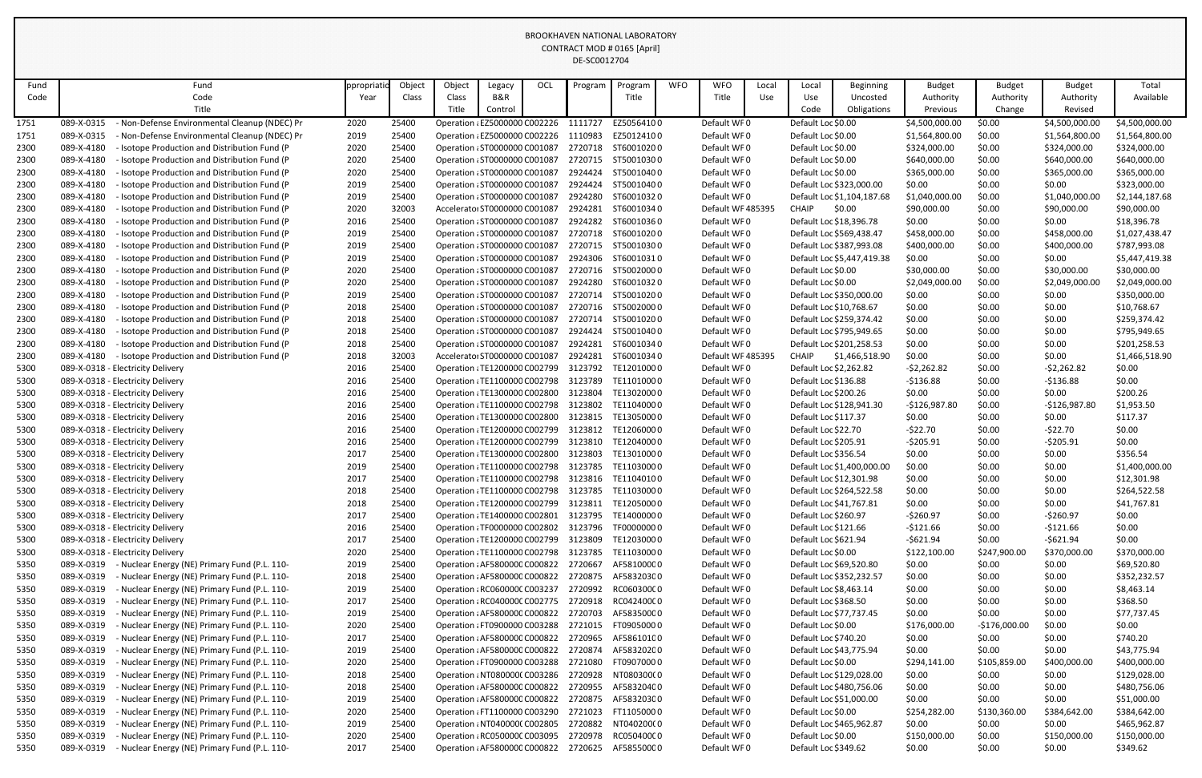| Fund         | Fund                                                                                                                       | ppropriati   | Object         | Object                                                         | Legacy                        | <b>OCL</b> | Program            | Program                                                        | <b>WFO</b> | <b>WFO</b>                 | Local | Local                                         | <b>Beginning</b>           | <b>Budget</b>                | <b>Budget</b>          | <b>Budget</b>                | Total                        |
|--------------|----------------------------------------------------------------------------------------------------------------------------|--------------|----------------|----------------------------------------------------------------|-------------------------------|------------|--------------------|----------------------------------------------------------------|------------|----------------------------|-------|-----------------------------------------------|----------------------------|------------------------------|------------------------|------------------------------|------------------------------|
| Code         | Code                                                                                                                       | Year         | Class          | Class                                                          | B&R                           |            |                    | Title                                                          |            | Title                      | Use   | Use                                           | Uncosted                   | Authority                    | Authority              | Authority                    | Available                    |
|              | Title                                                                                                                      |              |                | Title                                                          | Control                       |            |                    |                                                                |            |                            |       | Code                                          | Obligations                | Previous                     | Change                 | Revised                      |                              |
| 1751         | 089-X-0315<br>Non-Defense Environmental Cleanup (NDEC) Pr                                                                  | 2020         | 25400          |                                                                | Operation : EZ5000000 C002226 |            | 1111727            | EZ50564100                                                     |            | Default WF0                |       | Default Loc \$0.00                            |                            | \$4,500,000.00               | \$0.00                 | \$4,500,000.00               | \$4,500,000.00               |
| 1751         | - Non-Defense Environmental Cleanup (NDEC) Pr<br>089-X-0315                                                                | 2019         | 25400          | Operation : EZ5000000 C002226                                  |                               |            | 1110983            | EZ50124100                                                     |            | Default WF0                |       | Default Loc \$0.00                            |                            | \$1,564,800.00               | \$0.00                 | \$1,564,800.00               | \$1,564,800.00               |
| 2300         | 089-X-4180<br>- Isotope Production and Distribution Fund (P<br>089-X-4180<br>- Isotope Production and Distribution Fund (P | 2020         | 25400<br>25400 | Operation : ST0000000 C001087                                  |                               |            | 2720718<br>2720715 | ST60010200<br>ST50010300                                       |            | Default WF0<br>Default WF0 |       | Default Loc \$0.00<br>Default Loc \$0.00      |                            | \$324,000.00<br>\$640,000.00 | \$0.00<br>\$0.00       | \$324,000.00                 | \$324,000.00<br>\$640,000.00 |
| 2300         | 089-X-4180                                                                                                                 | 2020<br>2020 | 25400          | Operation : ST0000000 C001087                                  |                               |            | 2924424            | ST50010400                                                     |            | Default WF0                |       | Default Loc \$0.00                            |                            | \$365,000.00                 | \$0.00                 | \$640,000.00<br>\$365,000.00 | \$365,000.00                 |
| 2300<br>2300 | - Isotope Production and Distribution Fund (P<br>089-X-4180<br>- Isotope Production and Distribution Fund (P               | 2019         | 25400          | Operation : ST0000000 C001087<br>Operation : ST0000000 C001087 |                               |            | 2924424            | ST50010400                                                     |            | Default WF0                |       |                                               | Default Loc \$323,000.00   | \$0.00                       | \$0.00                 | \$0.00                       | \$323,000.00                 |
| 2300         | 089-X-4180<br>- Isotope Production and Distribution Fund (P                                                                | 2019         | 25400          | Operation : ST0000000 C001087                                  |                               |            | 2924280            | ST60010320                                                     |            | Default WF0                |       |                                               | Default Loc \$1,104,187.68 | \$1,040,000.00               | \$0.00                 | \$1,040,000.00               | \$2,144,187.68               |
| 2300         | 089-X-4180<br>Isotope Production and Distribution Fund (P                                                                  | 2020         | 32003          |                                                                | Accelerator ST0000000 C001087 |            | 2924281            | ST60010340                                                     |            | Default WF 485395          |       | <b>CHAIP</b>                                  | \$0.00                     | \$90,000.00                  | \$0.00                 | \$90,000.00                  | \$90,000.00                  |
| 2300         | 089-X-4180<br>- Isotope Production and Distribution Fund (P                                                                | 2016         | 25400          | Operation : ST0000000 C001087                                  |                               |            | 2924282            | ST60010360                                                     |            | Default WF0                |       | Default Loc \$18,396.78                       |                            | \$0.00                       | \$0.00                 | \$0.00                       | \$18,396.78                  |
| 2300         | 089-X-4180<br>- Isotope Production and Distribution Fund (P                                                                | 2019         | 25400          | Operation : ST0000000 C001087                                  |                               |            | 2720718            | ST60010200                                                     |            | Default WF0                |       | Default Loc \$569,438.47                      |                            | \$458,000.00                 | \$0.00                 | \$458,000.00                 | \$1,027,438.47               |
| 2300         | 089-X-4180<br>- Isotope Production and Distribution Fund (P                                                                | 2019         | 25400          | Operation : ST0000000 C001087                                  |                               |            |                    | 2720715 ST50010300                                             |            | Default WF0                |       |                                               | Default Loc \$387,993.08   | \$400,000.00                 | \$0.00                 | \$400,000.00                 | \$787,993.08                 |
| 2300         | 089-X-4180<br>- Isotope Production and Distribution Fund (P                                                                | 2019         | 25400          | Operation : ST0000000 C001087                                  |                               |            | 2924306            | ST60010310                                                     |            | Default WF0                |       |                                               | Default Loc \$5,447,419.38 | \$0.00                       | \$0.00                 | \$0.00                       | \$5,447,419.38               |
| 2300         | 089-X-4180<br>- Isotope Production and Distribution Fund (P                                                                | 2020         | 25400          | Operation : ST0000000 C001087                                  |                               |            | 2720716            | ST50020000                                                     |            | Default WF0                |       | Default Loc \$0.00                            |                            | \$30,000.00                  | \$0.00                 | \$30,000.00                  | \$30,000.00                  |
| 2300         | 089-X-4180<br>Isotope Production and Distribution Fund (P                                                                  | 2020         | 25400          | Operation : ST0000000 C001087                                  |                               |            | 2924280            | ST60010320                                                     |            | Default WF0                |       | Default Loc \$0.00                            |                            | \$2,049,000.00               | \$0.00                 | \$2,049,000.00               | \$2,049,000.00               |
| 2300         | 089-X-4180<br>- Isotope Production and Distribution Fund (P                                                                | 2019         | 25400          | Operation : ST0000000 C001087                                  |                               |            | 2720714            | ST50010200                                                     |            | Default WF0                |       |                                               | Default Loc \$350,000.00   | \$0.00                       | \$0.00                 | \$0.00                       | \$350,000.00                 |
| 2300         | 089-X-4180<br>- Isotope Production and Distribution Fund (P                                                                | 2018         | 25400          | Operation : ST0000000 C001087                                  |                               |            |                    | 2720716 ST50020000                                             |            | Default WF0                |       | Default Loc \$10,768.67                       |                            | \$0.00                       | \$0.00                 | \$0.00                       | \$10,768.67                  |
| 2300         | 089-X-4180<br>- Isotope Production and Distribution Fund (P                                                                | 2018         | 25400          | Operation : ST0000000 C001087                                  |                               |            | 2720714            | ST50010200                                                     |            | Default WF0                |       |                                               | Default Loc \$259,374.42   | \$0.00                       | \$0.00                 | \$0.00                       | \$259,374.42                 |
| 2300         | 089-X-4180<br>- Isotope Production and Distribution Fund (P                                                                | 2018         | 25400          | Operation : ST0000000 C001087                                  |                               |            | 2924424            | ST50010400                                                     |            | Default WF0                |       |                                               | Default Loc \$795,949.65   | \$0.00                       | \$0.00                 | \$0.00                       | \$795,949.65                 |
| 2300         | 089-X-4180<br>- Isotope Production and Distribution Fund (P                                                                | 2018         | 25400          |                                                                | Operation : ST0000000 C001087 |            | 2924281            | ST60010340                                                     |            | Default WF0                |       |                                               | Default Loc \$201,258.53   | \$0.00                       | \$0.00                 | \$0.00                       | \$201,258.53                 |
| 2300         | 089-X-4180<br>- Isotope Production and Distribution Fund (P                                                                | 2018         | 32003          |                                                                | Accelerator ST0000000 C001087 |            | 2924281            | ST60010340                                                     |            | Default WF 485395          |       | CHAIP                                         | \$1,466,518.90             | \$0.00                       | \$0.00                 | \$0.00                       | \$1,466,518.90               |
| 5300         | 089-X-0318 - Electricity Delivery                                                                                          | 2016         | 25400          | Operation : TE1200000 C002799                                  |                               |            | 3123792            | TE12010000                                                     |            | Default WF0                |       | Default Loc \$2,262.82                        |                            | $-52,262.82$                 | \$0.00                 | $-52,262.82$                 | \$0.00                       |
| 5300         | 089-X-0318 - Electricity Delivery                                                                                          | 2016         | 25400          | Operation : TE1100000 C002798                                  |                               |            | 3123789            | TE11010000                                                     |            | Default WF0                |       | Default Loc \$136.88                          |                            | $-5136.88$                   | \$0.00                 | $-5136.88$                   | \$0.00                       |
| 5300         | 089-X-0318 - Electricity Delivery                                                                                          | 2016         | 25400          | Operation : TE1300000 C002800                                  |                               |            | 3123804            | TE13020000                                                     |            | Default WF0                |       | Default Loc \$200.26                          |                            | \$0.00                       | \$0.00                 | \$0.00                       | \$200.26                     |
| 5300         | 089-X-0318 - Electricity Delivery                                                                                          | 2016         | 25400          | Operation : TE1100000 C002798                                  |                               |            | 3123802            | TE11040000                                                     |            | Default WF0                |       |                                               | Default Loc \$128,941.30   | $-$126,987.80$               | \$0.00                 | $-$126,987.80$               | \$1,953.50                   |
| 5300         | 089-X-0318 - Electricity Delivery                                                                                          | 2016         | 25400          | Operation : TE1300000 C002800                                  |                               |            | 3123815            | TE13050000                                                     |            | Default WF0                |       | Default Loc \$117.37                          |                            | \$0.00                       | \$0.00                 | \$0.00                       | \$117.37                     |
| 5300         | 089-X-0318 - Electricity Delivery                                                                                          | 2016         | 25400          | Operation : TE1200000 C002799                                  |                               |            | 3123812            | TE12060000                                                     |            | Default WF0                |       | Default Loc \$22.70                           |                            | $-522.70$                    | \$0.00                 | $-522.70$                    | \$0.00                       |
| 5300         | 089-X-0318 - Electricity Delivery                                                                                          | 2016         | 25400          | Operation : TE1200000 C002799                                  |                               |            | 3123810            | TE12040000                                                     |            | Default WF0                |       | Default Loc \$205.91                          |                            | $-5205.91$                   | \$0.00                 | $-5205.91$                   | \$0.00                       |
| 5300         | 089-X-0318 - Electricity Delivery                                                                                          | 2017         | 25400          |                                                                |                               |            |                    | Operation : TE1300000 C002800 3123803 TE13010000               |            | Default WF0                |       | Default Loc \$356.54                          |                            | \$0.00                       | \$0.00                 | \$0.00                       | \$356.54                     |
| 5300         | 089-X-0318 - Electricity Delivery                                                                                          | 2019         | 25400          | Operation : TE1100000 C002798                                  |                               |            |                    | 3123785 TE11030000                                             |            | Default WF0                |       |                                               | Default Loc \$1,400,000.00 | \$0.00                       | \$0.00                 | \$0.00                       | \$1,400,000.00               |
| 5300         | 089-X-0318 - Electricity Delivery                                                                                          | 2017         | 25400          | Operation : TE1100000 C002798                                  |                               |            | 3123816            | TE11040100                                                     |            | Default WF0                |       | Default Loc \$12,301.98                       |                            | \$0.00                       | \$0.00                 | \$0.00                       | \$12,301.98                  |
| 5300         | 089-X-0318 - Electricity Delivery                                                                                          | 2018         | 25400          |                                                                |                               |            |                    | Operation / TE1100000 C002798 3123785 TE11030000               |            | Default WF0                |       |                                               | Default Loc \$264,522.58   | \$0.00                       | \$0.00                 | \$0.00                       | \$264,522.58                 |
| 5300         | 089-X-0318 - Electricity Delivery                                                                                          | 2018         | 25400          |                                                                |                               |            |                    | Operation : TE1200000 C002799 3123811 TE1205000 0              |            | Default WF0                |       | Default Loc \$41,767.81                       |                            | \$0.00                       | \$0.00                 | \$0.00                       | \$41,767.81                  |
| 5300         | 089-X-0318 - Electricity Delivery                                                                                          | 2017         | 25400          | Operation : TE1400000 C002801                                  |                               |            | 3123795            | TE14000000                                                     |            | Default WF0                |       | Default Loc \$260.97                          |                            | $-5260.97$                   | \$0.00                 | $-5260.97$                   | \$0.00                       |
| 5300         | 089-X-0318 - Electricity Delivery                                                                                          | 2016         | 25400          | Operation : TF0000000 C002802                                  |                               |            |                    | 3123796 TF00000000                                             |            | Default WF0                |       | Default Loc \$121.66                          |                            | $-$121.66$                   | \$0.00                 | $-5121.66$                   | \$0.00                       |
| 5300         | 089-X-0318 - Electricity Delivery                                                                                          | 2017         | 25400          | Operation : TE1200000 C002799                                  |                               |            | 3123809            | TE12030000                                                     |            | Default WF0                |       | Default Loc \$621.94                          |                            | $-5621.94$                   | \$0.00                 | $-5621.94$                   | \$0.00                       |
| 5300<br>5350 | 089-X-0318 - Electricity Delivery<br>089-X-0319<br>- Nuclear Energy (NE) Primary Fund (P.L. 110-                           | 2020<br>2019 | 25400<br>25400 | Operation : AF5800000 C000822 2720667                          |                               |            |                    | Operation : TE1100000 C002798 3123785 TE11030000<br>AF58100000 |            | Default WF0<br>Default WF0 |       | Default Loc \$0.00<br>Default Loc \$69,520.80 |                            | \$122,100.00<br>\$0.00       | \$247,900.00<br>\$0.00 | \$370,000.00<br>\$0.00       | \$370,000.00<br>\$69,520.80  |
| 5350         | 089-X-0319<br>- Nuclear Energy (NE) Primary Fund (P.L. 110-                                                                | 2018         | 25400          | Operation : AF5800000 C000822                                  |                               |            | 2720875            | AF58320300                                                     |            | Default WF0                |       |                                               | Default Loc \$352,232.57   | \$0.00                       | \$0.00                 | \$0.00                       | \$352,232.57                 |
| 5350         | 089-X-0319<br>- Nuclear Energy (NE) Primary Fund (P.L. 110-                                                                | 2019         | 25400          | Operation : RC060000C C003237                                  |                               |            | 2720992            | RC060300C0                                                     |            | Default WF0                |       | Default Loc \$8,463.14                        |                            | \$0.00                       | \$0.00                 | \$0.00                       | \$8,463.14                   |
| 5350         | 089-X-0319<br>- Nuclear Energy (NE) Primary Fund (P.L. 110-                                                                | 2017         | 25400          | Operation : RC040000C C002775                                  |                               |            |                    | 2720918 RC042400C0                                             |            | Default WF0                |       | Default Loc \$368.50                          |                            | \$0.00                       | \$0.00                 | \$0.00                       | \$368.50                     |
| 5350         | 089-X-0319<br>Nuclear Energy (NE) Primary Fund (P.L. 110-                                                                  | 2019         | 25400          | Operation : AF5800000 C000822                                  |                               |            | 2720703            | AF58350000                                                     |            | Default WF0                |       | Default Loc \$77,737.45                       |                            | \$0.00                       | \$0.00                 | \$0.00                       | \$77,737.45                  |
| 5350         | 089-X-0319<br>- Nuclear Energy (NE) Primary Fund (P.L. 110-                                                                | 2020         | 25400          | Operation : FT0900000 C003288                                  |                               |            |                    | 2721015 FT09050000                                             |            | Default WF0                |       | Default Loc \$0.00                            |                            | \$176,000.00                 | $-$176,000.00$         | \$0.00                       | \$0.00                       |
| 5350         | 089-X-0319<br>- Nuclear Energy (NE) Primary Fund (P.L. 110-                                                                | 2017         | 25400          | Operation : AF5800000 C000822                                  |                               |            | 2720965            | AF58610100                                                     |            | Default WF0                |       | Default Loc \$740.20                          |                            | \$0.00                       | \$0.00                 | \$0.00                       | \$740.20                     |
| 5350         | 089-X-0319<br>Nuclear Energy (NE) Primary Fund (P.L. 110-                                                                  | 2019         | 25400          | Operation : AF5800000 C000822                                  |                               |            | 2720874            | AF58320200                                                     |            | Default WF0                |       | Default Loc \$43,775.94                       |                            | \$0.00                       | \$0.00                 | \$0.00                       | \$43,775.94                  |
| 5350         | 089-X-0319<br>- Nuclear Energy (NE) Primary Fund (P.L. 110-                                                                | 2020         | 25400          | Operation : FT0900000 C003288                                  |                               |            | 2721080            | FT09070000                                                     |            | Default WF0                |       | Default Loc \$0.00                            |                            | \$294,141.00                 | \$105,859.00           | \$400,000.00                 | \$400,000.00                 |
| 5350         | 089-X-0319<br>Nuclear Energy (NE) Primary Fund (P.L. 110-                                                                  | 2018         | 25400          | Operation : NT080000(C003286                                   |                               |            | 2720928            | NT080300(0                                                     |            | Default WF0                |       |                                               | Default Loc \$129,028.00   | \$0.00                       | \$0.00                 | \$0.00                       | \$129,028.00                 |
| 5350         | 089-X-0319<br>Nuclear Energy (NE) Primary Fund (P.L. 110-                                                                  | 2018         | 25400          | Operation : AF5800000 C000822                                  |                               |            | 2720955            | AF58320400                                                     |            | Default WF0                |       |                                               | Default Loc \$480,756.06   | \$0.00                       | \$0.00                 | \$0.00                       | \$480,756.06                 |
| 5350         | 089-X-0319<br>- Nuclear Energy (NE) Primary Fund (P.L. 110-                                                                | 2019         | 25400          | Operation : AF5800000 C000822                                  |                               |            | 2720875            | AF58320300                                                     |            | Default WF0                |       | Default Loc \$51,000.00                       |                            | \$0.00                       | \$0.00                 | \$0.00                       | \$51,000.00                  |
| 5350         | 089-X-0319<br>- Nuclear Energy (NE) Primary Fund (P.L. 110-                                                                | 2020         | 25400          | Operation : FT1100000 C003290                                  |                               |            | 2721023            | FT11050000                                                     |            | Default WF0                |       | Default Loc \$0.00                            |                            | \$254,282.00                 | \$130,360.00           | \$384,642.00                 | \$384,642.00                 |
| 5350         | 089-X-0319<br>- Nuclear Energy (NE) Primary Fund (P.L. 110-                                                                | 2019         | 25400          | Operation : NT0400000 C002805                                  |                               |            | 2720882            | NT040200(0                                                     |            | Default WF0                |       |                                               | Default Loc \$465,962.87   | \$0.00                       | \$0.00                 | \$0.00                       | \$465,962.87                 |
| 5350         | 089-X-0319<br>- Nuclear Energy (NE) Primary Fund (P.L. 110-                                                                | 2020         | 25400          | Operation : RC050000C C003095                                  |                               |            | 2720978            | RC050400C0                                                     |            | Default WF0                |       | Default Loc \$0.00                            |                            | \$150,000.00                 | \$0.00                 | \$150,000.00                 | \$150,000.00                 |
| 5350         | - Nuclear Energy (NE) Primary Fund (P.L. 110-<br>089-X-0319                                                                | 2017         | 25400          |                                                                |                               |            |                    | Operation : AF5800000 C000822 2720625 AF5855000 0              |            | Default WF0                |       | Default Loc \$349.62                          |                            | \$0.00                       | \$0.00                 | \$0.00                       | \$349.62                     |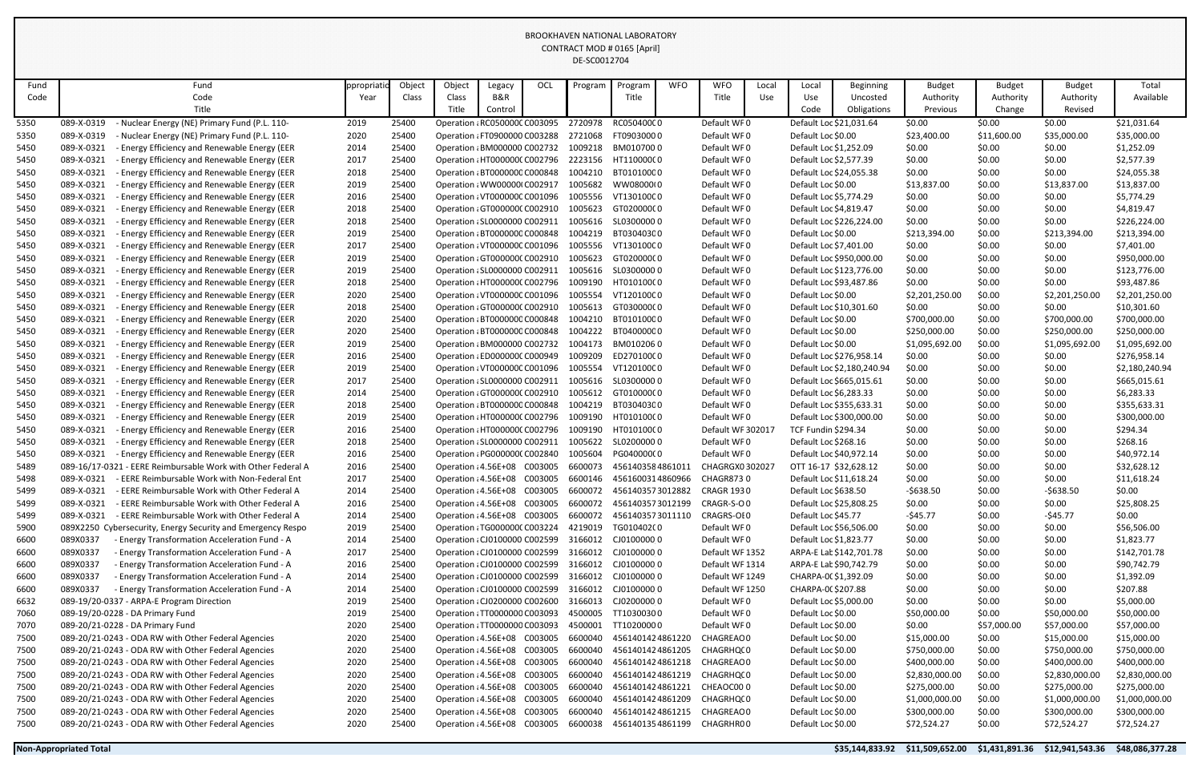| Fund         | Fund                                                                                                                       | ppropriati   | Object         | Object                                                       | Legacy  | OCL     | Program            | Program                  | <b>WFO</b> | <b>WFO</b>                 | Local | Local                      | <b>Beginning</b>           | <b>Budget</b>                | <b>Budget</b>    | <b>Budget</b>                  | Total                          |
|--------------|----------------------------------------------------------------------------------------------------------------------------|--------------|----------------|--------------------------------------------------------------|---------|---------|--------------------|--------------------------|------------|----------------------------|-------|----------------------------|----------------------------|------------------------------|------------------|--------------------------------|--------------------------------|
| Code         | Code                                                                                                                       | Year         | Class          | Class                                                        | B&R     |         |                    | Title                    |            | Title                      | Use   | Use                        | Uncosted                   | Authority                    | Authority        | Authority                      | Available                      |
|              | Title                                                                                                                      |              |                | Title                                                        | Control |         |                    |                          |            |                            |       | Code                       | Obligations                | Previous                     | Change           | Revised                        |                                |
| 5350         | - Nuclear Energy (NE) Primary Fund (P.L. 110-<br>089-X-0319                                                                | 2019         | 25400          | Operation : RC050000C C003095                                |         |         | 2720978            | RC050400C0               |            | Default WF0                |       |                            | Default Loc \$21,031.64    | \$0.00                       | \$0.00           | \$0.00                         | \$21,031.64                    |
| 5350         | 089-X-0319<br>- Nuclear Energy (NE) Primary Fund (P.L. 110-                                                                | 2020         | 25400          | Operation : FT0900000 C003288                                |         |         | 2721068            | FT09030000               |            | Default WF0                |       | Default Loc \$0.00         |                            | \$23,400.00                  | \$11,600.00      | \$35,000.00                    | \$35,000.00                    |
| 5450         | 089-X-0321<br>- Energy Efficiency and Renewable Energy (EER                                                                | 2014         | 25400          | Operation : BM000000 C002732                                 |         |         | 1009218            | BM0107000                |            | Default WF0                |       | Default Loc \$1,252.09     |                            | \$0.00                       | \$0.00           | \$0.00                         | \$1,252.09                     |
| 5450         | 089-X-0321<br>- Energy Efficiency and Renewable Energy (EER                                                                | 2017         | 25400          | Operation : HT0000000 C002796                                |         |         | 2223156            | HT11000000               |            | Default WF0                |       | Default Loc \$2,577.39     |                            | \$0.00                       | \$0.00           | \$0.00                         | \$2,577.39                     |
| 5450         | 089-X-0321<br>- Energy Efficiency and Renewable Energy (EER                                                                | 2018         | 25400          | Operation : BT0000000 C000848                                |         |         | 1004210            | BT01010000               |            | Default WF0                |       |                            | Default Loc \$24,055.38    | \$0.00                       | \$0.00           | \$0.00                         | \$24,055.38                    |
| 5450         | 089-X-0321<br>- Energy Efficiency and Renewable Energy (EER                                                                | 2019         | 25400          | Operation : WW00000(C002917                                  |         |         | 1005682            | WW08000(0                |            | Default WF0                |       | Default Loc \$0.00         |                            | \$13,837.00                  | \$0.00           | \$13,837.00                    | \$13,837.00                    |
| 5450         | 089-X-0321<br>- Energy Efficiency and Renewable Energy (EER                                                                | 2016         | 25400          | Operation : VT0000000 C001096                                |         |         | 1005556            | VT13010000               |            | Default WF0                |       | Default Loc \$5,774.29     |                            | \$0.00                       | \$0.00           | \$0.00                         | \$5,774.29                     |
| 5450         | 089-X-0321<br>- Energy Efficiency and Renewable Energy (EER                                                                | 2018         | 25400          | Operation (GT000000CC002910                                  |         |         | 1005623            | GT02000000               |            | Default WF0                |       | Default Loc \$4,819.47     |                            | \$0.00                       | \$0.00           | \$0.00                         | \$4,819.47                     |
| 5450         | 089-X-0321<br>- Energy Efficiency and Renewable Energy (EER                                                                | 2018         | 25400          | Operation : SL0000000 C002911                                |         |         | 1005616            | SL03000000               |            | Default WF0                |       |                            | Default Loc \$226,224.00   | \$0.00                       | \$0.00           | \$0.00                         | \$226,224.00                   |
| 5450         | 089-X-0321<br>- Energy Efficiency and Renewable Energy (EER                                                                | 2019         | 25400          | Operation : BT0000000 C000848                                |         |         | 1004219            | BT03040300               |            | Default WF0                |       | Default Loc \$0.00         |                            | \$213,394.00                 | \$0.00           | \$213,394.00                   | \$213,394.00                   |
| 5450         | - Energy Efficiency and Renewable Energy (EER<br>089-X-0321                                                                | 2017         | 25400          | Operation : VT0000000 C001096                                |         |         | 1005556            | VT13010000               |            | Default WF0                |       | Default Loc \$7,401.00     |                            | \$0.00                       | \$0.00           | \$0.00                         | \$7,401.00                     |
| 5450         | - Energy Efficiency and Renewable Energy (EER<br>089-X-0321                                                                | 2019         | 25400          | Operation (GT000000CC002910                                  |         |         | 1005623            | GT02000000               |            | Default WF0                |       |                            | Default Loc \$950,000.00   | \$0.00                       | \$0.00           | \$0.00                         | \$950,000.00                   |
| 5450         | 089-X-0321<br>- Energy Efficiency and Renewable Energy (EER                                                                | 2019         | 25400          | Operation : SL0000000 C002911                                |         |         | 1005616            | SL03000000               |            | Default WF0                |       |                            | Default Loc \$123,776.00   | \$0.00                       | \$0.00           | \$0.00                         | \$123,776.00                   |
| 5450         | 089-X-0321<br>- Energy Efficiency and Renewable Energy (EER                                                                | 2018         | 25400          | Operation : HT0000000 C002796                                |         |         | 1009190            | HT01010000               |            | Default WF0                |       |                            | Default Loc \$93,487.86    | \$0.00                       | \$0.00           | \$0.00                         | \$93,487.86                    |
| 5450         | 089-X-0321<br>- Energy Efficiency and Renewable Energy (EER                                                                | 2020         | 25400          | Operation : VT0000000 C001096                                |         |         | 1005554            | VT12010000               |            | Default WF0                |       | Default Loc \$0.00         |                            | \$2,201,250.00               | \$0.00           | \$2,201,250.00                 | \$2,201,250.00                 |
| 5450         | 089-X-0321<br>- Energy Efficiency and Renewable Energy (EER<br>- Energy Efficiency and Renewable Energy (EER<br>089-X-0321 | 2018         | 25400<br>25400 | Operation (GT000000CC002910<br>Operation : BT0000000 C000848 |         |         | 1005613<br>1004210 | GT030000C0<br>BT01010000 |            | Default WF0<br>Default WF0 |       | Default Loc \$0.00         | Default Loc \$10,301.60    | \$0.00                       | \$0.00           | \$0.00                         | \$10,301.60                    |
| 5450         | 089-X-0321                                                                                                                 | 2020         | 25400          | Operation : BT0000000 C000848                                |         |         | 1004222            | BT04000000               |            | Default WF0                |       | Default Loc \$0.00         |                            | \$700,000.00<br>\$250,000.00 | \$0.00<br>\$0.00 | \$700,000.00                   | \$700,000.00                   |
| 5450<br>5450 | - Energy Efficiency and Renewable Energy (EER<br>089-X-0321<br>- Energy Efficiency and Renewable Energy (EER               | 2020<br>2019 | 25400          | Operation : BM000000 C002732                                 |         |         | 1004173            | BM0102060                |            | Default WF0                |       | Default Loc \$0.00         |                            | \$1,095,692.00               | \$0.00           | \$250,000.00<br>\$1,095,692.00 | \$250,000.00<br>\$1,095,692.00 |
| 5450         | 089-X-0321<br>- Energy Efficiency and Renewable Energy (EER                                                                | 2016         | 25400          | Operation : ED000000C C000949                                |         |         | 1009209            | ED27010000               |            | Default WF0                |       |                            | Default Loc \$276,958.14   | \$0.00                       | \$0.00           | \$0.00                         | \$276,958.14                   |
| 5450         | 089-X-0321<br>- Energy Efficiency and Renewable Energy (EER                                                                | 2019         | 25400          | Operation : VT0000000 C001096                                |         |         | 1005554            | VT12010000               |            | Default WF0                |       |                            | Default Loc \$2,180,240.94 | \$0.00                       | \$0.00           | \$0.00                         | \$2,180,240.94                 |
| 5450         | - Energy Efficiency and Renewable Energy (EER<br>089-X-0321                                                                | 2017         | 25400          | Operation : SL0000000 C002911                                |         |         | 1005616            | SL03000000               |            | Default WF0                |       |                            | Default Loc \$665,015.61   | \$0.00                       | \$0.00           | \$0.00                         | \$665,015.61                   |
| 5450         | 089-X-0321<br>- Energy Efficiency and Renewable Energy (EER                                                                | 2014         | 25400          | Operation : GT000000C C002910                                |         |         | 1005612            | GT01000000               |            | Default WF0                |       | Default Loc \$6,283.33     |                            | \$0.00                       | \$0.00           | \$0.00                         | \$6,283.33                     |
| 5450         | 089-X-0321<br>- Energy Efficiency and Renewable Energy (EER                                                                | 2018         | 25400          | Operation : BT0000000 C000848                                |         |         | 1004219            | BT03040300               |            | Default WF0                |       |                            | Default Loc \$355,633.31   | \$0.00                       | \$0.00           | \$0.00                         | \$355,633.31                   |
| 5450         | 089-X-0321<br>- Energy Efficiency and Renewable Energy (EER                                                                | 2019         | 25400          | Operation : HT0000000 C002796                                |         |         | 1009190            | HT01010000               |            | Default WF0                |       |                            | Default Loc \$300,000.00   | \$0.00                       | \$0.00           | \$0.00                         | \$300,000.00                   |
| 5450         | 089-X-0321<br>- Energy Efficiency and Renewable Energy (EER                                                                | 2016         | 25400          | Operation : HT0000000 C002796                                |         |         | 1009190            | HT01010000               |            | Default WF 302017          |       | <b>TCF Fundin \$294.34</b> |                            | \$0.00                       | \$0.00           | \$0.00                         | \$294.34                       |
| 5450         | 089-X-0321<br>- Energy Efficiency and Renewable Energy (EER                                                                | 2018         | 25400          | Operation : SL0000000 C002911                                |         |         | 1005622            | SL02000000               |            | Default WF0                |       | Default Loc \$268.16       |                            | \$0.00                       | \$0.00           | \$0.00                         | \$268.16                       |
| 5450         | 089-X-0321 - Energy Efficiency and Renewable Energy (EER                                                                   | 2016         | 25400          | Operation : PG0000000 C002840 1005604                        |         |         |                    | PG04000000               |            | Default WF0                |       |                            | Default Loc \$40,972.14    | \$0.00                       | \$0.00           | \$0.00                         | \$40,972.14                    |
| 5489         | 089-16/17-0321 - EERE Reimbursable Work with Other Federal A                                                               | 2016         | 25400          | Operation : 4.56E+08 C003005                                 |         |         | 6600073            | 4561403584861011         |            | CHAGRGX0302027             |       |                            | OTT 16-17 \$32,628.12      | \$0.00                       | \$0.00           | \$0.00                         | \$32,628.12                    |
| 5498         | - EERE Reimbursable Work with Non-Federal Ent<br>089-X-0321                                                                | 2017         | 25400          | Operation : 4.56E+08                                         |         | C003005 | 6600146            | 4561600314860966         |            | CHAGR8730                  |       |                            | Default Loc \$11,618.24    | \$0.00                       | \$0.00           | \$0.00                         | \$11,618.24                    |
| 5499         | - EERE Reimbursable Work with Other Federal A<br>089-X-0321                                                                | 2014         | 25400          | Operation : 4.56E+08 C003005                                 |         |         | 6600072            | 4561403573012882         |            | <b>CRAGR 1930</b>          |       | Default Loc \$638.50       |                            | $-5638.50$                   | \$0.00           | $-$ \$638.50                   | \$0.00                         |
| 5499         | 089-X-0321<br>- EERE Reimbursable Work with Other Federal A                                                                | 2016         | 25400          | Operation : 4.56E+08 C003005                                 |         |         | 6600072            | 4561403573012199         |            | CRAGR-S-O0                 |       |                            | Default Loc \$25,808.25    | \$0.00                       | \$0.00           | \$0.00                         | \$25,808.25                    |
| 5499         | 089-X-0321<br>- EERE Reimbursable Work with Other Federal A                                                                | 2014         | 25400          | Operation : 4.56E+08 C003005                                 |         |         | 6600072            | 4561403573011110         |            | CRAGRS-OI0                 |       | Default Loc \$45.77        |                            | $-545.77$                    | \$0.00           | $-545.77$                      | \$0.00                         |
| 5900         | 089X2250 Cybersecurity, Energy Security and Emergency Respo                                                                | 2019         | 25400          | Operation : TG0000000 C003224                                |         |         | 4219019            | TG01040200               |            | Default WF0                |       |                            | Default Loc \$56,506.00    | \$0.00                       | \$0.00           | \$0.00                         | \$56,506.00                    |
| 6600         | 089X0337<br>- Energy Transformation Acceleration Fund - A                                                                  | 2014         | 25400          | Operation : CJ0100000 C002599                                |         |         | 3166012            | CJ01000000               |            | Default WF0                |       | Default Loc \$1,823.77     |                            | \$0.00                       | \$0.00           | \$0.00                         | \$1,823.77                     |
| 6600         | 089X0337<br>- Energy Transformation Acceleration Fund - A                                                                  | 2017         | 25400          | Operation : CJ0100000 C002599                                |         |         |                    | 3166012 CJ01000000       |            | Default WF 1352            |       |                            | ARPA-E Lat \$142,701.78    | \$0.00                       | \$0.00           | \$0.00                         | \$142,701.78                   |
| 6600         | 089X0337<br>- Energy Transformation Acceleration Fund - A                                                                  | 2016         | 25400          | Operation : CJ0100000 C002599                                |         |         |                    | 3166012 CJ0100000 0      |            | Default WF 1314            |       |                            | ARPA-E Lat \$90,742.79     | \$0.00                       | \$0.00           | \$0.00                         | \$90,742.79                    |
| 6600         | 089X0337<br>- Energy Transformation Acceleration Fund - A                                                                  | 2014         | 25400          | Operation : CJ0100000 C002599                                |         |         | 3166012            | CJ01000000               |            | Default WF 1249            |       | CHARPA-00 \$1,392.09       |                            | \$0.00                       | \$0.00           | \$0.00                         | \$1,392.09                     |
| 6600         | 089X0337<br>- Energy Transformation Acceleration Fund - A                                                                  | 2014         | 25400          | Operation : CJ0100000 C002599                                |         |         | 3166012            | CJ01000000               |            | Default WF 1250            |       | CHARPA-00 \$207.88         |                            | \$0.00                       | \$0.00           | \$0.00                         | \$207.88                       |
| 6632         | 089-19/20-0337 - ARPA-E Program Direction                                                                                  | 2019         | 25400          | Operation : CJ0200000 C002600                                |         |         | 3166013            | CJ02000000               |            | Default WF0                |       | Default Loc \$5,000.00     |                            | \$0.00                       | \$0.00           | \$0.00                         | \$5,000.00                     |
| 7060         | 089-19/20-0228 - DA Primary Fund                                                                                           | 2019         | 25400          | Operation : TT0000000 C003093                                |         |         | 4500005            | TT10300300               |            | Default WF0                |       | Default Loc \$0.00         |                            | \$50,000.00                  | \$0.00           | \$50,000.00                    | \$50,000.00                    |
| 7070         | 089-20/21-0228 - DA Primary Fund                                                                                           | 2020         | 25400          | Operation : TT0000000 C003093                                |         |         | 4500001            | TT10200000               |            | Default WF0                |       | Default Loc \$0.00         |                            | \$0.00                       | \$57,000.00      | \$57,000.00                    | \$57,000.00                    |
| 7500         | 089-20/21-0243 - ODA RW with Other Federal Agencies                                                                        | 2020         | 25400          | Operation : 4.56E+08 C003005                                 |         |         | 6600040            | 4561401424861220         |            | CHAGREAC 0                 |       | Default Loc \$0.00         |                            | \$15,000.00                  | \$0.00           | \$15,000.00                    | \$15,000.00                    |
| 7500         | 089-20/21-0243 - ODA RW with Other Federal Agencies                                                                        | 2020         | 25400          | Operation : 4.56E+08 C003005                                 |         |         | 6600040            | 4561401424861205         |            | CHAGRHQ(0                  |       | Default Loc \$0.00         |                            | \$750,000.00                 | \$0.00           | \$750,000.00                   | \$750,000.00                   |
| 7500         | 089-20/21-0243 - ODA RW with Other Federal Agencies                                                                        | 2020         | 25400          | Operation : 4.56E+08                                         |         | C003005 | 6600040            | 4561401424861218         |            | CHAGREAC 0                 |       | Default Loc \$0.00         |                            | \$400,000.00                 | \$0.00           | \$400,000.00                   | \$400,000.00                   |
| 7500         | 089-20/21-0243 - ODA RW with Other Federal Agencies                                                                        | 2020         | 25400          | Operation : 4.56E+08                                         |         | C003005 | 6600040            | 4561401424861219         |            | CHAGRHQ(0                  |       | Default Loc \$0.00         |                            | \$2,830,000.00               | \$0.00           | \$2,830,000.00                 | \$2,830,000.00                 |
| 7500         | 089-20/21-0243 - ODA RW with Other Federal Agencies                                                                        | 2020         | 25400          | Operation : 4.56E+08 C003005                                 |         |         | 6600040            | 4561401424861221         |            | CHEAOC000                  |       | Default Loc \$0.00         |                            | \$275,000.00                 | \$0.00           | \$275,000.00                   | \$275,000.00                   |
| 7500         | 089-20/21-0243 - ODA RW with Other Federal Agencies                                                                        | 2020         | 25400          | Operation : 4.56E+08                                         |         | C003005 | 6600040            | 4561401424861209         |            | CHAGRHQ(0                  |       | Default Loc \$0.00         |                            | \$1,000,000.00               | \$0.00           | \$1,000,000.00                 | \$1,000,000.00                 |
| 7500         | 089-20/21-0243 - ODA RW with Other Federal Agencies                                                                        | 2020         | 25400          | Operation : 4.56E+08                                         |         | C003005 | 6600040            | 4561401424861215         |            | CHAGREAC 0                 |       | Default Loc \$0.00         |                            | \$300,000.00                 | \$0.00           | \$300,000.00                   | \$300,000.00                   |
| 7500         | 089-20/21-0243 - ODA RW with Other Federal Agencies                                                                        | 2020         | 25400          | Operation : 4.56E+08 C003005                                 |         |         | 6600038            | 4561401354861199         |            | CHAGRHR00                  |       | Default Loc \$0.00         |                            | \$72,524.27                  | \$0.00           | \$72,524.27                    | \$72,524.27                    |
|              |                                                                                                                            |              |                |                                                              |         |         |                    |                          |            |                            |       |                            |                            |                              |                  |                                |                                |
|              | <b>Non-Appropriated Total</b>                                                                                              |              |                |                                                              |         |         |                    |                          |            |                            |       |                            | \$35,144,833.92            | \$11,509,652.00              | \$1,431,891.36   | \$12,941,543.36                | \$48,086,377.28                |